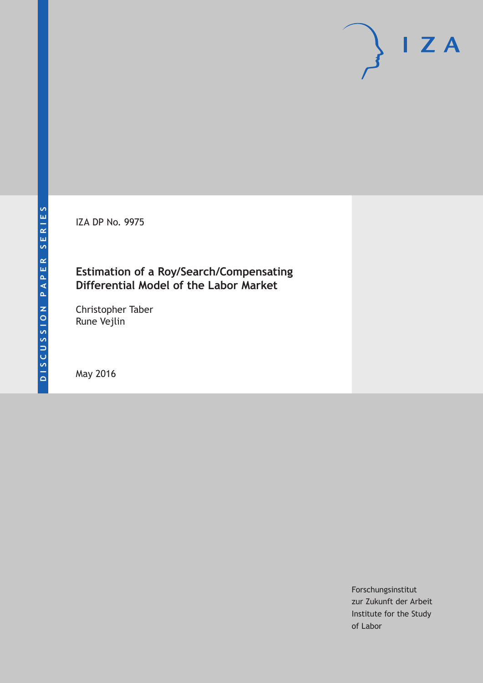IZA DP No. 9975

### **Estimation of a Roy/Search/Compensating Differential Model of the Labor Market**

Christopher Taber Rune Vejlin

May 2016

Forschungsinstitut zur Zukunft der Arbeit Institute for the Study of Labor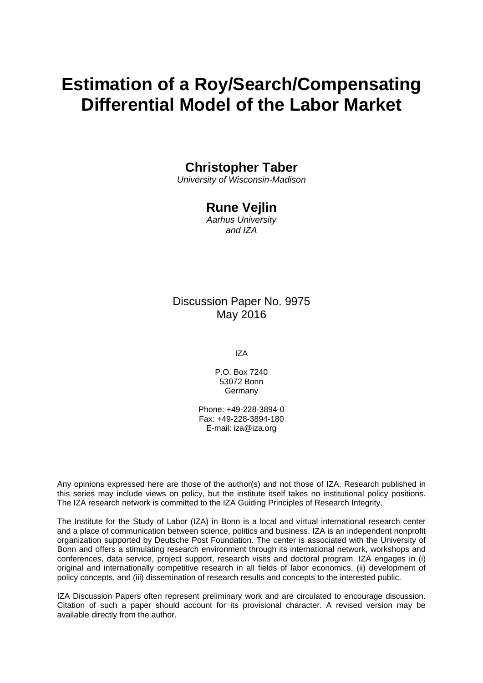# **Estimation of a Roy/Search/Compensating Differential Model of the Labor Market**

### **Christopher Taber**

*University of Wisconsin-Madison* 

### **Rune Vejlin**

*Aarhus University and IZA* 

### Discussion Paper No. 9975 May 2016

IZA

P.O. Box 7240 53072 Bonn Germany

Phone: +49-228-3894-0 Fax: +49-228-3894-180 E-mail: iza@iza.org

Any opinions expressed here are those of the author(s) and not those of IZA. Research published in this series may include views on policy, but the institute itself takes no institutional policy positions. The IZA research network is committed to the IZA Guiding Principles of Research Integrity.

The Institute for the Study of Labor (IZA) in Bonn is a local and virtual international research center and a place of communication between science, politics and business. IZA is an independent nonprofit organization supported by Deutsche Post Foundation. The center is associated with the University of Bonn and offers a stimulating research environment through its international network, workshops and conferences, data service, project support, research visits and doctoral program. IZA engages in (i) original and internationally competitive research in all fields of labor economics, (ii) development of policy concepts, and (iii) dissemination of research results and concepts to the interested public.

IZA Discussion Papers often represent preliminary work and are circulated to encourage discussion. Citation of such a paper should account for its provisional character. A revised version may be available directly from the author.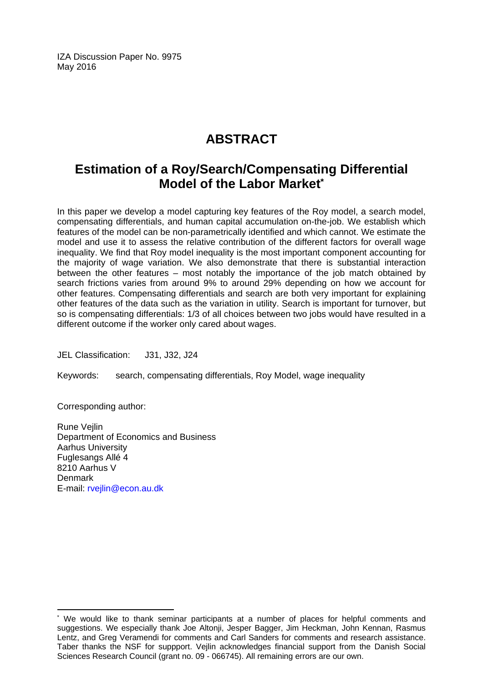IZA Discussion Paper No. 9975 May 2016

# **ABSTRACT**

## **Estimation of a Roy/Search/Compensating Differential Model of the Labor Market\***

In this paper we develop a model capturing key features of the Roy model, a search model, compensating differentials, and human capital accumulation on-the-job. We establish which features of the model can be non-parametrically identified and which cannot. We estimate the model and use it to assess the relative contribution of the different factors for overall wage inequality. We find that Roy model inequality is the most important component accounting for the majority of wage variation. We also demonstrate that there is substantial interaction between the other features – most notably the importance of the job match obtained by search frictions varies from around 9% to around 29% depending on how we account for other features. Compensating differentials and search are both very important for explaining other features of the data such as the variation in utility. Search is important for turnover, but so is compensating differentials: 1/3 of all choices between two jobs would have resulted in a different outcome if the worker only cared about wages.

JEL Classification: J31, J32, J24

Keywords: search, compensating differentials, Roy Model, wage inequality

Corresponding author:

 $\overline{\phantom{a}}$ 

Rune Vejlin Department of Economics and Business Aarhus University Fuglesangs Allé 4 8210 Aarhus V Denmark E-mail: rvejlin@econ.au.dk

<sup>\*</sup> We would like to thank seminar participants at a number of places for helpful comments and suggestions. We especially thank Joe Altonji, Jesper Bagger, Jim Heckman, John Kennan, Rasmus Lentz, and Greg Veramendi for comments and Carl Sanders for comments and research assistance. Taber thanks the NSF for suppport. Vejlin acknowledges financial support from the Danish Social Sciences Research Council (grant no. 09 - 066745). All remaining errors are our own.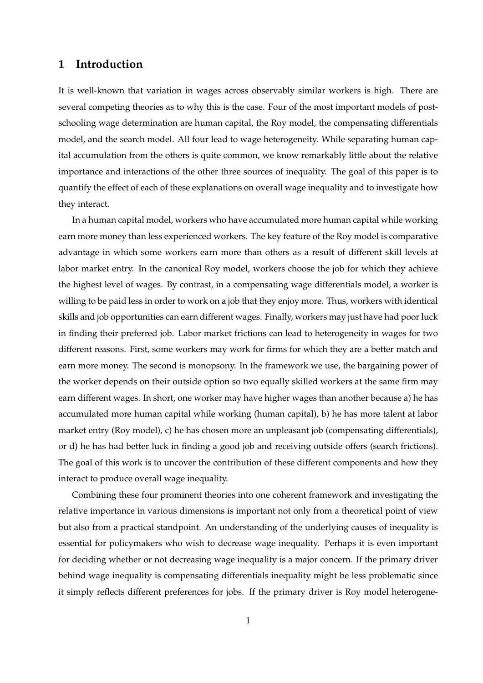### **1 Introduction**

It is well-known that variation in wages across observably similar workers is high. There are several competing theories as to why this is the case. Four of the most important models of postschooling wage determination are human capital, the Roy model, the compensating differentials model, and the search model. All four lead to wage heterogeneity. While separating human capital accumulation from the others is quite common, we know remarkably little about the relative importance and interactions of the other three sources of inequality. The goal of this paper is to quantify the effect of each of these explanations on overall wage inequality and to investigate how they interact.

In a human capital model, workers who have accumulated more human capital while working earn more money than less experienced workers. The key feature of the Roy model is comparative advantage in which some workers earn more than others as a result of different skill levels at labor market entry. In the canonical Roy model, workers choose the job for which they achieve the highest level of wages. By contrast, in a compensating wage differentials model, a worker is willing to be paid less in order to work on a job that they enjoy more. Thus, workers with identical skills and job opportunities can earn different wages. Finally, workers may just have had poor luck in finding their preferred job. Labor market frictions can lead to heterogeneity in wages for two different reasons. First, some workers may work for firms for which they are a better match and earn more money. The second is monopsony. In the framework we use, the bargaining power of the worker depends on their outside option so two equally skilled workers at the same firm may earn different wages. In short, one worker may have higher wages than another because a) he has accumulated more human capital while working (human capital), b) he has more talent at labor market entry (Roy model), c) he has chosen more an unpleasant job (compensating differentials), or d) he has had better luck in finding a good job and receiving outside offers (search frictions). The goal of this work is to uncover the contribution of these different components and how they interact to produce overall wage inequality.

Combining these four prominent theories into one coherent framework and investigating the relative importance in various dimensions is important not only from a theoretical point of view but also from a practical standpoint. An understanding of the underlying causes of inequality is essential for policymakers who wish to decrease wage inequality. Perhaps it is even important for deciding whether or not decreasing wage inequality is a major concern. If the primary driver behind wage inequality is compensating differentials inequality might be less problematic since it simply reflects different preferences for jobs. If the primary driver is Roy model heterogene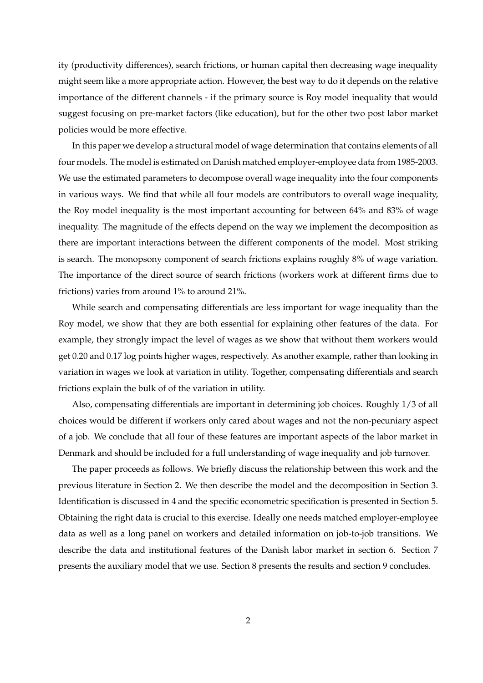ity (productivity differences), search frictions, or human capital then decreasing wage inequality might seem like a more appropriate action. However, the best way to do it depends on the relative importance of the different channels - if the primary source is Roy model inequality that would suggest focusing on pre-market factors (like education), but for the other two post labor market policies would be more effective.

In this paper we develop a structural model of wage determination that contains elements of all four models. The model is estimated on Danish matched employer-employee data from 1985-2003. We use the estimated parameters to decompose overall wage inequality into the four components in various ways. We find that while all four models are contributors to overall wage inequality, the Roy model inequality is the most important accounting for between 64% and 83% of wage inequality. The magnitude of the effects depend on the way we implement the decomposition as there are important interactions between the different components of the model. Most striking is search. The monopsony component of search frictions explains roughly 8% of wage variation. The importance of the direct source of search frictions (workers work at different firms due to frictions) varies from around 1% to around 21%.

While search and compensating differentials are less important for wage inequality than the Roy model, we show that they are both essential for explaining other features of the data. For example, they strongly impact the level of wages as we show that without them workers would get 0.20 and 0.17 log points higher wages, respectively. As another example, rather than looking in variation in wages we look at variation in utility. Together, compensating differentials and search frictions explain the bulk of of the variation in utility.

Also, compensating differentials are important in determining job choices. Roughly 1/3 of all choices would be different if workers only cared about wages and not the non-pecuniary aspect of a job. We conclude that all four of these features are important aspects of the labor market in Denmark and should be included for a full understanding of wage inequality and job turnover.

The paper proceeds as follows. We briefly discuss the relationship between this work and the previous literature in Section 2. We then describe the model and the decomposition in Section 3. Identification is discussed in 4 and the specific econometric specification is presented in Section 5. Obtaining the right data is crucial to this exercise. Ideally one needs matched employer-employee data as well as a long panel on workers and detailed information on job-to-job transitions. We describe the data and institutional features of the Danish labor market in section 6. Section 7 presents the auxiliary model that we use. Section 8 presents the results and section 9 concludes.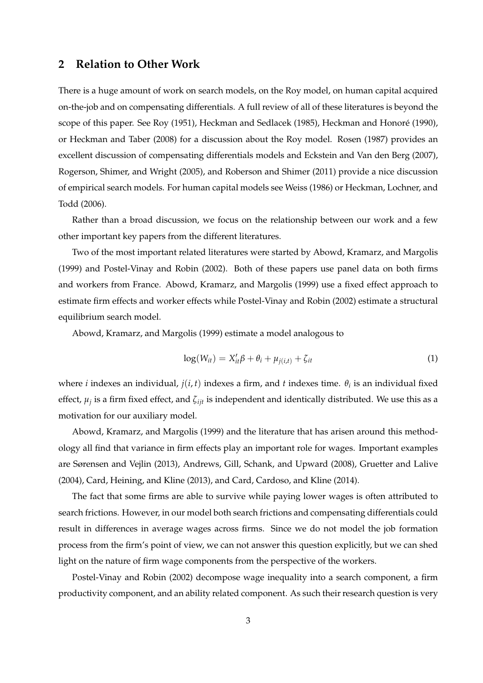#### **2 Relation to Other Work**

There is a huge amount of work on search models, on the Roy model, on human capital acquired on-the-job and on compensating differentials. A full review of all of these literatures is beyond the scope of this paper. See Roy (1951), Heckman and Sedlacek (1985), Heckman and Honoré (1990), or Heckman and Taber (2008) for a discussion about the Roy model. Rosen (1987) provides an excellent discussion of compensating differentials models and Eckstein and Van den Berg (2007), Rogerson, Shimer, and Wright (2005), and Roberson and Shimer (2011) provide a nice discussion of empirical search models. For human capital models see Weiss (1986) or Heckman, Lochner, and Todd (2006).

Rather than a broad discussion, we focus on the relationship between our work and a few other important key papers from the different literatures.

Two of the most important related literatures were started by Abowd, Kramarz, and Margolis (1999) and Postel-Vinay and Robin (2002). Both of these papers use panel data on both firms and workers from France. Abowd, Kramarz, and Margolis (1999) use a fixed effect approach to estimate firm effects and worker effects while Postel-Vinay and Robin (2002) estimate a structural equilibrium search model.

Abowd, Kramarz, and Margolis (1999) estimate a model analogous to

$$
\log(W_{it}) = X_{it}'\beta + \theta_i + \mu_{j(i,t)} + \zeta_{it}
$$
\n(1)

where *i* indexes an individual,  $j(i, t)$  indexes a firm, and  $t$  indexes time.  $\theta_i$  is an individual fixed effect, *µ<sup>j</sup>* is a firm fixed effect, and *ζijt* is independent and identically distributed. We use this as a motivation for our auxiliary model.

Abowd, Kramarz, and Margolis (1999) and the literature that has arisen around this methodology all find that variance in firm effects play an important role for wages. Important examples are Sørensen and Vejlin (2013), Andrews, Gill, Schank, and Upward (2008), Gruetter and Lalive (2004), Card, Heining, and Kline (2013), and Card, Cardoso, and Kline (2014).

The fact that some firms are able to survive while paying lower wages is often attributed to search frictions. However, in our model both search frictions and compensating differentials could result in differences in average wages across firms. Since we do not model the job formation process from the firm's point of view, we can not answer this question explicitly, but we can shed light on the nature of firm wage components from the perspective of the workers.

Postel-Vinay and Robin (2002) decompose wage inequality into a search component, a firm productivity component, and an ability related component. As such their research question is very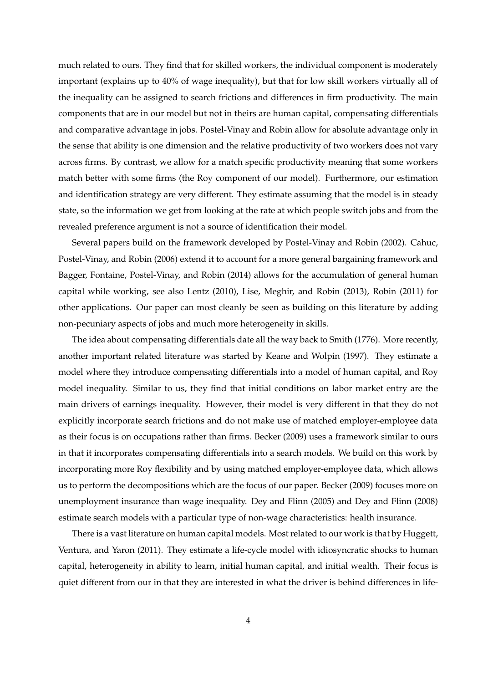much related to ours. They find that for skilled workers, the individual component is moderately important (explains up to 40% of wage inequality), but that for low skill workers virtually all of the inequality can be assigned to search frictions and differences in firm productivity. The main components that are in our model but not in theirs are human capital, compensating differentials and comparative advantage in jobs. Postel-Vinay and Robin allow for absolute advantage only in the sense that ability is one dimension and the relative productivity of two workers does not vary across firms. By contrast, we allow for a match specific productivity meaning that some workers match better with some firms (the Roy component of our model). Furthermore, our estimation and identification strategy are very different. They estimate assuming that the model is in steady state, so the information we get from looking at the rate at which people switch jobs and from the revealed preference argument is not a source of identification their model.

Several papers build on the framework developed by Postel-Vinay and Robin (2002). Cahuc, Postel-Vinay, and Robin (2006) extend it to account for a more general bargaining framework and Bagger, Fontaine, Postel-Vinay, and Robin (2014) allows for the accumulation of general human capital while working, see also Lentz (2010), Lise, Meghir, and Robin (2013), Robin (2011) for other applications. Our paper can most cleanly be seen as building on this literature by adding non-pecuniary aspects of jobs and much more heterogeneity in skills.

The idea about compensating differentials date all the way back to Smith (1776). More recently, another important related literature was started by Keane and Wolpin (1997). They estimate a model where they introduce compensating differentials into a model of human capital, and Roy model inequality. Similar to us, they find that initial conditions on labor market entry are the main drivers of earnings inequality. However, their model is very different in that they do not explicitly incorporate search frictions and do not make use of matched employer-employee data as their focus is on occupations rather than firms. Becker (2009) uses a framework similar to ours in that it incorporates compensating differentials into a search models. We build on this work by incorporating more Roy flexibility and by using matched employer-employee data, which allows us to perform the decompositions which are the focus of our paper. Becker (2009) focuses more on unemployment insurance than wage inequality. Dey and Flinn (2005) and Dey and Flinn (2008) estimate search models with a particular type of non-wage characteristics: health insurance.

There is a vast literature on human capital models. Most related to our work is that by Huggett, Ventura, and Yaron (2011). They estimate a life-cycle model with idiosyncratic shocks to human capital, heterogeneity in ability to learn, initial human capital, and initial wealth. Their focus is quiet different from our in that they are interested in what the driver is behind differences in life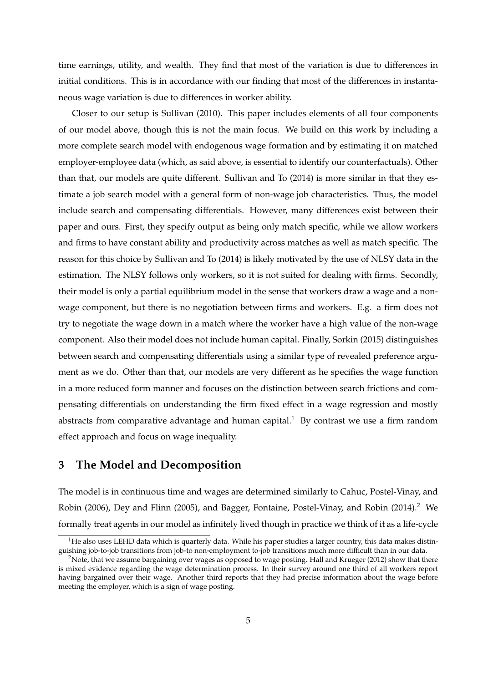time earnings, utility, and wealth. They find that most of the variation is due to differences in initial conditions. This is in accordance with our finding that most of the differences in instantaneous wage variation is due to differences in worker ability.

Closer to our setup is Sullivan (2010). This paper includes elements of all four components of our model above, though this is not the main focus. We build on this work by including a more complete search model with endogenous wage formation and by estimating it on matched employer-employee data (which, as said above, is essential to identify our counterfactuals). Other than that, our models are quite different. Sullivan and To (2014) is more similar in that they estimate a job search model with a general form of non-wage job characteristics. Thus, the model include search and compensating differentials. However, many differences exist between their paper and ours. First, they specify output as being only match specific, while we allow workers and firms to have constant ability and productivity across matches as well as match specific. The reason for this choice by Sullivan and To (2014) is likely motivated by the use of NLSY data in the estimation. The NLSY follows only workers, so it is not suited for dealing with firms. Secondly, their model is only a partial equilibrium model in the sense that workers draw a wage and a nonwage component, but there is no negotiation between firms and workers. E.g. a firm does not try to negotiate the wage down in a match where the worker have a high value of the non-wage component. Also their model does not include human capital. Finally, Sorkin (2015) distinguishes between search and compensating differentials using a similar type of revealed preference argument as we do. Other than that, our models are very different as he specifies the wage function in a more reduced form manner and focuses on the distinction between search frictions and compensating differentials on understanding the firm fixed effect in a wage regression and mostly abstracts from comparative advantage and human capital.<sup>1</sup> By contrast we use a firm random effect approach and focus on wage inequality.

#### **3 The Model and Decomposition**

The model is in continuous time and wages are determined similarly to Cahuc, Postel-Vinay, and Robin (2006), Dey and Flinn (2005), and Bagger, Fontaine, Postel-Vinay, and Robin (2014).<sup>2</sup> We formally treat agents in our model as infinitely lived though in practice we think of it as a life-cycle

 $1$ He also uses LEHD data which is quarterly data. While his paper studies a larger country, this data makes distinguishing job-to-job transitions from job-to non-employment to-job transitions much more difficult than in our data.

<sup>&</sup>lt;sup>2</sup>Note, that we assume bargaining over wages as opposed to wage posting. Hall and Krueger (2012) show that there is mixed evidence regarding the wage determination process. In their survey around one third of all workers report having bargained over their wage. Another third reports that they had precise information about the wage before meeting the employer, which is a sign of wage posting.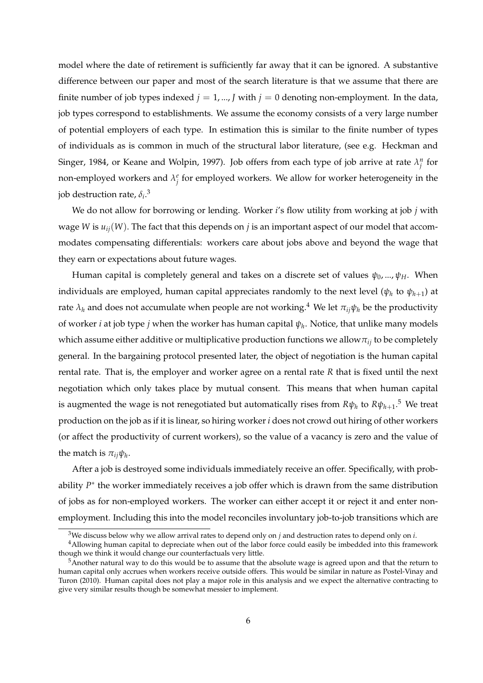model where the date of retirement is sufficiently far away that it can be ignored. A substantive difference between our paper and most of the search literature is that we assume that there are finite number of job types indexed  $j = 1, ..., J$  with  $j = 0$  denoting non-employment. In the data, job types correspond to establishments. We assume the economy consists of a very large number of potential employers of each type. In estimation this is similar to the finite number of types of individuals as is common in much of the structural labor literature, (see e.g. Heckman and Singer, 1984, or Keane and Wolpin, 1997). Job offers from each type of job arrive at rate  $\lambda_j^n$  for non-employed workers and  $\lambda_j^e$  for employed workers. We allow for worker heterogeneity in the job destruction rate, *δ<sup>i</sup>* . 3

We do not allow for borrowing or lending. Worker *i*'s flow utility from working at job *j* with wage *W* is  $u_{ii}(W)$ . The fact that this depends on *j* is an important aspect of our model that accommodates compensating differentials: workers care about jobs above and beyond the wage that they earn or expectations about future wages.

Human capital is completely general and takes on a discrete set of values *ψ*0, ..., *ψH*. When individuals are employed, human capital appreciates randomly to the next level ( $\psi_h$  to  $\psi_{h+1}$ ) at rate  $\lambda_h$  and does not accumulate when people are not working.<sup>4</sup> We let  $\pi_{ii}\psi_h$  be the productivity of worker *i* at job type *j* when the worker has human capital *ψ<sup>h</sup>* . Notice, that unlike many models which assume either additive or multiplicative production functions we allow*πij* to be completely general. In the bargaining protocol presented later, the object of negotiation is the human capital rental rate. That is, the employer and worker agree on a rental rate *R* that is fixed until the next negotiation which only takes place by mutual consent. This means that when human capital is augmented the wage is not renegotiated but automatically rises from  $R\psi_h$  to  $R\psi_{h+1}.^5$  We treat production on the job as if it is linear, so hiring worker *i* does not crowd out hiring of other workers (or affect the productivity of current workers), so the value of a vacancy is zero and the value of the match is  $\pi_{ij}\psi_h$ .

After a job is destroyed some individuals immediately receive an offer. Specifically, with probability *P*<sup>\*</sup> the worker immediately receives a job offer which is drawn from the same distribution of jobs as for non-employed workers. The worker can either accept it or reject it and enter nonemployment. Including this into the model reconciles involuntary job-to-job transitions which are

<sup>3</sup>We discuss below why we allow arrival rates to depend only on *j* and destruction rates to depend only on *i*.

<sup>&</sup>lt;sup>4</sup>Allowing human capital to depreciate when out of the labor force could easily be imbedded into this framework though we think it would change our counterfactuals very little.

<sup>5</sup>Another natural way to do this would be to assume that the absolute wage is agreed upon and that the return to human capital only accrues when workers receive outside offers. This would be similar in nature as Postel-Vinay and Turon (2010). Human capital does not play a major role in this analysis and we expect the alternative contracting to give very similar results though be somewhat messier to implement.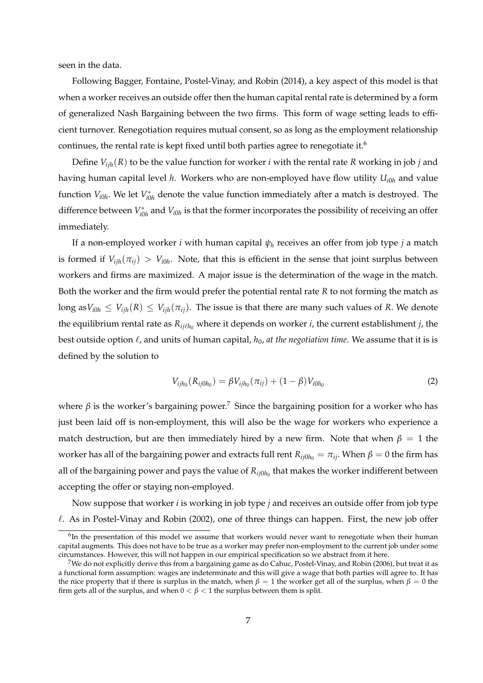seen in the data.

Following Bagger, Fontaine, Postel-Vinay, and Robin (2014), a key aspect of this model is that when a worker receives an outside offer then the human capital rental rate is determined by a form of generalized Nash Bargaining between the two firms. This form of wage setting leads to efficient turnover. Renegotiation requires mutual consent, so as long as the employment relationship continues, the rental rate is kept fixed until both parties agree to renegotiate it.<sup>6</sup>

Define  $V_{iik}(R)$  to be the value function for worker *i* with the rental rate  $R$  working in job *j* and having human capital level *h*. Workers who are non-employed have flow utility *Ui*0*<sup>h</sup>* and value function  $V_{i0h}$ . We let  $V_{i0}^*$  $\alpha_{i0h}^*$  denote the value function immediately after a match is destroyed. The difference between *V* ∗  $i_{i0h}^*$  and  $V_{i0h}$  is that the former incorporates the possibility of receiving an offer immediately.

If a non-employed worker *i* with human capital *ψ<sup>h</sup>* receives an offer from job type *j* a match is formed if  $V_{ijh}(\pi_{ij}) > V_{i0h}$ . Note, that this is efficient in the sense that joint surplus between workers and firms are maximized. A major issue is the determination of the wage in the match. Both the worker and the firm would prefer the potential rental rate *R* to not forming the match as long as  $V_{i0h} \leq V_{iih}(R) \leq V_{iih}(\pi_{ii})$ . The issue is that there are many such values of *R*. We denote the equilibrium rental rate as  $R_{ij\ell h_0}$  where it depends on worker *i*, the current establishment *j*, the best outside option  $\ell$ , and units of human capital,  $h_0$ , *at the negotiation time*. We assume that it is is defined by the solution to

$$
V_{ijh_0}(R_{ij0h_0}) = \beta V_{ijh_0}(\pi_{ij}) + (1 - \beta)V_{i0h_0}
$$
\n(2)

where  $\beta$  is the worker's bargaining power.<sup>7</sup> Since the bargaining position for a worker who has just been laid off is non-employment, this will also be the wage for workers who experience a match destruction, but are then immediately hired by a new firm. Note that when  $\beta = 1$  the worker has all of the bargaining power and extracts full rent  $R_{ij0h_0} = \pi_{ij}$ . When  $\beta = 0$  the firm has all of the bargaining power and pays the value of  $R_{ij0h_0}$  that makes the worker indifferent between accepting the offer or staying non-employed.

Now suppose that worker *i* is working in job type *j* and receives an outside offer from job type  $\ell$ . As in Postel-Vinay and Robin (2002), one of three things can happen. First, the new job offer

<sup>&</sup>lt;sup>6</sup>In the presentation of this model we assume that workers would never want to renegotiate when their human capital augments. This does not have to be true as a worker may prefer non-employment to the current job under some circumstances. However, this will not happen in our empirical specification so we abstract from it here.

<sup>&</sup>lt;sup>7</sup>We do not explicitly derive this from a bargaining game as do Cahuc, Postel-Vinay, and Robin (2006), but treat it as a functional form assumption: wages are indeterminate and this will give a wage that both parties will agree to. It has the nice property that if there is surplus in the match, when  $β = 1$  the worker get all of the surplus, when  $β = 0$  the firm gets all of the surplus, and when  $0 < \beta < 1$  the surplus between them is split.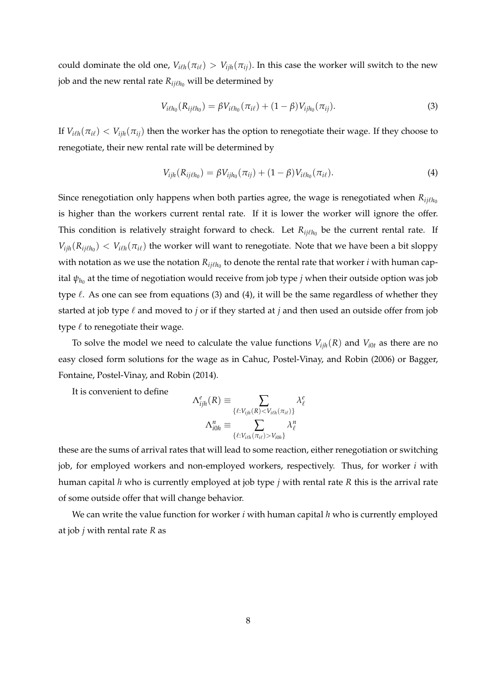could dominate the old one,  $V_{i\ell h}(\pi_{i\ell}) > V_{i\ell h}(\pi_{i\ell})$ . In this case the worker will switch to the new job and the new rental rate  $R_{ij\ell h_0}$  will be determined by

$$
V_{i\ell h_0}(R_{ij\ell h_0}) = \beta V_{i\ell h_0}(\pi_{i\ell}) + (1 - \beta) V_{ijh_0}(\pi_{ij}).
$$
\n(3)

If  $V_{i\ell h}(\pi_{i\ell}) < V_{i\ell h}(\pi_{i\ell})$  then the worker has the option to renegotiate their wage. If they choose to renegotiate, their new rental rate will be determined by

$$
V_{ijh}(R_{ij\ell h_0}) = \beta V_{ijh_0}(\pi_{ij}) + (1-\beta)V_{i\ell h_0}(\pi_{i\ell}).
$$
\n(4)

Since renegotiation only happens when both parties agree, the wage is renegotiated when  $R_{ij\ell h_0}$ is higher than the workers current rental rate. If it is lower the worker will ignore the offer. This condition is relatively straight forward to check. Let  $R_{ij\ell h_0}$  be the current rental rate. If  $V_{ijh}(R_{ij\ell h_0}) < V_{i\ell h}(\pi_{i\ell})$  the worker will want to renegotiate. Note that we have been a bit sloppy with notation as we use the notation  $R_{ij\ell h_0}$  to denote the rental rate that worker  $i$  with human capital  $\psi_{h_0}$  at the time of negotiation would receive from job type  $j$  when their outside option was job type  $\ell$ . As one can see from equations (3) and (4), it will be the same regardless of whether they started at job type  $\ell$  and moved to *j* or if they started at *j* and then used an outside offer from job type  $\ell$  to renegotiate their wage.

To solve the model we need to calculate the value functions  $V_{ijh}(R)$  and  $V_{i0t}$  as there are no easy closed form solutions for the wage as in Cahuc, Postel-Vinay, and Robin (2006) or Bagger, Fontaine, Postel-Vinay, and Robin (2014).

It is convenient to define

$$
\Lambda_{ijh}^e(R) \equiv \sum_{\{\ell:V_{ijh}(R) < V_{i\ell h}(\pi_{i\ell})\}} \lambda_{\ell}^e
$$
\n
$$
\Lambda_{i0h}^n \equiv \sum_{\{\ell:V_{i\ell h}(\pi_{i\ell}) > V_{i0h}\}} \lambda_{\ell}^n
$$

these are the sums of arrival rates that will lead to some reaction, either renegotiation or switching job, for employed workers and non-employed workers, respectively. Thus, for worker *i* with human capital *h* who is currently employed at job type *j* with rental rate *R* this is the arrival rate of some outside offer that will change behavior.

We can write the value function for worker *i* with human capital *h* who is currently employed at job *j* with rental rate *R* as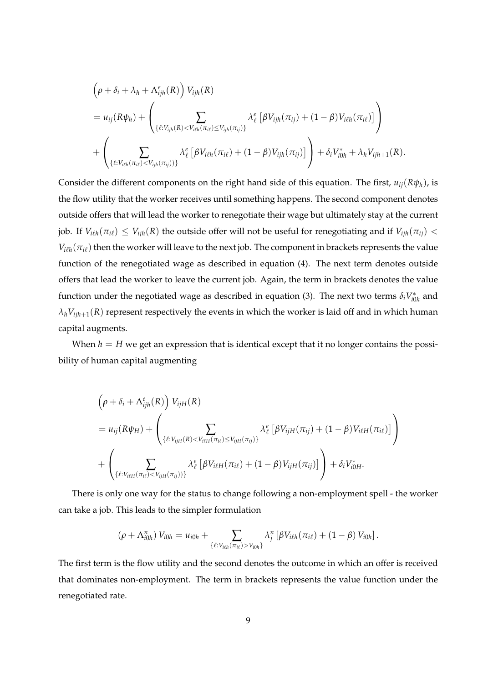$$
\left(\rho + \delta_i + \lambda_h + \Lambda_{ijh}^e(R)\right) V_{ijh}(R)
$$
\n
$$
= u_{ij}(R\psi_h) + \left(\sum_{\{\ell: V_{ijh}(R) < V_{i\ell h}(\pi_{i\ell}) \leq V_{ijh}(\pi_{ij})\}} \lambda_{\ell}^e \left[\beta V_{ijh}(\pi_{ij}) + (1 - \beta) V_{i\ell h}(\pi_{i\ell})\right]\right)
$$
\n
$$
+ \left(\sum_{\{\ell: V_{i\ell h}(\pi_{i\ell}) < V_{ijh}(\pi_{ij})\}} \lambda_{\ell}^e \left[\beta V_{i\ell h}(\pi_{i\ell}) + (1 - \beta) V_{ijh}(\pi_{ij})\right]\right) + \delta_i V_{i0h}^* + \lambda_h V_{ijh+1}(R).
$$

Consider the different components on the right hand side of this equation. The first,  $u_{ij}(R\psi_h)$ , is the flow utility that the worker receives until something happens. The second component denotes outside offers that will lead the worker to renegotiate their wage but ultimately stay at the current job. If  $V_{i\ell h}(\pi_{i\ell}) \leq V_{i j h}(R)$  the outside offer will not be useful for renegotiating and if  $V_{i j h}(\pi_{i j})$  <  $V_{i\ell h}(\pi_{i\ell})$  then the worker will leave to the next job. The component in brackets represents the value function of the renegotiated wage as described in equation (4). The next term denotes outside offers that lead the worker to leave the current job. Again, the term in brackets denotes the value function under the negotiated wage as described in equation (3). The next two terms  $\delta_i V^*_{i0}$  $i_{0h}^*$  and  $\lambda_h V_{i j h + 1}(R)$  represent respectively the events in which the worker is laid off and in which human capital augments.

When  $h = H$  we get an expression that is identical except that it no longer contains the possibility of human capital augmenting

$$
\left(\rho + \delta_i + \Lambda_{ijh}^e(R)\right) V_{ijH}(R)
$$
\n
$$
= u_{ij}(R\psi_H) + \left(\sum_{\{\ell:V_{ijH}(R) < V_{i\ell H}(\pi_{i\ell}) \leq V_{ijH}(\pi_{ij})\}} \lambda_{\ell}^e \left[\beta V_{ijH}(\pi_{ij}) + (1 - \beta) V_{i\ell H}(\pi_{i\ell})\right]\right)
$$
\n
$$
+ \left(\sum_{\{\ell:V_{i\ell H}(\pi_{i\ell}) < V_{ijH}(\pi_{ij}))\}} \lambda_{\ell}^e \left[\beta V_{i\ell H}(\pi_{i\ell}) + (1 - \beta) V_{ijH}(\pi_{ij})\right]\right) + \delta_i V_{i0H}^*.
$$

There is only one way for the status to change following a non-employment spell - the worker can take a job. This leads to the simpler formulation

$$
(\rho + \Lambda_{i0h}^n) V_{i0h} = u_{i0h} + \sum_{\{\ell: V_{i\ell h}(\pi_{i\ell}) > V_{i0h}\}} \lambda_j^n [\beta V_{i\ell h}(\pi_{i\ell}) + (1-\beta) V_{i0h}].
$$

The first term is the flow utility and the second denotes the outcome in which an offer is received that dominates non-employment. The term in brackets represents the value function under the renegotiated rate.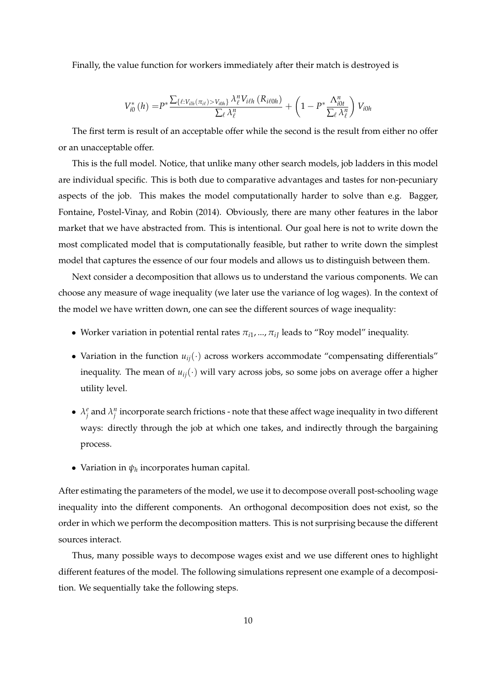Finally, the value function for workers immediately after their match is destroyed is

$$
V_{i0}^*(h) = P^* \frac{\sum_{\{\ell:V_{ilh}(\pi_{i\ell}) > V_{i0h}\}} \lambda_{\ell}^n V_{i\ell h}(R_{i\ell 0h})}{\sum_{\ell} \lambda_{\ell}^n} + \left(1 - P^* \frac{\Lambda_{i0t}^n}{\sum_{\ell} \lambda_{\ell}^n}\right) V_{i0h}
$$

The first term is result of an acceptable offer while the second is the result from either no offer or an unacceptable offer.

This is the full model. Notice, that unlike many other search models, job ladders in this model are individual specific. This is both due to comparative advantages and tastes for non-pecuniary aspects of the job. This makes the model computationally harder to solve than e.g. Bagger, Fontaine, Postel-Vinay, and Robin (2014). Obviously, there are many other features in the labor market that we have abstracted from. This is intentional. Our goal here is not to write down the most complicated model that is computationally feasible, but rather to write down the simplest model that captures the essence of our four models and allows us to distinguish between them.

Next consider a decomposition that allows us to understand the various components. We can choose any measure of wage inequality (we later use the variance of log wages). In the context of the model we have written down, one can see the different sources of wage inequality:

- Worker variation in potential rental rates  $\pi_{i1},...,\pi_{i}$  leads to "Roy model" inequality.
- Variation in the function  $u_{ij}(\cdot)$  across workers accommodate "compensating differentials" inequality. The mean of  $u_{ij}(\cdot)$  will vary across jobs, so some jobs on average offer a higher utility level.
- $\lambda_j^e$  and  $\lambda_j^n$  incorporate search frictions note that these affect wage inequality in two different ways: directly through the job at which one takes, and indirectly through the bargaining process.
- Variation in  $\psi_h$  incorporates human capital.

After estimating the parameters of the model, we use it to decompose overall post-schooling wage inequality into the different components. An orthogonal decomposition does not exist, so the order in which we perform the decomposition matters. This is not surprising because the different sources interact.

Thus, many possible ways to decompose wages exist and we use different ones to highlight different features of the model. The following simulations represent one example of a decomposition. We sequentially take the following steps.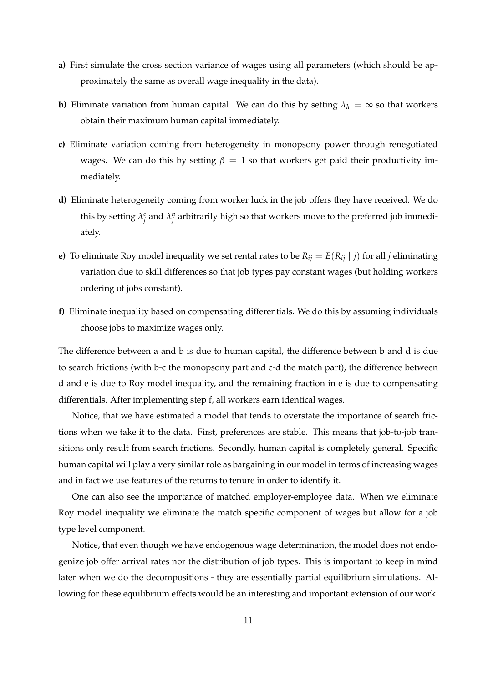- **a)** First simulate the cross section variance of wages using all parameters (which should be approximately the same as overall wage inequality in the data).
- **b)** Eliminate variation from human capital. We can do this by setting  $\lambda_h = \infty$  so that workers obtain their maximum human capital immediately.
- **c)** Eliminate variation coming from heterogeneity in monopsony power through renegotiated wages. We can do this by setting  $\beta = 1$  so that workers get paid their productivity immediately.
- **d)** Eliminate heterogeneity coming from worker luck in the job offers they have received. We do this by setting  $\lambda_j^e$  and  $\lambda_j^n$  arbitrarily high so that workers move to the preferred job immediately.
- **e)** To eliminate Roy model inequality we set rental rates to be  $R_{ij} = E(R_{ij} | j)$  for all *j* eliminating variation due to skill differences so that job types pay constant wages (but holding workers ordering of jobs constant).
- **f)** Eliminate inequality based on compensating differentials. We do this by assuming individuals choose jobs to maximize wages only.

The difference between a and b is due to human capital, the difference between b and d is due to search frictions (with b-c the monopsony part and c-d the match part), the difference between d and e is due to Roy model inequality, and the remaining fraction in e is due to compensating differentials. After implementing step f, all workers earn identical wages.

Notice, that we have estimated a model that tends to overstate the importance of search frictions when we take it to the data. First, preferences are stable. This means that job-to-job transitions only result from search frictions. Secondly, human capital is completely general. Specific human capital will play a very similar role as bargaining in our model in terms of increasing wages and in fact we use features of the returns to tenure in order to identify it.

One can also see the importance of matched employer-employee data. When we eliminate Roy model inequality we eliminate the match specific component of wages but allow for a job type level component.

Notice, that even though we have endogenous wage determination, the model does not endogenize job offer arrival rates nor the distribution of job types. This is important to keep in mind later when we do the decompositions - they are essentially partial equilibrium simulations. Allowing for these equilibrium effects would be an interesting and important extension of our work.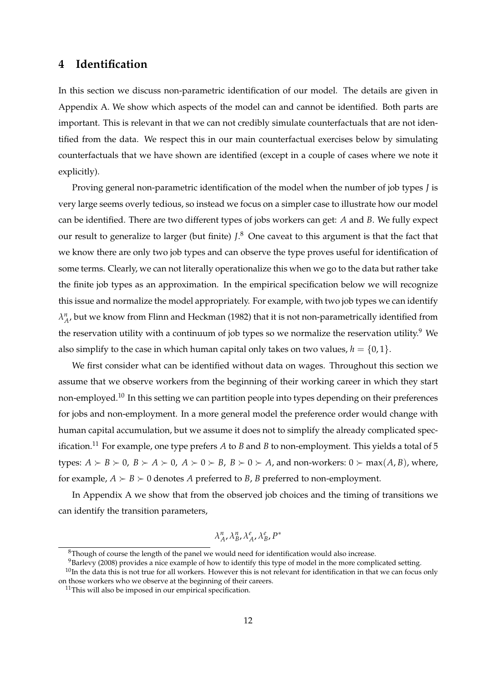### **4 Identification**

In this section we discuss non-parametric identification of our model. The details are given in Appendix A. We show which aspects of the model can and cannot be identified. Both parts are important. This is relevant in that we can not credibly simulate counterfactuals that are not identified from the data. We respect this in our main counterfactual exercises below by simulating counterfactuals that we have shown are identified (except in a couple of cases where we note it explicitly).

Proving general non-parametric identification of the model when the number of job types *J* is very large seems overly tedious, so instead we focus on a simpler case to illustrate how our model can be identified. There are two different types of jobs workers can get: *A* and *B*. We fully expect our result to generalize to larger (but finite) *J*. <sup>8</sup> One caveat to this argument is that the fact that we know there are only two job types and can observe the type proves useful for identification of some terms. Clearly, we can not literally operationalize this when we go to the data but rather take the finite job types as an approximation. In the empirical specification below we will recognize this issue and normalize the model appropriately. For example, with two job types we can identify  $\lambda^n_A$ , but we know from Flinn and Heckman (1982) that it is not non-parametrically identified from the reservation utility with a continuum of job types so we normalize the reservation utility.<sup>9</sup> We also simplify to the case in which human capital only takes on two values,  $h = \{0, 1\}$ .

We first consider what can be identified without data on wages. Throughout this section we assume that we observe workers from the beginning of their working career in which they start non-employed.<sup>10</sup> In this setting we can partition people into types depending on their preferences for jobs and non-employment. In a more general model the preference order would change with human capital accumulation, but we assume it does not to simplify the already complicated specification.<sup>11</sup> For example, one type prefers  $A$  to  $B$  and  $B$  to non-employment. This yields a total of 5 types:  $A \succ B \succ 0$ ,  $B \succ A \succ 0$ ,  $A \succ 0 \succ B$ ,  $B \succ 0 \succ A$ , and non-workers:  $0 \succ max(A, B)$ , where, for example,  $A \succ B \succ 0$  denotes *A* preferred to *B*, *B* preferred to non-employment.

In Appendix A we show that from the observed job choices and the timing of transitions we can identify the transition parameters,

$$
\lambda^{\mathfrak{n}}_A, \lambda^{\mathfrak{n}}_B, \lambda^e_A, \lambda^e_B, P^*
$$

 $8$ Though of course the length of the panel we would need for identification would also increase.

<sup>&</sup>lt;sup>9</sup>Barlevy (2008) provides a nice example of how to identify this type of model in the more complicated setting.

 $10$ In the data this is not true for all workers. However this is not relevant for identification in that we can focus only on those workers who we observe at the beginning of their careers.

 $11$ This will also be imposed in our empirical specification.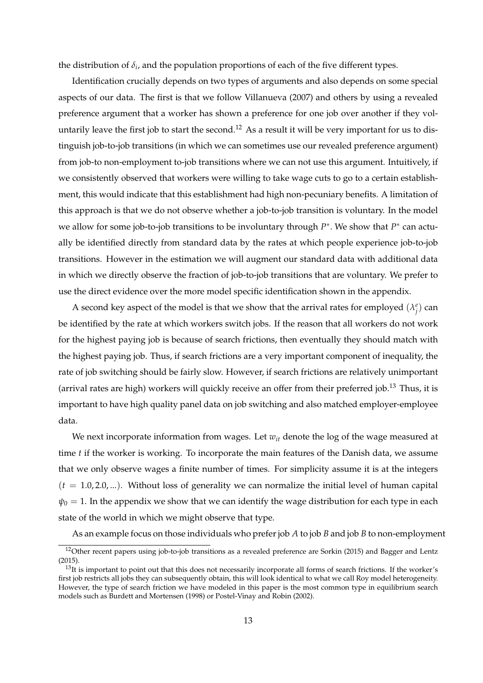the distribution of  $\delta_i$ , and the population proportions of each of the five different types.

Identification crucially depends on two types of arguments and also depends on some special aspects of our data. The first is that we follow Villanueva (2007) and others by using a revealed preference argument that a worker has shown a preference for one job over another if they voluntarily leave the first job to start the second.<sup>12</sup> As a result it will be very important for us to distinguish job-to-job transitions (in which we can sometimes use our revealed preference argument) from job-to non-employment to-job transitions where we can not use this argument. Intuitively, if we consistently observed that workers were willing to take wage cuts to go to a certain establishment, this would indicate that this establishment had high non-pecuniary benefits. A limitation of this approach is that we do not observe whether a job-to-job transition is voluntary. In the model we allow for some job-to-job transitions to be involuntary through  $P^*$ . We show that  $P^*$  can actually be identified directly from standard data by the rates at which people experience job-to-job transitions. However in the estimation we will augment our standard data with additional data in which we directly observe the fraction of job-to-job transitions that are voluntary. We prefer to use the direct evidence over the more model specific identification shown in the appendix.

A second key aspect of the model is that we show that the arrival rates for employed  $(\lambda_j^e)$  can be identified by the rate at which workers switch jobs. If the reason that all workers do not work for the highest paying job is because of search frictions, then eventually they should match with the highest paying job. Thus, if search frictions are a very important component of inequality, the rate of job switching should be fairly slow. However, if search frictions are relatively unimportant (arrival rates are high) workers will quickly receive an offer from their preferred job.<sup>13</sup> Thus, it is important to have high quality panel data on job switching and also matched employer-employee data.

We next incorporate information from wages. Let  $w_{it}$  denote the log of the wage measured at time *t* if the worker is working. To incorporate the main features of the Danish data, we assume that we only observe wages a finite number of times. For simplicity assume it is at the integers  $(t = 1.0, 2.0, ...)$ . Without loss of generality we can normalize the initial level of human capital  $\psi_0 = 1$ . In the appendix we show that we can identify the wage distribution for each type in each state of the world in which we might observe that type.

As an example focus on those individuals who prefer job *A* to job *B* and job *B* to non-employment

<sup>&</sup>lt;sup>12</sup>Other recent papers using job-to-job transitions as a revealed preference are Sorkin (2015) and Bagger and Lentz (2015).

 $13$ It is important to point out that this does not necessarily incorporate all forms of search frictions. If the worker's first job restricts all jobs they can subsequently obtain, this will look identical to what we call Roy model heterogeneity. However, the type of search friction we have modeled in this paper is the most common type in equilibrium search models such as Burdett and Mortensen (1998) or Postel-Vinay and Robin (2002).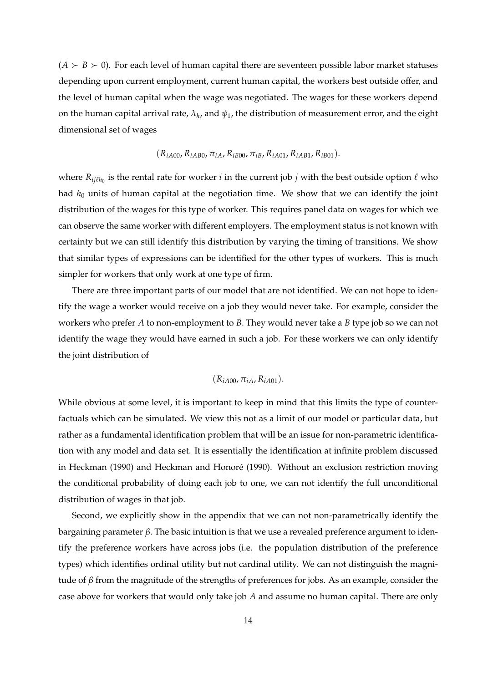$(A \succ B \succ 0)$ . For each level of human capital there are seventeen possible labor market statuses depending upon current employment, current human capital, the workers best outside offer, and the level of human capital when the wage was negotiated. The wages for these workers depend on the human capital arrival rate,  $\lambda_h$ , and  $\psi_1$ , the distribution of measurement error, and the eight dimensional set of wages

$$
(R_{iA00}, R_{iAB0}, \pi_{iA}, R_{iB00}, \pi_{iB}, R_{iA01}, R_{iAB1}, R_{iB01}).
$$

where  $R_{ij\ell h_0}$  is the rental rate for worker *i* in the current job *j* with the best outside option  $\ell$  who had *h*<sub>0</sub> units of human capital at the negotiation time. We show that we can identify the joint distribution of the wages for this type of worker. This requires panel data on wages for which we can observe the same worker with different employers. The employment status is not known with certainty but we can still identify this distribution by varying the timing of transitions. We show that similar types of expressions can be identified for the other types of workers. This is much simpler for workers that only work at one type of firm.

There are three important parts of our model that are not identified. We can not hope to identify the wage a worker would receive on a job they would never take. For example, consider the workers who prefer *A* to non-employment to *B*. They would never take a *B* type job so we can not identify the wage they would have earned in such a job. For these workers we can only identify the joint distribution of

### $(R_{iA00}, \pi_{iA}, R_{iA01}).$

While obvious at some level, it is important to keep in mind that this limits the type of counterfactuals which can be simulated. We view this not as a limit of our model or particular data, but rather as a fundamental identification problem that will be an issue for non-parametric identification with any model and data set. It is essentially the identification at infinite problem discussed in Heckman (1990) and Heckman and Honoré (1990). Without an exclusion restriction moving the conditional probability of doing each job to one, we can not identify the full unconditional distribution of wages in that job.

Second, we explicitly show in the appendix that we can not non-parametrically identify the bargaining parameter *β*. The basic intuition is that we use a revealed preference argument to identify the preference workers have across jobs (i.e. the population distribution of the preference types) which identifies ordinal utility but not cardinal utility. We can not distinguish the magnitude of *β* from the magnitude of the strengths of preferences for jobs. As an example, consider the case above for workers that would only take job *A* and assume no human capital. There are only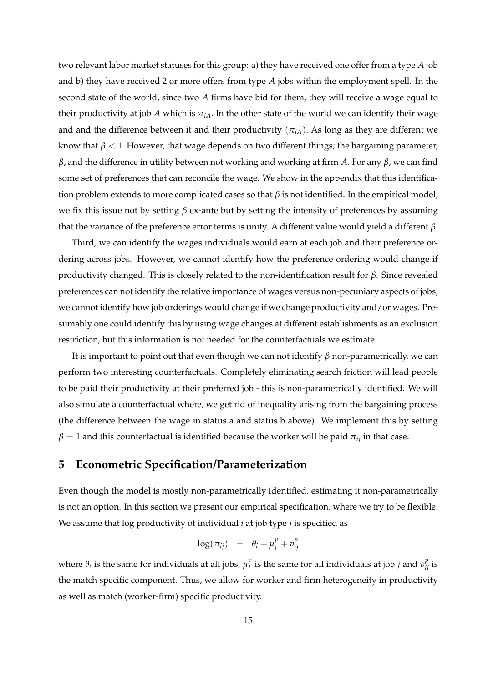two relevant labor market statuses for this group: a) they have received one offer from a type *A* job and b) they have received 2 or more offers from type *A* jobs within the employment spell. In the second state of the world, since two *A* firms have bid for them, they will receive a wage equal to their productivity at job *A* which is  $\pi_{iA}$ . In the other state of the world we can identify their wage and and the difference between it and their productivity  $(\pi_{iA})$ . As long as they are different we know that  $\beta$  < 1. However, that wage depends on two different things; the bargaining parameter, *β*, and the difference in utility between not working and working at firm *A*. For any *β*, we can find some set of preferences that can reconcile the wage. We show in the appendix that this identification problem extends to more complicated cases so that *β* is not identified. In the empirical model, we fix this issue not by setting *β* ex-ante but by setting the intensity of preferences by assuming that the variance of the preference error terms is unity. A different value would yield a different *β*.

Third, we can identify the wages individuals would earn at each job and their preference ordering across jobs. However, we cannot identify how the preference ordering would change if productivity changed. This is closely related to the non-identification result for *β*. Since revealed preferences can not identify the relative importance of wages versus non-pecuniary aspects of jobs, we cannot identify how job orderings would change if we change productivity and/or wages. Presumably one could identify this by using wage changes at different establishments as an exclusion restriction, but this information is not needed for the counterfactuals we estimate.

It is important to point out that even though we can not identify *β* non-parametrically, we can perform two interesting counterfactuals. Completely eliminating search friction will lead people to be paid their productivity at their preferred job - this is non-parametrically identified. We will also simulate a counterfactual where, we get rid of inequality arising from the bargaining process (the difference between the wage in status a and status b above). We implement this by setting  $\beta = 1$  and this counterfactual is identified because the worker will be paid  $\pi_{ij}$  in that case.

### **5 Econometric Specification/Parameterization**

Even though the model is mostly non-parametrically identified, estimating it non-parametrically is not an option. In this section we present our empirical specification, where we try to be flexible. We assume that log productivity of individual *i* at job type *j* is specified as

$$
\log(\pi_{ij}) = \theta_i + \mu_j^p + v_{ij}^p
$$

where  $\theta_i$  is the same for individuals at all jobs,  $\mu_i^p$  $\frac{p}{j}$  is the same for all individuals at job *j* and  $v_{ij}^p$  is the match specific component. Thus, we allow for worker and firm heterogeneity in productivity as well as match (worker-firm) specific productivity.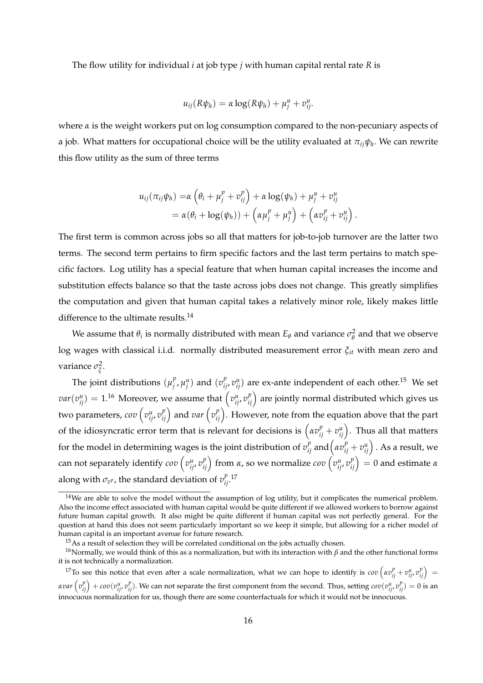The flow utility for individual *i* at job type *j* with human capital rental rate *R* is

$$
u_{ij}(R\psi_h) = \alpha \log(R\psi_h) + \mu_j^u + v_{ij}^u.
$$

where *α* is the weight workers put on log consumption compared to the non-pecuniary aspects of a job. What matters for occupational choice will be the utility evaluated at *πijψ<sup>h</sup>* . We can rewrite this flow utility as the sum of three terms

$$
u_{ij}(\pi_{ij}\psi_h) = \alpha \left(\theta_i + \mu_j^p + v_{ij}^p\right) + \alpha \log(\psi_h) + \mu_j^u + v_{ij}^u
$$
  
=  $\alpha(\theta_i + \log(\psi_h)) + \left(\alpha \mu_j^p + \mu_j^u\right) + \left(\alpha v_{ij}^p + v_{ij}^u\right).$ 

The first term is common across jobs so all that matters for job-to-job turnover are the latter two terms. The second term pertains to firm specific factors and the last term pertains to match specific factors. Log utility has a special feature that when human capital increases the income and substitution effects balance so that the taste across jobs does not change. This greatly simplifies the computation and given that human capital takes a relatively minor role, likely makes little difference to the ultimate results.<sup>14</sup>

We assume that  $\theta_i$  is normally distributed with mean  $E_\theta$  and variance  $\sigma_\theta^2$  $\frac{2}{\theta}$  and that we observe log wages with classical i.i.d. normally distributed measurement error *ξit* with mean zero and variance *σ* 2 *ξ* .

The joint distributions  $(\mu_i^p)$  $\int_a^p \mu_j^u$  and  $(v_{ij}^p, v_{ij}^u)$  are ex-ante independent of each other.<sup>15</sup> We set  $var(v_{ij}^u)=1.^{16}$  Moreover, we assume that  $\left(v_{ij}^u,v_{ij}^p\right)$  are jointly normal distributed which gives us two parameters,  $cov\left(v_{ij}^u, v_{ij}^p\right)$  and  $var\left(v_{ij}^p\right)$ . However, note from the equation above that the part of the idiosyncratic error term that is relevant for decisions is  $\left(\alpha v_{ij}^p + v_{ij}^u\right)$ . Thus all that matters for the model in determining wages is the joint distribution of  $v_{ij}^p$  and  $\left(\alpha v_{ij}^p+v_{ij}^u\right)$  . As a result, we can not separately identify  $cov\left(v_{ij}^u,v_{ij}^p\right)$  from *α*, so we normalize  $cov\left(v_{ij}^u,v_{ij}^p\right)=0$  and estimate *α* along with  $\sigma_{v^p}$ , the standard deviation of  $v^p_{ij}$ .<sup>17</sup>

<sup>&</sup>lt;sup>14</sup>We are able to solve the model without the assumption of log utility, but it complicates the numerical problem. Also the income effect associated with human capital would be quite different if we allowed workers to borrow against future human capital growth. It also might be quite different if human capital was not perfectly general. For the question at hand this does not seem particularly important so we keep it simple, but allowing for a richer model of human capital is an important avenue for future research.

 $15\text{As}$  a result of selection they will be correlated conditional on the jobs actually chosen.

<sup>&</sup>lt;sup>16</sup>Normally, we would think of this as a normalization, but with its interaction with *β* and the other functional forms it is not technically a normalization.

<sup>&</sup>lt;sup>17</sup>To see this notice that even after a scale normalization, what we can hope to identify is  $cov(xv_{ij}^p + v_{ij}^u, v_{ij}^p) =$ avar  $\left(v_{ij}^p\right)+cov(v_{ij}^u,v_{ij}^p).$  We can not separate the first component from the second. Thus, setting  $cov(v_{ij}^u,v_{ij}^p)=0$  is an innocuous normalization for us, though there are some counterfactuals for which it would not be innocuous.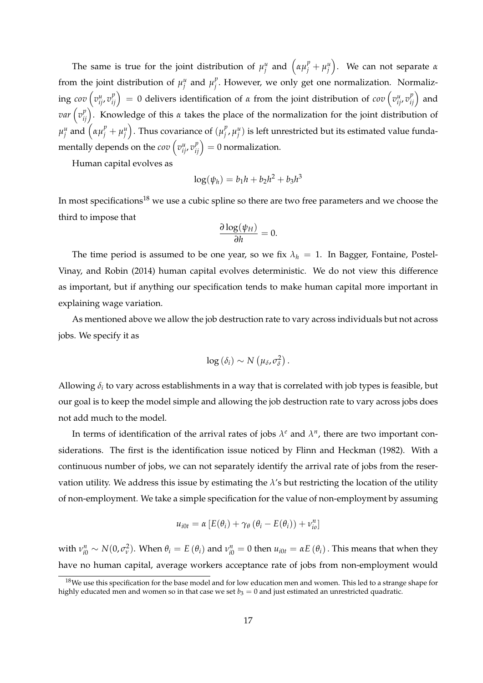The same is true for the joint distribution of  $\mu_j^u$  and  $(\alpha \mu_j^p + \mu_j^u)$ . We can not separate  $\alpha$ from the joint distribution of  $\mu_j^u$  and  $\mu_j^p$ *j* . However, we only get one normalization. Normaliz- $\int_0^u \int_0^u v_{ij}^p v_{ij}^p \, dx = 0$  delivers identification of  $\alpha$  from the joint distribution of  $cov\left(v_{ij}^u,v_{ij}^p\right)$  and *var*  $\left(v_{ij}^p\right)$ . Knowledge of this *α* takes the place of the normalization for the joint distribution of  $\mu_j^u$  and  $\left(\alpha \mu_j^p + \mu_j^u\right)$ . Thus covariance of  $(\mu_j^p)$  $_j^p$ ,  $\mu_j^u$ ) is left unrestricted but its estimated value fundamentally depends on the  $cov\left(v_{ij}^u, v_{ij}^p\right) = 0$  normalization.

Human capital evolves as

$$
\log(\psi_h) = b_1 h + b_2 h^2 + b_3 h^3
$$

In most specifications<sup>18</sup> we use a cubic spline so there are two free parameters and we choose the third to impose that

$$
\frac{\partial \log(\psi_H)}{\partial h} = 0.
$$

The time period is assumed to be one year, so we fix  $\lambda_h = 1$ . In Bagger, Fontaine, Postel-Vinay, and Robin (2014) human capital evolves deterministic. We do not view this difference as important, but if anything our specification tends to make human capital more important in explaining wage variation.

As mentioned above we allow the job destruction rate to vary across individuals but not across jobs. We specify it as

$$
\log\left(\delta_i\right)\sim N\left(\mu_\delta,\sigma_\delta^2\right).
$$

Allowing  $\delta_i$  to vary across establishments in a way that is correlated with job types is feasible, but our goal is to keep the model simple and allowing the job destruction rate to vary across jobs does not add much to the model.

In terms of identification of the arrival rates of jobs  $\lambda^e$  and  $\lambda^n$ , there are two important considerations. The first is the identification issue noticed by Flinn and Heckman (1982). With a continuous number of jobs, we can not separately identify the arrival rate of jobs from the reservation utility. We address this issue by estimating the *λ*'s but restricting the location of the utility of non-employment. We take a simple specification for the value of non-employment by assuming

$$
u_{i0t} = \alpha \left[ E(\theta_i) + \gamma_\theta \left( \theta_i - E(\theta_i) \right) + v_{io}^n \right]
$$

with  $v_{i0}^n \sim N(0,\sigma_v^2)$ . When  $\theta_i = E(\theta_i)$  and  $v_{i0}^n = 0$  then  $u_{i0t} = \alpha E(\theta_i)$ . This means that when they have no human capital, average workers acceptance rate of jobs from non-employment would

 $18$ We use this specification for the base model and for low education men and women. This led to a strange shape for highly educated men and women so in that case we set  $b_3 = 0$  and just estimated an unrestricted quadratic.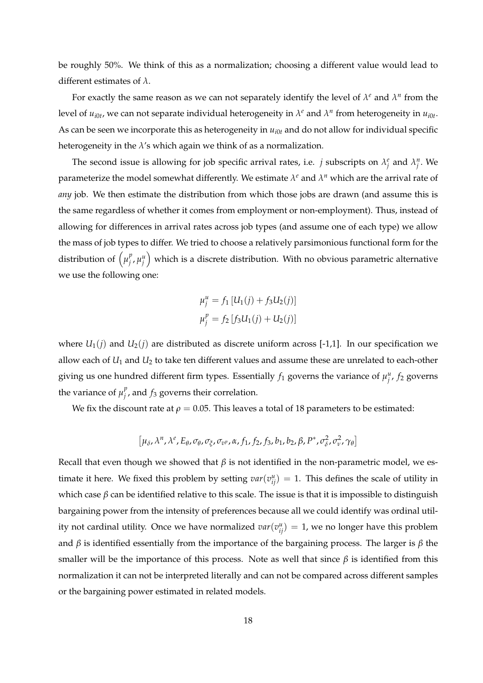be roughly 50%. We think of this as a normalization; choosing a different value would lead to different estimates of *λ*.

For exactly the same reason as we can not separately identify the level of  $\lambda^e$  and  $\lambda^n$  from the level of  $u_{i0t}$ , we can not separate individual heterogeneity in  $\lambda^e$  and  $\lambda^n$  from heterogeneity in  $u_{i0t}$ . As can be seen we incorporate this as heterogeneity in  $u_{i0t}$  and do not allow for individual specific heterogeneity in the *λ*'s which again we think of as a normalization.

The second issue is allowing for job specific arrival rates, i.e. *j* subscripts on  $\lambda_j^e$  and  $\lambda_j^n$ . We parameterize the model somewhat differently. We estimate  $\lambda^e$  and  $\lambda^n$  which are the arrival rate of *any* job. We then estimate the distribution from which those jobs are drawn (and assume this is the same regardless of whether it comes from employment or non-employment). Thus, instead of allowing for differences in arrival rates across job types (and assume one of each type) we allow the mass of job types to differ. We tried to choose a relatively parsimonious functional form for the distribution of  $(\mu_i^p)$  $\left( \begin{smallmatrix} p \ j \end{smallmatrix} \right)$  which is a discrete distribution. With no obvious parametric alternative we use the following one:

$$
\mu_j^u = f_1 [U_1(j) + f_3 U_2(j)]
$$
  

$$
\mu_j^p = f_2 [f_3 U_1(j) + U_2(j)]
$$

where  $U_1(j)$  and  $U_2(j)$  are distributed as discrete uniform across [-1,1]. In our specification we allow each of *U*<sup>1</sup> and *U*<sup>2</sup> to take ten different values and assume these are unrelated to each-other giving us one hundred different firm types. Essentially  $f_1$  governs the variance of  $\mu_j^u$ ,  $f_2$  governs the variance of  $\mu_i^p$  $j'$ , and  $f_3$  governs their correlation.

We fix the discount rate at  $\rho = 0.05$ . This leaves a total of 18 parameters to be estimated:

$$
\left[\mu_{\delta}, \lambda^n, \lambda^e, E_{\theta}, \sigma_{\theta}, \sigma_{\xi}, \sigma_{v^p}, \alpha, f_1, f_2, f_3, b_1, b_2, \beta, P^*, \sigma_{\delta}^2, \sigma_{v}^2, \gamma_{\theta}\right]
$$

Recall that even though we showed that *β* is not identified in the non-parametric model, we estimate it here. We fixed this problem by setting  $var(v_{ij}^u) = 1$ . This defines the scale of utility in which case *β* can be identified relative to this scale. The issue is that it is impossible to distinguish bargaining power from the intensity of preferences because all we could identify was ordinal utility not cardinal utility. Once we have normalized  $var(v_{ij}^u) = 1$ , we no longer have this problem and *β* is identified essentially from the importance of the bargaining process. The larger is *β* the smaller will be the importance of this process. Note as well that since  $\beta$  is identified from this normalization it can not be interpreted literally and can not be compared across different samples or the bargaining power estimated in related models.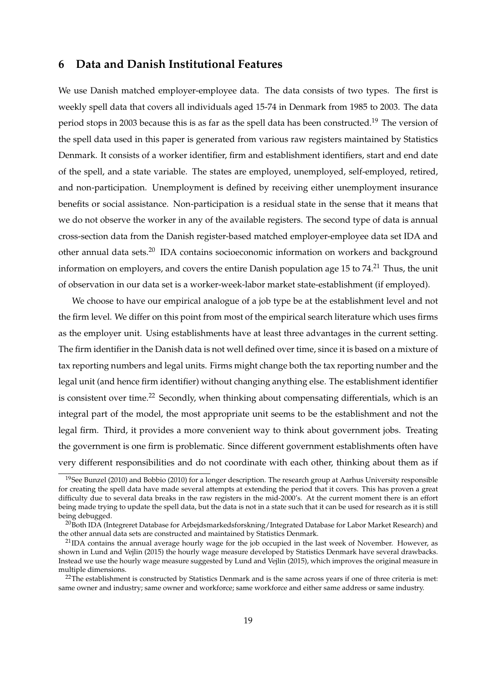### **6 Data and Danish Institutional Features**

We use Danish matched employer-employee data. The data consists of two types. The first is weekly spell data that covers all individuals aged 15-74 in Denmark from 1985 to 2003. The data period stops in 2003 because this is as far as the spell data has been constructed.<sup>19</sup> The version of the spell data used in this paper is generated from various raw registers maintained by Statistics Denmark. It consists of a worker identifier, firm and establishment identifiers, start and end date of the spell, and a state variable. The states are employed, unemployed, self-employed, retired, and non-participation. Unemployment is defined by receiving either unemployment insurance benefits or social assistance. Non-participation is a residual state in the sense that it means that we do not observe the worker in any of the available registers. The second type of data is annual cross-section data from the Danish register-based matched employer-employee data set IDA and other annual data sets.<sup>20</sup> IDA contains socioeconomic information on workers and background information on employers, and covers the entire Danish population age 15 to  $74<sup>21</sup>$  Thus, the unit of observation in our data set is a worker-week-labor market state-establishment (if employed).

We choose to have our empirical analogue of a job type be at the establishment level and not the firm level. We differ on this point from most of the empirical search literature which uses firms as the employer unit. Using establishments have at least three advantages in the current setting. The firm identifier in the Danish data is not well defined over time, since it is based on a mixture of tax reporting numbers and legal units. Firms might change both the tax reporting number and the legal unit (and hence firm identifier) without changing anything else. The establishment identifier is consistent over time.<sup>22</sup> Secondly, when thinking about compensating differentials, which is an integral part of the model, the most appropriate unit seems to be the establishment and not the legal firm. Third, it provides a more convenient way to think about government jobs. Treating the government is one firm is problematic. Since different government establishments often have very different responsibilities and do not coordinate with each other, thinking about them as if

<sup>&</sup>lt;sup>19</sup>See Bunzel (2010) and Bobbio (2010) for a longer description. The research group at Aarhus University responsible for creating the spell data have made several attempts at extending the period that it covers. This has proven a great difficulty due to several data breaks in the raw registers in the mid-2000's. At the current moment there is an effort being made trying to update the spell data, but the data is not in a state such that it can be used for research as it is still being debugged.

<sup>&</sup>lt;sup>20</sup>Both IDA (Integreret Database for Arbejdsmarkedsforskning/Integrated Database for Labor Market Research) and the other annual data sets are constructed and maintained by Statistics Denmark.

 $^{21}$ IDA contains the annual average hourly wage for the job occupied in the last week of November. However, as shown in Lund and Vejlin (2015) the hourly wage measure developed by Statistics Denmark have several drawbacks. Instead we use the hourly wage measure suggested by Lund and Vejlin (2015), which improves the original measure in multiple dimensions.

 $22$ The establishment is constructed by Statistics Denmark and is the same across years if one of three criteria is met: same owner and industry; same owner and workforce; same workforce and either same address or same industry.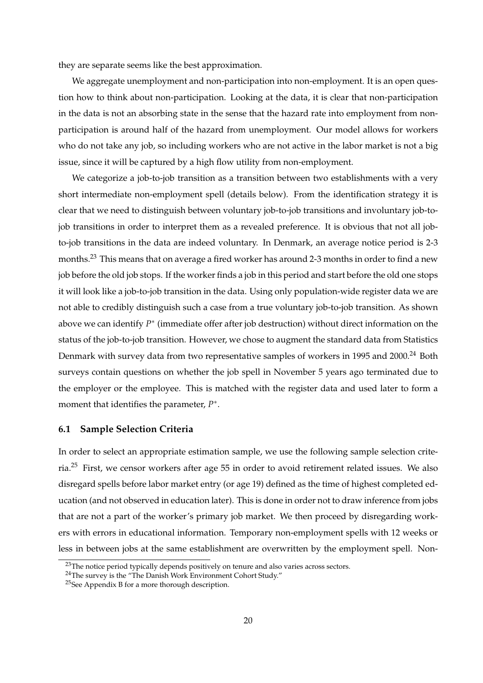they are separate seems like the best approximation.

We aggregate unemployment and non-participation into non-employment. It is an open question how to think about non-participation. Looking at the data, it is clear that non-participation in the data is not an absorbing state in the sense that the hazard rate into employment from nonparticipation is around half of the hazard from unemployment. Our model allows for workers who do not take any job, so including workers who are not active in the labor market is not a big issue, since it will be captured by a high flow utility from non-employment.

We categorize a job-to-job transition as a transition between two establishments with a very short intermediate non-employment spell (details below). From the identification strategy it is clear that we need to distinguish between voluntary job-to-job transitions and involuntary job-tojob transitions in order to interpret them as a revealed preference. It is obvious that not all jobto-job transitions in the data are indeed voluntary. In Denmark, an average notice period is 2-3 months.<sup>23</sup> This means that on average a fired worker has around 2-3 months in order to find a new job before the old job stops. If the worker finds a job in this period and start before the old one stops it will look like a job-to-job transition in the data. Using only population-wide register data we are not able to credibly distinguish such a case from a true voluntary job-to-job transition. As shown above we can identify  $P^*$  (immediate offer after job destruction) without direct information on the status of the job-to-job transition. However, we chose to augment the standard data from Statistics Denmark with survey data from two representative samples of workers in 1995 and 2000.<sup>24</sup> Both surveys contain questions on whether the job spell in November 5 years ago terminated due to the employer or the employee. This is matched with the register data and used later to form a moment that identifies the parameter,  $P^*$ .

#### **6.1 Sample Selection Criteria**

In order to select an appropriate estimation sample, we use the following sample selection criteria.<sup>25</sup> First, we censor workers after age 55 in order to avoid retirement related issues. We also disregard spells before labor market entry (or age 19) defined as the time of highest completed education (and not observed in education later). This is done in order not to draw inference from jobs that are not a part of the worker's primary job market. We then proceed by disregarding workers with errors in educational information. Temporary non-employment spells with 12 weeks or less in between jobs at the same establishment are overwritten by the employment spell. Non-

<sup>&</sup>lt;sup>23</sup>The notice period typically depends positively on tenure and also varies across sectors.

<sup>&</sup>lt;sup>24</sup>The survey is the "The Danish Work Environment Cohort Study."

<sup>&</sup>lt;sup>25</sup>See Appendix B for a more thorough description.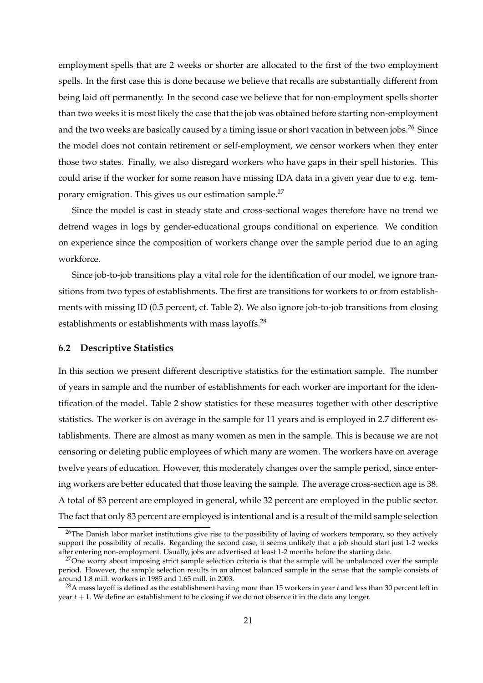employment spells that are 2 weeks or shorter are allocated to the first of the two employment spells. In the first case this is done because we believe that recalls are substantially different from being laid off permanently. In the second case we believe that for non-employment spells shorter than two weeks it is most likely the case that the job was obtained before starting non-employment and the two weeks are basically caused by a timing issue or short vacation in between jobs.<sup>26</sup> Since the model does not contain retirement or self-employment, we censor workers when they enter those two states. Finally, we also disregard workers who have gaps in their spell histories. This could arise if the worker for some reason have missing IDA data in a given year due to e.g. temporary emigration. This gives us our estimation sample.<sup>27</sup>

Since the model is cast in steady state and cross-sectional wages therefore have no trend we detrend wages in logs by gender-educational groups conditional on experience. We condition on experience since the composition of workers change over the sample period due to an aging workforce.

Since job-to-job transitions play a vital role for the identification of our model, we ignore transitions from two types of establishments. The first are transitions for workers to or from establishments with missing ID (0.5 percent, cf. Table 2). We also ignore job-to-job transitions from closing establishments or establishments with mass layoffs.<sup>28</sup>

#### **6.2 Descriptive Statistics**

In this section we present different descriptive statistics for the estimation sample. The number of years in sample and the number of establishments for each worker are important for the identification of the model. Table 2 show statistics for these measures together with other descriptive statistics. The worker is on average in the sample for 11 years and is employed in 2.7 different establishments. There are almost as many women as men in the sample. This is because we are not censoring or deleting public employees of which many are women. The workers have on average twelve years of education. However, this moderately changes over the sample period, since entering workers are better educated that those leaving the sample. The average cross-section age is 38. A total of 83 percent are employed in general, while 32 percent are employed in the public sector. The fact that only 83 percent are employed is intentional and is a result of the mild sample selection

 $26$ The Danish labor market institutions give rise to the possibility of laying of workers temporary, so they actively support the possibility of recalls. Regarding the second case, it seems unlikely that a job should start just 1-2 weeks after entering non-employment. Usually, jobs are advertised at least 1-2 months before the starting date.

 $27$ One worry about imposing strict sample selection criteria is that the sample will be unbalanced over the sample period. However, the sample selection results in an almost balanced sample in the sense that the sample consists of around 1.8 mill. workers in 1985 and 1.65 mill. in 2003.

<sup>28</sup>A mass layoff is defined as the establishment having more than 15 workers in year *t* and less than 30 percent left in year *t* + 1. We define an establishment to be closing if we do not observe it in the data any longer.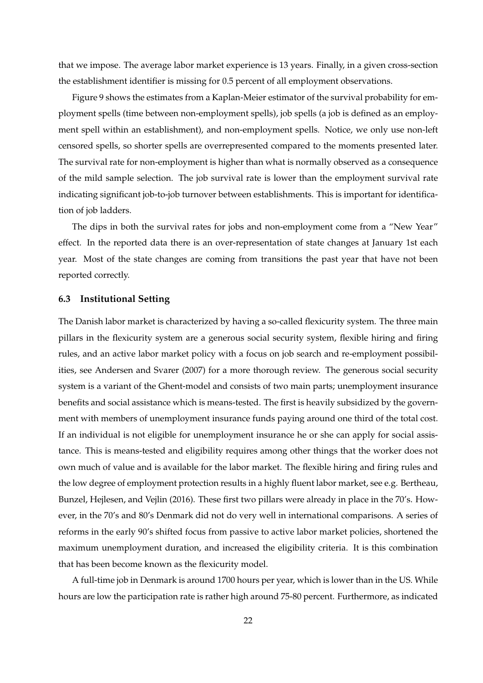that we impose. The average labor market experience is 13 years. Finally, in a given cross-section the establishment identifier is missing for 0.5 percent of all employment observations.

Figure 9 shows the estimates from a Kaplan-Meier estimator of the survival probability for employment spells (time between non-employment spells), job spells (a job is defined as an employment spell within an establishment), and non-employment spells. Notice, we only use non-left censored spells, so shorter spells are overrepresented compared to the moments presented later. The survival rate for non-employment is higher than what is normally observed as a consequence of the mild sample selection. The job survival rate is lower than the employment survival rate indicating significant job-to-job turnover between establishments. This is important for identification of job ladders.

The dips in both the survival rates for jobs and non-employment come from a "New Year" effect. In the reported data there is an over-representation of state changes at January 1st each year. Most of the state changes are coming from transitions the past year that have not been reported correctly.

#### **6.3 Institutional Setting**

The Danish labor market is characterized by having a so-called flexicurity system. The three main pillars in the flexicurity system are a generous social security system, flexible hiring and firing rules, and an active labor market policy with a focus on job search and re-employment possibilities, see Andersen and Svarer (2007) for a more thorough review. The generous social security system is a variant of the Ghent-model and consists of two main parts; unemployment insurance benefits and social assistance which is means-tested. The first is heavily subsidized by the government with members of unemployment insurance funds paying around one third of the total cost. If an individual is not eligible for unemployment insurance he or she can apply for social assistance. This is means-tested and eligibility requires among other things that the worker does not own much of value and is available for the labor market. The flexible hiring and firing rules and the low degree of employment protection results in a highly fluent labor market, see e.g. Bertheau, Bunzel, Hejlesen, and Vejlin (2016). These first two pillars were already in place in the 70's. However, in the 70's and 80's Denmark did not do very well in international comparisons. A series of reforms in the early 90's shifted focus from passive to active labor market policies, shortened the maximum unemployment duration, and increased the eligibility criteria. It is this combination that has been become known as the flexicurity model.

A full-time job in Denmark is around 1700 hours per year, which is lower than in the US. While hours are low the participation rate is rather high around 75-80 percent. Furthermore, as indicated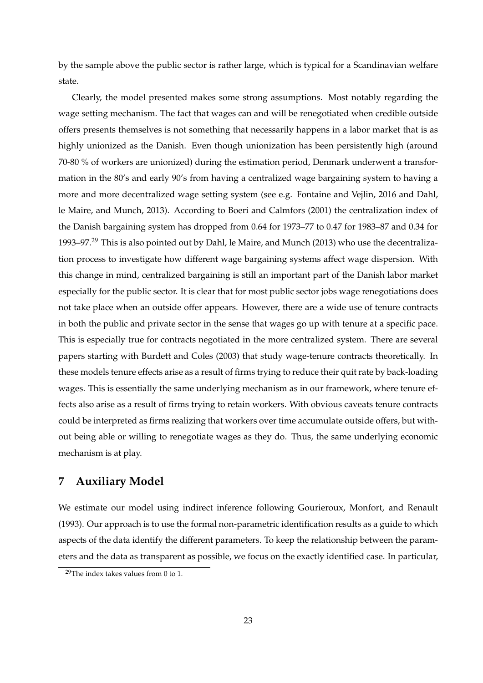by the sample above the public sector is rather large, which is typical for a Scandinavian welfare state.

Clearly, the model presented makes some strong assumptions. Most notably regarding the wage setting mechanism. The fact that wages can and will be renegotiated when credible outside offers presents themselves is not something that necessarily happens in a labor market that is as highly unionized as the Danish. Even though unionization has been persistently high (around 70-80 % of workers are unionized) during the estimation period, Denmark underwent a transformation in the 80's and early 90's from having a centralized wage bargaining system to having a more and more decentralized wage setting system (see e.g. Fontaine and Vejlin, 2016 and Dahl, le Maire, and Munch, 2013). According to Boeri and Calmfors (2001) the centralization index of the Danish bargaining system has dropped from 0.64 for 1973–77 to 0.47 for 1983–87 and 0.34 for 1993–97.<sup>29</sup> This is also pointed out by Dahl, le Maire, and Munch (2013) who use the decentralization process to investigate how different wage bargaining systems affect wage dispersion. With this change in mind, centralized bargaining is still an important part of the Danish labor market especially for the public sector. It is clear that for most public sector jobs wage renegotiations does not take place when an outside offer appears. However, there are a wide use of tenure contracts in both the public and private sector in the sense that wages go up with tenure at a specific pace. This is especially true for contracts negotiated in the more centralized system. There are several papers starting with Burdett and Coles (2003) that study wage-tenure contracts theoretically. In these models tenure effects arise as a result of firms trying to reduce their quit rate by back-loading wages. This is essentially the same underlying mechanism as in our framework, where tenure effects also arise as a result of firms trying to retain workers. With obvious caveats tenure contracts could be interpreted as firms realizing that workers over time accumulate outside offers, but without being able or willing to renegotiate wages as they do. Thus, the same underlying economic mechanism is at play.

### **7 Auxiliary Model**

We estimate our model using indirect inference following Gourieroux, Monfort, and Renault (1993). Our approach is to use the formal non-parametric identification results as a guide to which aspects of the data identify the different parameters. To keep the relationship between the parameters and the data as transparent as possible, we focus on the exactly identified case. In particular,

<sup>29</sup>The index takes values from 0 to 1.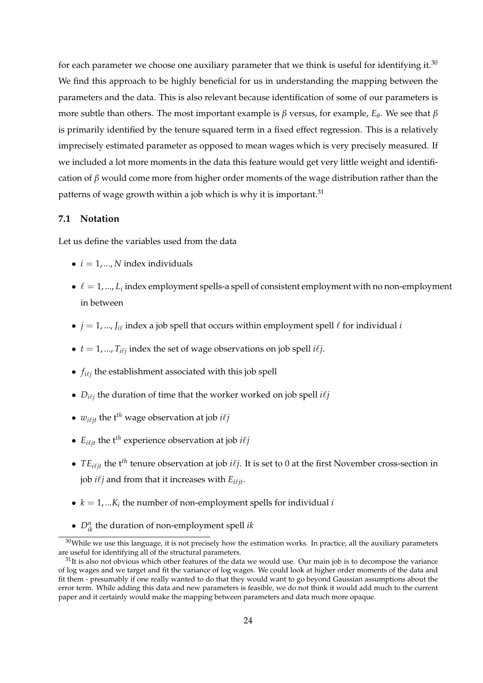for each parameter we choose one auxiliary parameter that we think is useful for identifying it.<sup>30</sup> We find this approach to be highly beneficial for us in understanding the mapping between the parameters and the data. This is also relevant because identification of some of our parameters is more subtle than others. The most important example is *β* versus, for example, *E<sup>θ</sup>* . We see that *β* is primarily identified by the tenure squared term in a fixed effect regression. This is a relatively imprecisely estimated parameter as opposed to mean wages which is very precisely measured. If we included a lot more moments in the data this feature would get very little weight and identification of *β* would come more from higher order moments of the wage distribution rather than the patterns of wage growth within a job which is why it is important.<sup>31</sup>

#### **7.1 Notation**

Let us define the variables used from the data

- $\bullet$  *i* = 1, ..., *N* index individuals
- $\bullet \ell = 1, ..., L_i$  index employment spells-a spell of consistent employment with no non-employment in between
- $j = 1, ..., J_{i\ell}$  index a job spell that occurs within employment spell  $\ell$  for individual *i*
- $t = 1, ..., T_{i\ell j}$  index the set of wage observations on job spell  $i\ell j$ .
- $f_{i\ell j}$  the establishment associated with this job spell
- $D_{i\ell j}$  the duration of time that the worker worked on job spell  $i\ell j$
- $w_{i\ell j}$  the t<sup>th</sup> wage observation at job  $i\ell j$
- $E_{i\ell j}$  the t<sup>th</sup> experience observation at job  $i\ell j$
- *TE*<sub>*i* $\ell$ <sup>*jt*</sup> tenure observation at job *i* $\ell$ *j*. It is set to 0 at the first November cross-section in</sub> job  $i\ell j$  and from that it increases with  $E_{i\ell j t}$ .
- $k = 1, \dots, K_i$  the number of non-employment spells for individual *i*
- *D<sup>n</sup> ik* the duration of non-employment spell *ik*

 $30$ While we use this language, it is not precisely how the estimation works. In practice, all the auxiliary parameters are useful for identifying all of the structural parameters.

 $31$ It is also not obvious which other features of the data we would use. Our main job is to decompose the variance of log wages and we target and fit the variance of log wages. We could look at higher order moments of the data and fit them - presumably if one really wanted to do that they would want to go beyond Gaussian assumptions about the error term. While adding this data and new parameters is feasible, we do not think it would add much to the current paper and it certainly would make the mapping between parameters and data much more opaque.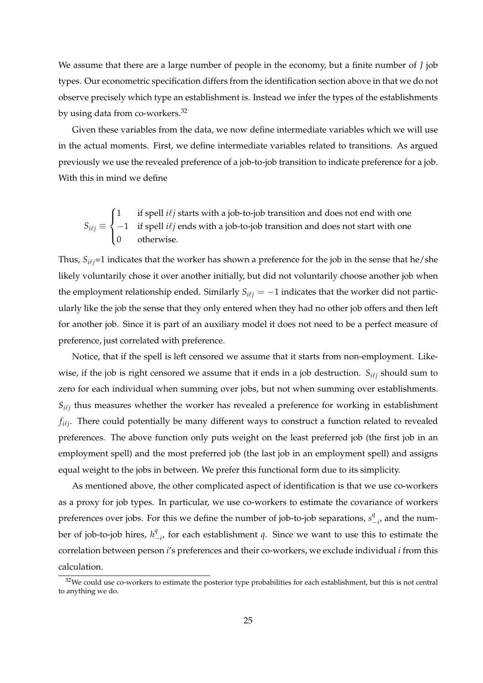We assume that there are a large number of people in the economy, but a finite number of *J* job types. Our econometric specification differs from the identification section above in that we do not observe precisely which type an establishment is. Instead we infer the types of the establishments by using data from co-workers.<sup>32</sup>

Given these variables from the data, we now define intermediate variables which we will use in the actual moments. First, we define intermediate variables related to transitions. As argued previously we use the revealed preference of a job-to-job transition to indicate preference for a job. With this in mind we define

$$
S_{i\ell j} \equiv \begin{cases} 1 & \text{if spell } i\ell j \text{ starts with a job-to-job transition and does not end with one} \\ -1 & \text{if spell } i\ell j \text{ ends with a job-to-job transition and does not start with one} \\ 0 & \text{otherwise.} \end{cases}
$$

Thus,  $S_{i\ell j}$ =1 indicates that the worker has shown a preference for the job in the sense that he/she likely voluntarily chose it over another initially, but did not voluntarily choose another job when the employment relationship ended. Similarly  $S_{i\ell j} = -1$  indicates that the worker did not particularly like the job the sense that they only entered when they had no other job offers and then left for another job. Since it is part of an auxiliary model it does not need to be a perfect measure of preference, just correlated with preference.

Notice, that if the spell is left censored we assume that it starts from non-employment. Likewise, if the job is right censored we assume that it ends in a job destruction.  $S_{i\ell j}$  should sum to zero for each individual when summing over jobs, but not when summing over establishments.  $S_{i\ell j}$  thus measures whether the worker has revealed a preference for working in establishment  $f_{i\ell j}$ . There could potentially be many different ways to construct a function related to revealed preferences. The above function only puts weight on the least preferred job (the first job in an employment spell) and the most preferred job (the last job in an employment spell) and assigns equal weight to the jobs in between. We prefer this functional form due to its simplicity.

As mentioned above, the other complicated aspect of identification is that we use co-workers as a proxy for job types. In particular, we use co-workers to estimate the covariance of workers preferences over jobs. For this we define the number of job-to-job separations,  $s^q$  $\int_{-i}^{q}$  and the number of job-to-job hires,  $h^q$  $\frac{q}{q}$ , for each establishment *q*. Since we want to use this to estimate the correlation between person *i*'s preferences and their co-workers, we exclude individual *i* from this calculation.

<sup>&</sup>lt;sup>32</sup>We could use co-workers to estimate the posterior type probabilities for each establishment, but this is not central to anything we do.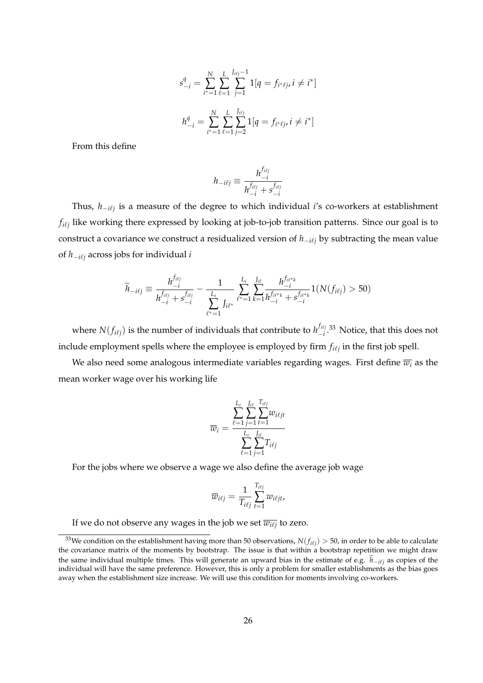$$
s_{-i}^q = \sum_{i^* = 1}^N \sum_{\ell=1}^L \sum_{j=1}^{J_{i\ell j} - 1} 1[q = f_{i^* \ell j}, i \neq i^*]
$$

$$
h_{-i}^q = \sum_{i^* = 1}^N \sum_{\ell=1}^L \sum_{j=2}^{J_{i\ell j}} 1[q = f_{i^* \ell j}, i \neq i^*]
$$

From this define

$$
h_{-i\ell j} \equiv \frac{h_{-i}^{f_{i\ell j}}}{h_{-i}^{f_{i\ell j}} + s_{-i}^{f_{i\ell j}}}
$$

Thus*, h<sub>−iℓj</sub>* is a measure of the degree to which individual *i'*s co-workers at establishment  $f_{i\ell j}$  like working there expressed by looking at job-to-job transition patterns. Since our goal is to construct a covariance we construct a residualized version of  $h$ <sub>−*i* $i$ </sub> by subtracting the mean value of  $h_{-i\ell j}$  across jobs for individual *i* 

$$
\widetilde{h}_{-i\ell j} \equiv \frac{h_{-i}^{f_{i\ell j}}}{h_{-i}^{f_{i\ell j}} + s_{-i}^{f_{i\ell j}}} - \frac{1}{\sum_{\ell^*=1}^{L_i} J_{i\ell^*}} \sum_{\ell^* = 1}^{L_i} \sum_{k=1}^{J_{i\ell}} \frac{h_{-i}^{f_{i\ell^* k}}}{h_{-i}^{f_{i\ell^* k}} + s_{-i}^{f_{i\ell^* k}}} 1(N(f_{i\ell j}) > 50)
$$

where  $N(f_{i\ell j})$  is the number of individuals that contribute to  $h_{-i}^{f_{i\ell j}}$  $\frac{J^{ij}}{J}$  33 Notice, that this does not include employment spells where the employee is employed by firm  $f_{i\ell j}$  in the first job spell.

We also need some analogous intermediate variables regarding wages. First define  $\overline{w_i}$  as the mean worker wage over his working life

$$
\overline{w}_{i} = \frac{\sum_{\ell=1}^{L_{i}} \sum_{j=1}^{J_{i\ell}} \sum_{t=1}^{T_{i\ell j}} w_{i\ell j t}}{\sum_{\ell=1}^{L_{i}} \sum_{j=1}^{J_{i\ell}} T_{i\ell j}}
$$

For the jobs where we observe a wage we also define the average job wage

$$
\overline{w}_{i\ell j} = \frac{1}{T_{i\ell j}} \sum_{t=1}^{T_{i\ell j}} w_{i\ell j t},
$$

If we do not observe any wages in the job we set  $\overline{w_{i\ell j}}$  to zero.

 $^{33}$ We condition on the establishment having more than 50 observations,  $N(f_{i\ell j})>$  50, in order to be able to calculate the covariance matrix of the moments by bootstrap. The issue is that within a bootstrap repetition we might draw the same individual multiple times. This will generate an upward bias in the estimate of e.g.  $\tilde{h}_{-i\ell j}$  as copies of the individual will have the same preference. However, this is only a problem for smaller establishments as the bias goes away when the establishment size increase. We will use this condition for moments involving co-workers.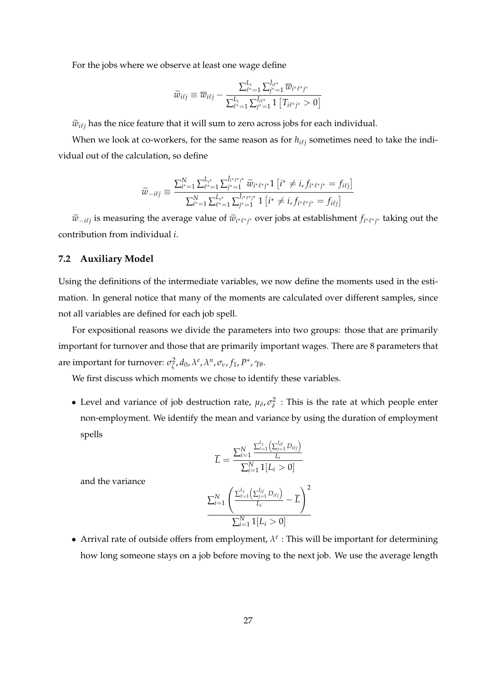For the jobs where we observe at least one wage define

$$
\widetilde{w}_{i\ell j} \equiv \overline{w}_{i\ell j} - \frac{\sum_{\ell^* = 1}^{L_i} \sum_{j^* = 1}^{J_{i\ell^*}} \overline{w}_{i^* \ell^* j^*}}{\sum_{\ell^* = 1}^{L_i} \sum_{j^* = 1}^{J_{i\ell^*}} 1 \left[ T_{i\ell^* j^*} > 0 \right]}
$$

 $\widetilde{w}_{i\ell j}$  has the nice feature that it will sum to zero across jobs for each individual.

When we look at co-workers, for the same reason as for  $h_{i\ell j}$  sometimes need to take the individual out of the calculation, so define

$$
\widetilde{w}_{-i\ell j} \equiv \frac{\sum_{i^* = 1}^N \sum_{\ell^* = 1}^{L_{\ell^*}} \sum_{j^* = 1}^{J_{i^* \ell^* j^*}} \widetilde{w}_{i^* \ell^* j^*} 1 \left[ i^* \neq i, f_{i^* \ell^* j^*} = f_{i\ell j} \right]}{\sum_{i^* = 1}^N \sum_{\ell^* = 1}^{L_{\ell^*}} \sum_{j^* = 1}^{J_{i^* \ell^* j^*}} 1 \left[ i^* \neq i, f_{i^* \ell^* j^*} = f_{i\ell j} \right]}
$$

 $\widetilde{w}_{-i\ell j}$  is measuring the average value of  $\widetilde{w}_{i^*\ell^*j^*}$  over jobs at establishment  $f_{i^*\ell^*j^*}$  taking out the contribution from individual *i*.

#### **7.2 Auxiliary Model**

Using the definitions of the intermediate variables, we now define the moments used in the estimation. In general notice that many of the moments are calculated over different samples, since not all variables are defined for each job spell.

For expositional reasons we divide the parameters into two groups: those that are primarily important for turnover and those that are primarily important wages. There are 8 parameters that are important for turnover:  $\sigma_{\zeta}^2$ *ζ* , *d*0, *λ e* , *λ n* , *σν*, *f*1, *P* ∗ , *γ<sup>θ</sup>* .

We first discuss which moments we chose to identify these variables.

• Level and variance of job destruction rate,  $\mu_{\delta}$ ,  $\sigma_{\delta}^2$  $\frac{2}{\delta}$  : This is the rate at which people enter non-employment. We identify the mean and variance by using the duration of employment spells

$$
\overline{L} = \frac{\sum_{i=1}^{N} \frac{\sum_{\ell=1}^{L_i} \left( \sum_{j=1}^{J_{i\ell}} D_{i\ell j} \right)}{L_i}}{\sum_{i=1}^{N} 1[L_i > 0]}
$$

and the variance

$$
\frac{\sum_{i=1}^{N} \left( \frac{\sum_{\ell=1}^{L_i} \left( \sum_{j=1}^{J_{i\ell}} D_{i\ell j} \right)}{L_i} - \overline{L} \right)^2}{\sum_{i=1}^{N} 1[L_i > 0]}
$$

• Arrival rate of outside offers from employment,  $\lambda^e$  : This will be important for determining how long someone stays on a job before moving to the next job. We use the average length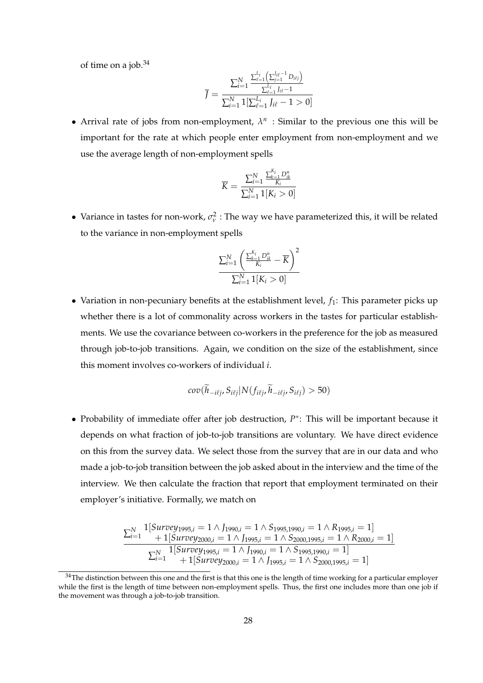of time on a job. $34$ 

$$
\overline{J} = \frac{\sum_{i=1}^{N} \frac{\sum_{\ell=1}^{L_i} \left( \sum_{j=1}^{J_{i\ell}-1} D_{i\ell j} \right)}{\sum_{i=1}^{L_i} J_{i\ell} - 1}}{\sum_{i=1}^{N} \mathbb{1}[\sum_{\ell=1}^{L_i} J_{i\ell} - 1 > 0]}
$$

• Arrival rate of jobs from non-employment,  $\lambda^n$  : Similar to the previous one this will be important for the rate at which people enter employment from non-employment and we use the average length of non-employment spells

$$
\overline{K} = \frac{\sum_{i=1}^{N} \frac{\sum_{k=1}^{K_i} D_{ik}^n}{K_i}}{\sum_{i=1}^{N} 1[K_i > 0]}
$$

• Variance in tastes for non-work,  $\sigma_v^2$  : The way we have parameterized this, it will be related to the variance in non-employment spells

$$
\frac{\sum_{i=1}^N\left(\frac{\sum_{k=1}^{K_i}D_{ik}^n}{K_i}-\overline{K}\right)^2}{\sum_{i=1}^N\mathbf{1}[K_i>0]}
$$

• Variation in non-pecuniary benefits at the establishment level,  $f_1$ : This parameter picks up whether there is a lot of commonality across workers in the tastes for particular establishments. We use the covariance between co-workers in the preference for the job as measured through job-to-job transitions. Again, we condition on the size of the establishment, since this moment involves co-workers of individual *i*.

$$
cov(h_{-i\ell j}, S_{i\ell j}|N(f_{i\ell j}, h_{-i\ell j}, S_{i\ell j}) > 50)
$$

• Probability of immediate offer after job destruction, *P* ∗ : This will be important because it depends on what fraction of job-to-job transitions are voluntary. We have direct evidence on this from the survey data. We select those from the survey that are in our data and who made a job-to-job transition between the job asked about in the interview and the time of the interview. We then calculate the fraction that report that employment terminated on their employer's initiative. Formally, we match on

$$
\frac{\sum_{i=1}^{N} 1[Survey_{1995,i} = 1 \land J_{1990,i} = 1 \land S_{1995,1990,i} = 1 \land R_{1995,i} = 1]}{\sum_{i=1}^{N} 1[ Survey_{2000,i} = 1 \land J_{1995,i} = 1 \land S_{2000,1995,i} = 1 \land R_{2000,i} = 1]}{\sum_{i=1}^{N} 1[ Survey_{1995,i} = 1 \land J_{1990,i} = 1 \land S_{1995,1990,i} = 1]} + 1[ Survey_{2000,i} = 1 \land J_{1995,i} = 1 \land S_{2000,1995,i} = 1]
$$

 $34$ The distinction between this one and the first is that this one is the length of time working for a particular employer while the first is the length of time between non-employment spells. Thus, the first one includes more than one job if the movement was through a job-to-job transition.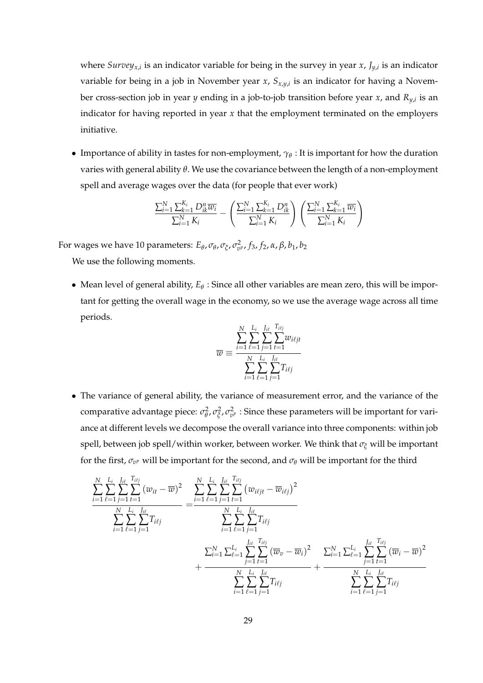where *Surveyx*,*<sup>i</sup>* is an indicator variable for being in the survey in year *x*, *Jy*,*<sup>i</sup>* is an indicator variable for being in a job in November year *x*, *Sx*,*y*,*<sup>i</sup>* is an indicator for having a November cross-section job in year *y* ending in a job-to-job transition before year *x*, and *Ry*,*<sup>i</sup>* is an indicator for having reported in year *x* that the employment terminated on the employers initiative.

• Importance of ability in tastes for non-employment, *γ<sup>θ</sup>* : It is important for how the duration varies with general ability *θ*. We use the covariance between the length of a non-employment spell and average wages over the data (for people that ever work)

$$
\frac{\sum_{i=1}^{N} \sum_{k=1}^{K_i} D_{ik}^n \overline{w_i}}{\sum_{i=1}^{N} K_i} - \left(\frac{\sum_{i=1}^{N} \sum_{k=1}^{K_i} D_{ik}^n}{\sum_{i=1}^{N} K_i}\right) \left(\frac{\sum_{i=1}^{N} \sum_{k=1}^{K_i} \overline{w_i}}{\sum_{i=1}^{N} K_i}\right)
$$

For wages we have 10 parameters:  $E_{\theta}$ ,  $\sigma_{\theta}$ ,  $\sigma_{\xi}$ ,  $\sigma_{v}^2$ ,  $f_3$ ,  $f_2$ , α, β,  $b_1$ ,  $b_2$ 

We use the following moments.

• Mean level of general ability, *E<sup>θ</sup>* : Since all other variables are mean zero, this will be important for getting the overall wage in the economy, so we use the average wage across all time periods.

$$
\overline{w} \equiv \frac{\sum_{i=1}^{N} \sum_{\ell=1}^{L_i} \sum_{j=1}^{J_{i\ell}} \sum_{t=1}^{T_{i\ell j}} w_{i\ell j\ell}}{\sum_{i=1}^{N} \sum_{\ell=1}^{L_i} \sum_{j=1}^{J_{i\ell}} T_{i\ell j}}
$$

• The variance of general ability, the variance of measurement error, and the variance of the comparative advantage piece: *σ*<sup>2</sup><sub>θ</sub> *θ* , *σ* 2  $\frac{2}{\xi}$ ,  $\sigma_{v^p}^2$  : Since these parameters will be important for variance at different levels we decompose the overall variance into three components: within job spell, between job spell/within worker, between worker. We think that *σ<sup>ξ</sup>* will be important for the first,  $\sigma_{v^p}$  will be important for the second, and  $\sigma_\theta$  will be important for the third

$$
\frac{\sum_{i=1}^{N}\sum_{\ell=1}^{L_i}\sum_{j=1}^{T_{i\ell j}}(w_{it} - \overline{w})^2}{\sum_{i=1}^{N}\sum_{\ell=1}^{L_i}\sum_{j=1}^{I_{i\ell}}T_{i\ell j}} = \frac{\sum_{i=1}^{N}\sum_{\ell=1}^{L_i}\sum_{j=1}^{T_{i\ell j}}(w_{i\ell j t} - \overline{w}_{i\ell j})^2}{\sum_{i=1}^{N}\sum_{\ell=1}^{L_i}\sum_{j=1}^{I_{i\ell}}T_{i\ell j}}\n\frac{\sum_{i=1}^{N}\sum_{\ell=1}^{L_i}\sum_{j=1}^{I_{i\ell}}T_{i\ell j}}{\sum_{i=1}^{N}\sum_{\ell=1}^{L_i}\sum_{j=1}^{I_{i\ell}}(\overline{w}_{v} - \overline{w}_{i})^2}\n+ \frac{\sum_{i=1}^{N}\sum_{\ell=1}^{L_i}\sum_{j=1}^{I_{i\ell}}(\overline{w}_{i} - \overline{w})^2}{\sum_{i=1}^{N}\sum_{\ell=1}^{L_i}\sum_{j=1}^{I_{i\ell}}T_{i\ell j}} + \frac{\sum_{i=1}^{N}\sum_{\ell=1}^{L_i}\sum_{j=1}^{I_{i\ell}}(\overline{w}_{i} - \overline{w})^2}{\sum_{i=1}^{N}\sum_{\ell=1}^{L_i}\sum_{j=1}^{I_{i\ell}}T_{i\ell j}}
$$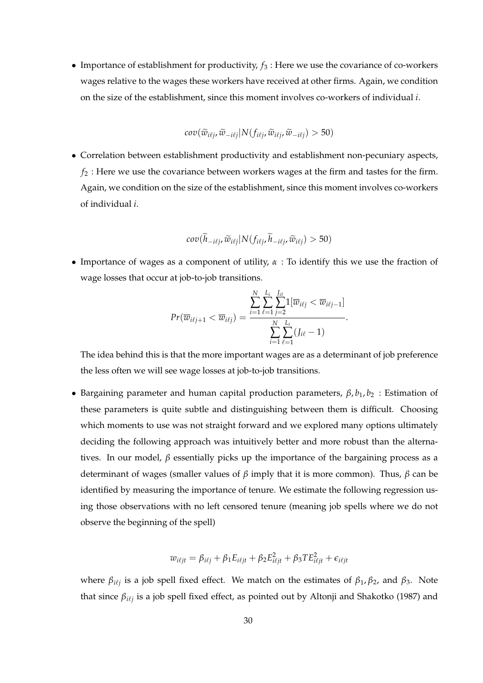• Importance of establishment for productivity,  $f_3$ : Here we use the covariance of co-workers wages relative to the wages these workers have received at other firms. Again, we condition on the size of the establishment, since this moment involves co-workers of individual *i*.

$$
cov(\widetilde{w}_{i\ell j}, \widetilde{w}_{-i\ell j}|N(f_{i\ell j}, \widetilde{w}_{i\ell j}, \widetilde{w}_{-i\ell j}) > 50)
$$

• Correlation between establishment productivity and establishment non-pecuniary aspects, *f*<sup>2</sup> : Here we use the covariance between workers wages at the firm and tastes for the firm. Again, we condition on the size of the establishment, since this moment involves co-workers of individual *i*.

$$
cov(\widetilde{h}_{-i\ell j}, \widetilde{w}_{i\ell j} | N(f_{i\ell j}, \widetilde{h}_{-i\ell j}, \widetilde{w}_{i\ell j}) > 50)
$$

• Importance of wages as a component of utility, *α* : To identify this we use the fraction of wage losses that occur at job-to-job transitions.

$$
Pr(\overline{w}_{i\ell j+1} < \overline{w}_{i\ell j}) = \frac{\sum_{i=1}^{N} \sum_{\ell=1}^{L_i} \sum_{j=2}^{J_{i\ell}} 1[\overline{w}_{i\ell j} < \overline{w}_{i\ell j-1}]}{\sum_{i=1}^{N} \sum_{\ell=1}^{L_i} (J_{i\ell} - 1)}.
$$

The idea behind this is that the more important wages are as a determinant of job preference the less often we will see wage losses at job-to-job transitions.

• Bargaining parameter and human capital production parameters,  $\beta$ ,  $b_1$ ,  $b_2$ : Estimation of these parameters is quite subtle and distinguishing between them is difficult. Choosing which moments to use was not straight forward and we explored many options ultimately deciding the following approach was intuitively better and more robust than the alternatives. In our model, *β* essentially picks up the importance of the bargaining process as a determinant of wages (smaller values of *β* imply that it is more common). Thus, *β* can be identified by measuring the importance of tenure. We estimate the following regression using those observations with no left censored tenure (meaning job spells where we do not observe the beginning of the spell)

$$
w_{i\ell j t} = \beta_{i\ell j} + \beta_1 E_{i\ell j t} + \beta_2 E_{i\ell j t}^2 + \beta_3 T E_{i\ell j t}^2 + \epsilon_{i\ell j t}
$$

where  $β_{i\ell j}$  is a job spell fixed effect. We match on the estimates of  $β_1$ ,  $β_2$ , and  $β_3$ . Note that since  $β_{i\ell j}$  is a job spell fixed effect, as pointed out by Altonji and Shakotko (1987) and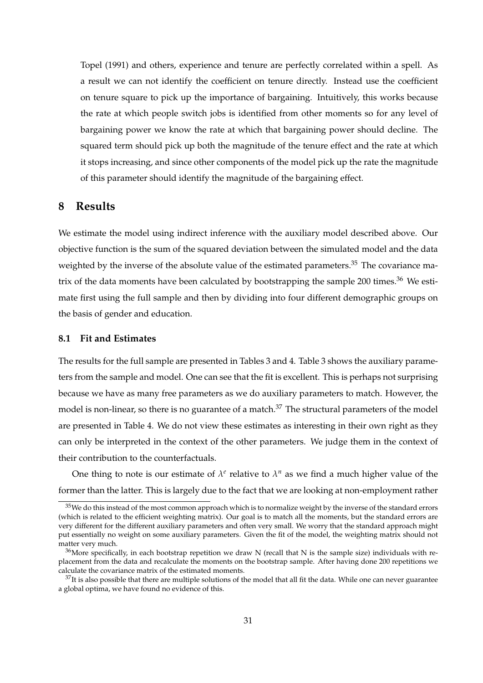Topel (1991) and others, experience and tenure are perfectly correlated within a spell. As a result we can not identify the coefficient on tenure directly. Instead use the coefficient on tenure square to pick up the importance of bargaining. Intuitively, this works because the rate at which people switch jobs is identified from other moments so for any level of bargaining power we know the rate at which that bargaining power should decline. The squared term should pick up both the magnitude of the tenure effect and the rate at which it stops increasing, and since other components of the model pick up the rate the magnitude of this parameter should identify the magnitude of the bargaining effect.

#### **8 Results**

We estimate the model using indirect inference with the auxiliary model described above. Our objective function is the sum of the squared deviation between the simulated model and the data weighted by the inverse of the absolute value of the estimated parameters.<sup>35</sup> The covariance matrix of the data moments have been calculated by bootstrapping the sample 200 times. $36$  We estimate first using the full sample and then by dividing into four different demographic groups on the basis of gender and education.

#### **8.1 Fit and Estimates**

The results for the full sample are presented in Tables 3 and 4. Table 3 shows the auxiliary parameters from the sample and model. One can see that the fit is excellent. This is perhaps not surprising because we have as many free parameters as we do auxiliary parameters to match. However, the model is non-linear, so there is no guarantee of a match.<sup>37</sup> The structural parameters of the model are presented in Table 4. We do not view these estimates as interesting in their own right as they can only be interpreted in the context of the other parameters. We judge them in the context of their contribution to the counterfactuals.

One thing to note is our estimate of  $\lambda^e$  relative to  $\lambda^n$  as we find a much higher value of the former than the latter. This is largely due to the fact that we are looking at non-employment rather

<sup>&</sup>lt;sup>35</sup>We do this instead of the most common approach which is to normalize weight by the inverse of the standard errors (which is related to the efficient weighting matrix). Our goal is to match all the moments, but the standard errors are very different for the different auxiliary parameters and often very small. We worry that the standard approach might put essentially no weight on some auxiliary parameters. Given the fit of the model, the weighting matrix should not matter very much.

 $36$ More specifically, in each bootstrap repetition we draw N (recall that N is the sample size) individuals with replacement from the data and recalculate the moments on the bootstrap sample. After having done 200 repetitions we calculate the covariance matrix of the estimated moments.

 $37$ It is also possible that there are multiple solutions of the model that all fit the data. While one can never guarantee a global optima, we have found no evidence of this.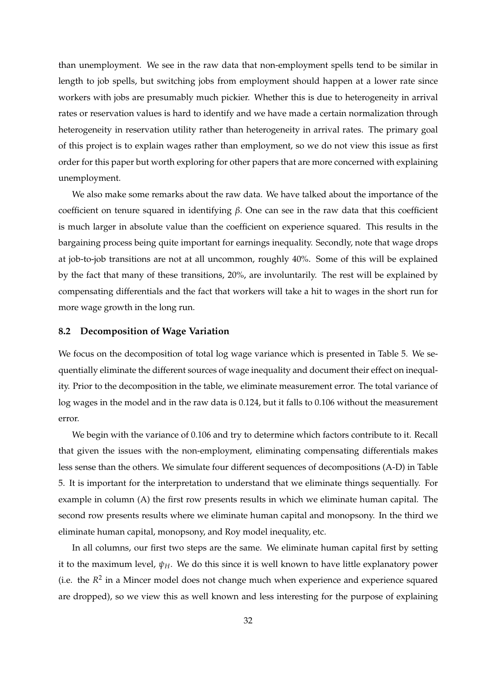than unemployment. We see in the raw data that non-employment spells tend to be similar in length to job spells, but switching jobs from employment should happen at a lower rate since workers with jobs are presumably much pickier. Whether this is due to heterogeneity in arrival rates or reservation values is hard to identify and we have made a certain normalization through heterogeneity in reservation utility rather than heterogeneity in arrival rates. The primary goal of this project is to explain wages rather than employment, so we do not view this issue as first order for this paper but worth exploring for other papers that are more concerned with explaining unemployment.

We also make some remarks about the raw data. We have talked about the importance of the coefficient on tenure squared in identifying *β*. One can see in the raw data that this coefficient is much larger in absolute value than the coefficient on experience squared. This results in the bargaining process being quite important for earnings inequality. Secondly, note that wage drops at job-to-job transitions are not at all uncommon, roughly 40%. Some of this will be explained by the fact that many of these transitions, 20%, are involuntarily. The rest will be explained by compensating differentials and the fact that workers will take a hit to wages in the short run for more wage growth in the long run.

#### **8.2 Decomposition of Wage Variation**

We focus on the decomposition of total log wage variance which is presented in Table 5. We sequentially eliminate the different sources of wage inequality and document their effect on inequality. Prior to the decomposition in the table, we eliminate measurement error. The total variance of log wages in the model and in the raw data is 0.124, but it falls to 0.106 without the measurement error.

We begin with the variance of 0.106 and try to determine which factors contribute to it. Recall that given the issues with the non-employment, eliminating compensating differentials makes less sense than the others. We simulate four different sequences of decompositions (A-D) in Table 5. It is important for the interpretation to understand that we eliminate things sequentially. For example in column (A) the first row presents results in which we eliminate human capital. The second row presents results where we eliminate human capital and monopsony. In the third we eliminate human capital, monopsony, and Roy model inequality, etc.

In all columns, our first two steps are the same. We eliminate human capital first by setting it to the maximum level,  $\psi_H$ . We do this since it is well known to have little explanatory power (i.e. the  $R^2$  in a Mincer model does not change much when experience and experience squared are dropped), so we view this as well known and less interesting for the purpose of explaining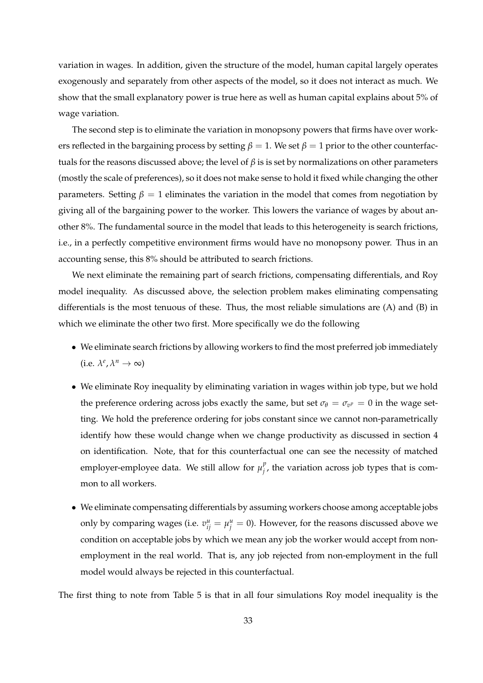variation in wages. In addition, given the structure of the model, human capital largely operates exogenously and separately from other aspects of the model, so it does not interact as much. We show that the small explanatory power is true here as well as human capital explains about 5% of wage variation.

The second step is to eliminate the variation in monopsony powers that firms have over workers reflected in the bargaining process by setting  $\beta = 1$ . We set  $\beta = 1$  prior to the other counterfactuals for the reasons discussed above; the level of *β* is is set by normalizations on other parameters (mostly the scale of preferences), so it does not make sense to hold it fixed while changing the other parameters. Setting  $\beta = 1$  eliminates the variation in the model that comes from negotiation by giving all of the bargaining power to the worker. This lowers the variance of wages by about another 8%. The fundamental source in the model that leads to this heterogeneity is search frictions, i.e., in a perfectly competitive environment firms would have no monopsony power. Thus in an accounting sense, this 8% should be attributed to search frictions.

We next eliminate the remaining part of search frictions, compensating differentials, and Roy model inequality. As discussed above, the selection problem makes eliminating compensating differentials is the most tenuous of these. Thus, the most reliable simulations are (A) and (B) in which we eliminate the other two first. More specifically we do the following

- We eliminate search frictions by allowing workers to find the most preferred job immediately  $(i.e. \lambda^e, \lambda^n \to \infty)$
- We eliminate Roy inequality by eliminating variation in wages within job type, but we hold the preference ordering across jobs exactly the same, but set  $\sigma_{\theta} = \sigma_{v^p} = 0$  in the wage setting. We hold the preference ordering for jobs constant since we cannot non-parametrically identify how these would change when we change productivity as discussed in section 4 on identification. Note, that for this counterfactual one can see the necessity of matched employer-employee data. We still allow for  $\mu_i^p$  $j'$ , the variation across job types that is common to all workers.
- We eliminate compensating differentials by assuming workers choose among acceptable jobs only by comparing wages (i.e.  $v_{ij}^u = \mu_j^u = 0$ ). However, for the reasons discussed above we condition on acceptable jobs by which we mean any job the worker would accept from nonemployment in the real world. That is, any job rejected from non-employment in the full model would always be rejected in this counterfactual.

The first thing to note from Table 5 is that in all four simulations Roy model inequality is the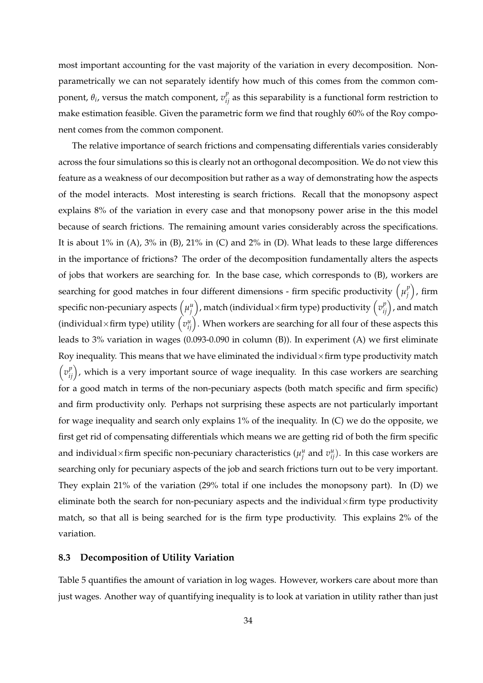most important accounting for the vast majority of the variation in every decomposition. Nonparametrically we can not separately identify how much of this comes from the common component,  $\theta_i$ , versus the match component,  $v_{ij}^p$  as this separability is a functional form restriction to make estimation feasible. Given the parametric form we find that roughly 60% of the Roy component comes from the common component.

The relative importance of search frictions and compensating differentials varies considerably across the four simulations so this is clearly not an orthogonal decomposition. We do not view this feature as a weakness of our decomposition but rather as a way of demonstrating how the aspects of the model interacts. Most interesting is search frictions. Recall that the monopsony aspect explains 8% of the variation in every case and that monopsony power arise in the this model because of search frictions. The remaining amount varies considerably across the specifications. It is about 1% in (A), 3% in (B), 21% in (C) and 2% in (D). What leads to these large differences in the importance of frictions? The order of the decomposition fundamentally alters the aspects of jobs that workers are searching for. In the base case, which corresponds to (B), workers are searching for good matches in four different dimensions - firm specific productivity  $\left(\mu_j^p\right)$  $\binom{p}{j}$ , firm specific non-pecuniary aspects  $\left(\mu_j^u\right)$ , match (individual×firm type) productivity  $\left(v_{ij}^p\right)$ , and match (individual×firm type) utility  $\left(v_{ij}^u\right)$ . When workers are searching for all four of these aspects this leads to 3% variation in wages (0.093-0.090 in column (B)). In experiment (A) we first eliminate Roy inequality. This means that we have eliminated the individual  $\times$  firm type productivity match  $\left(v_{ij}^p\right)$ , which is a very important source of wage inequality. In this case workers are searching for a good match in terms of the non-pecuniary aspects (both match specific and firm specific) and firm productivity only. Perhaps not surprising these aspects are not particularly important for wage inequality and search only explains 1% of the inequality. In (C) we do the opposite, we first get rid of compensating differentials which means we are getting rid of both the firm specific and individual×firm specific non-pecuniary characteristics ( $\mu_j^u$  and  $v_{ij}^u$ ). In this case workers are searching only for pecuniary aspects of the job and search frictions turn out to be very important. They explain 21% of the variation (29% total if one includes the monopsony part). In (D) we eliminate both the search for non-pecuniary aspects and the individual $\times$ firm type productivity match, so that all is being searched for is the firm type productivity. This explains 2% of the variation.

## **8.3 Decomposition of Utility Variation**

Table 5 quantifies the amount of variation in log wages. However, workers care about more than just wages. Another way of quantifying inequality is to look at variation in utility rather than just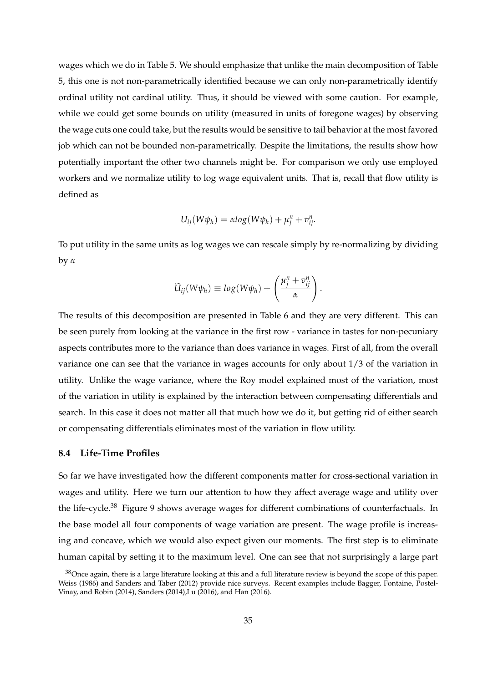wages which we do in Table 5. We should emphasize that unlike the main decomposition of Table 5, this one is not non-parametrically identified because we can only non-parametrically identify ordinal utility not cardinal utility. Thus, it should be viewed with some caution. For example, while we could get some bounds on utility (measured in units of foregone wages) by observing the wage cuts one could take, but the results would be sensitive to tail behavior at the most favored job which can not be bounded non-parametrically. Despite the limitations, the results show how potentially important the other two channels might be. For comparison we only use employed workers and we normalize utility to log wage equivalent units. That is, recall that flow utility is defined as

$$
U_{ij}(W\psi_h)=\alpha log(W\psi_h)+\mu_j^n+v_{ij}^n.
$$

To put utility in the same units as log wages we can rescale simply by re-normalizing by dividing by *α*

$$
\widetilde{U}_{ij}(W\psi_h) \equiv log(W\psi_h) + \left(\frac{\mu_j^n + v_{ij}^n}{\alpha}\right).
$$

The results of this decomposition are presented in Table 6 and they are very different. This can be seen purely from looking at the variance in the first row - variance in tastes for non-pecuniary aspects contributes more to the variance than does variance in wages. First of all, from the overall variance one can see that the variance in wages accounts for only about 1/3 of the variation in utility. Unlike the wage variance, where the Roy model explained most of the variation, most of the variation in utility is explained by the interaction between compensating differentials and search. In this case it does not matter all that much how we do it, but getting rid of either search or compensating differentials eliminates most of the variation in flow utility.

#### **8.4 Life-Time Profiles**

So far we have investigated how the different components matter for cross-sectional variation in wages and utility. Here we turn our attention to how they affect average wage and utility over the life-cycle.<sup>38</sup> Figure 9 shows average wages for different combinations of counterfactuals. In the base model all four components of wage variation are present. The wage profile is increasing and concave, which we would also expect given our moments. The first step is to eliminate human capital by setting it to the maximum level. One can see that not surprisingly a large part

 $38$ Once again, there is a large literature looking at this and a full literature review is beyond the scope of this paper. Weiss (1986) and Sanders and Taber (2012) provide nice surveys. Recent examples include Bagger, Fontaine, Postel-Vinay, and Robin (2014), Sanders (2014),Lu (2016), and Han (2016).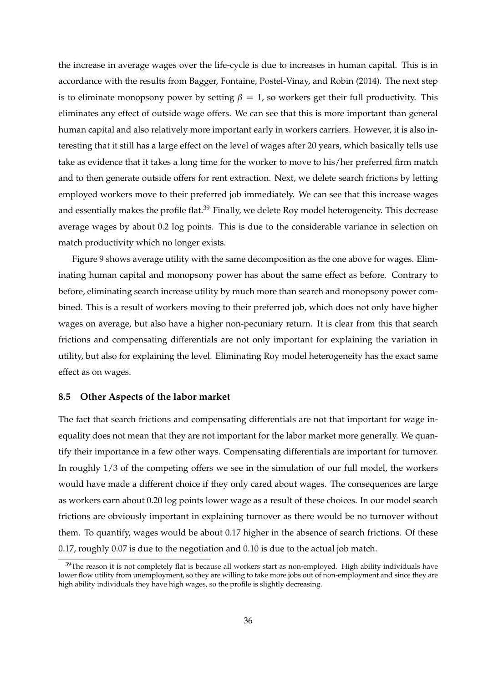the increase in average wages over the life-cycle is due to increases in human capital. This is in accordance with the results from Bagger, Fontaine, Postel-Vinay, and Robin (2014). The next step is to eliminate monopsony power by setting  $\beta = 1$ , so workers get their full productivity. This eliminates any effect of outside wage offers. We can see that this is more important than general human capital and also relatively more important early in workers carriers. However, it is also interesting that it still has a large effect on the level of wages after 20 years, which basically tells use take as evidence that it takes a long time for the worker to move to his/her preferred firm match and to then generate outside offers for rent extraction. Next, we delete search frictions by letting employed workers move to their preferred job immediately. We can see that this increase wages and essentially makes the profile flat.<sup>39</sup> Finally, we delete Roy model heterogeneity. This decrease average wages by about 0.2 log points. This is due to the considerable variance in selection on match productivity which no longer exists.

Figure 9 shows average utility with the same decomposition as the one above for wages. Eliminating human capital and monopsony power has about the same effect as before. Contrary to before, eliminating search increase utility by much more than search and monopsony power combined. This is a result of workers moving to their preferred job, which does not only have higher wages on average, but also have a higher non-pecuniary return. It is clear from this that search frictions and compensating differentials are not only important for explaining the variation in utility, but also for explaining the level. Eliminating Roy model heterogeneity has the exact same effect as on wages.

## **8.5 Other Aspects of the labor market**

The fact that search frictions and compensating differentials are not that important for wage inequality does not mean that they are not important for the labor market more generally. We quantify their importance in a few other ways. Compensating differentials are important for turnover. In roughly 1/3 of the competing offers we see in the simulation of our full model, the workers would have made a different choice if they only cared about wages. The consequences are large as workers earn about 0.20 log points lower wage as a result of these choices. In our model search frictions are obviously important in explaining turnover as there would be no turnover without them. To quantify, wages would be about 0.17 higher in the absence of search frictions. Of these 0.17, roughly 0.07 is due to the negotiation and 0.10 is due to the actual job match.

 $39$ The reason it is not completely flat is because all workers start as non-employed. High ability individuals have lower flow utility from unemployment, so they are willing to take more jobs out of non-employment and since they are high ability individuals they have high wages, so the profile is slightly decreasing.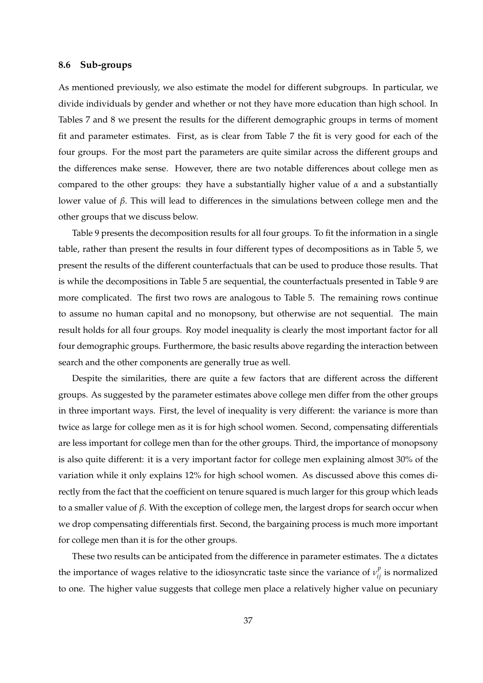## **8.6 Sub-groups**

As mentioned previously, we also estimate the model for different subgroups. In particular, we divide individuals by gender and whether or not they have more education than high school. In Tables 7 and 8 we present the results for the different demographic groups in terms of moment fit and parameter estimates. First, as is clear from Table 7 the fit is very good for each of the four groups. For the most part the parameters are quite similar across the different groups and the differences make sense. However, there are two notable differences about college men as compared to the other groups: they have a substantially higher value of *α* and a substantially lower value of *β*. This will lead to differences in the simulations between college men and the other groups that we discuss below.

Table 9 presents the decomposition results for all four groups. To fit the information in a single table, rather than present the results in four different types of decompositions as in Table 5, we present the results of the different counterfactuals that can be used to produce those results. That is while the decompositions in Table 5 are sequential, the counterfactuals presented in Table 9 are more complicated. The first two rows are analogous to Table 5. The remaining rows continue to assume no human capital and no monopsony, but otherwise are not sequential. The main result holds for all four groups. Roy model inequality is clearly the most important factor for all four demographic groups. Furthermore, the basic results above regarding the interaction between search and the other components are generally true as well.

Despite the similarities, there are quite a few factors that are different across the different groups. As suggested by the parameter estimates above college men differ from the other groups in three important ways. First, the level of inequality is very different: the variance is more than twice as large for college men as it is for high school women. Second, compensating differentials are less important for college men than for the other groups. Third, the importance of monopsony is also quite different: it is a very important factor for college men explaining almost 30% of the variation while it only explains 12% for high school women. As discussed above this comes directly from the fact that the coefficient on tenure squared is much larger for this group which leads to a smaller value of *β*. With the exception of college men, the largest drops for search occur when we drop compensating differentials first. Second, the bargaining process is much more important for college men than it is for the other groups.

These two results can be anticipated from the difference in parameter estimates. The *α* dictates the importance of wages relative to the idiosyncratic taste since the variance of  $v_{ij}^p$  is normalized to one. The higher value suggests that college men place a relatively higher value on pecuniary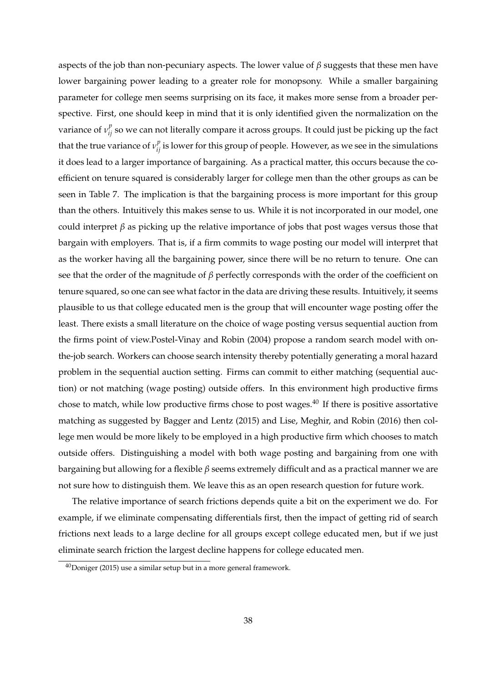aspects of the job than non-pecuniary aspects. The lower value of *β* suggests that these men have lower bargaining power leading to a greater role for monopsony. While a smaller bargaining parameter for college men seems surprising on its face, it makes more sense from a broader perspective. First, one should keep in mind that it is only identified given the normalization on the variance of  $v_{ij}^p$  so we can not literally compare it across groups. It could just be picking up the fact that the true variance of  $v_{ij}^p$  is lower for this group of people. However, as we see in the simulations it does lead to a larger importance of bargaining. As a practical matter, this occurs because the coefficient on tenure squared is considerably larger for college men than the other groups as can be seen in Table 7. The implication is that the bargaining process is more important for this group than the others. Intuitively this makes sense to us. While it is not incorporated in our model, one could interpret *β* as picking up the relative importance of jobs that post wages versus those that bargain with employers. That is, if a firm commits to wage posting our model will interpret that as the worker having all the bargaining power, since there will be no return to tenure. One can see that the order of the magnitude of *β* perfectly corresponds with the order of the coefficient on tenure squared, so one can see what factor in the data are driving these results. Intuitively, it seems plausible to us that college educated men is the group that will encounter wage posting offer the least. There exists a small literature on the choice of wage posting versus sequential auction from the firms point of view.Postel-Vinay and Robin (2004) propose a random search model with onthe-job search. Workers can choose search intensity thereby potentially generating a moral hazard problem in the sequential auction setting. Firms can commit to either matching (sequential auction) or not matching (wage posting) outside offers. In this environment high productive firms chose to match, while low productive firms chose to post wages. $40$  If there is positive assortative matching as suggested by Bagger and Lentz (2015) and Lise, Meghir, and Robin (2016) then college men would be more likely to be employed in a high productive firm which chooses to match outside offers. Distinguishing a model with both wage posting and bargaining from one with bargaining but allowing for a flexible *β* seems extremely difficult and as a practical manner we are not sure how to distinguish them. We leave this as an open research question for future work.

The relative importance of search frictions depends quite a bit on the experiment we do. For example, if we eliminate compensating differentials first, then the impact of getting rid of search frictions next leads to a large decline for all groups except college educated men, but if we just eliminate search friction the largest decline happens for college educated men.

 $40$ Doniger (2015) use a similar setup but in a more general framework.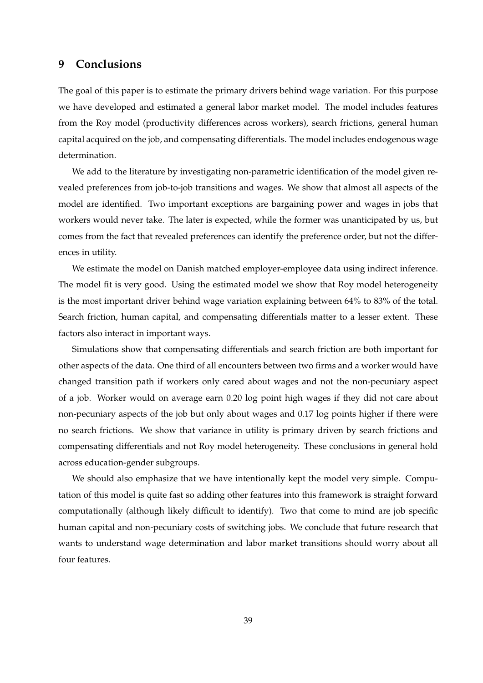## **9 Conclusions**

The goal of this paper is to estimate the primary drivers behind wage variation. For this purpose we have developed and estimated a general labor market model. The model includes features from the Roy model (productivity differences across workers), search frictions, general human capital acquired on the job, and compensating differentials. The model includes endogenous wage determination.

We add to the literature by investigating non-parametric identification of the model given revealed preferences from job-to-job transitions and wages. We show that almost all aspects of the model are identified. Two important exceptions are bargaining power and wages in jobs that workers would never take. The later is expected, while the former was unanticipated by us, but comes from the fact that revealed preferences can identify the preference order, but not the differences in utility.

We estimate the model on Danish matched employer-employee data using indirect inference. The model fit is very good. Using the estimated model we show that Roy model heterogeneity is the most important driver behind wage variation explaining between 64% to 83% of the total. Search friction, human capital, and compensating differentials matter to a lesser extent. These factors also interact in important ways.

Simulations show that compensating differentials and search friction are both important for other aspects of the data. One third of all encounters between two firms and a worker would have changed transition path if workers only cared about wages and not the non-pecuniary aspect of a job. Worker would on average earn 0.20 log point high wages if they did not care about non-pecuniary aspects of the job but only about wages and 0.17 log points higher if there were no search frictions. We show that variance in utility is primary driven by search frictions and compensating differentials and not Roy model heterogeneity. These conclusions in general hold across education-gender subgroups.

We should also emphasize that we have intentionally kept the model very simple. Computation of this model is quite fast so adding other features into this framework is straight forward computationally (although likely difficult to identify). Two that come to mind are job specific human capital and non-pecuniary costs of switching jobs. We conclude that future research that wants to understand wage determination and labor market transitions should worry about all four features.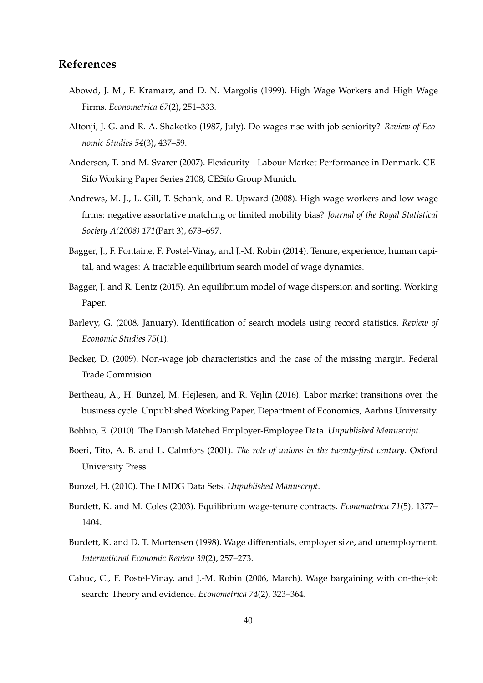# **References**

- Abowd, J. M., F. Kramarz, and D. N. Margolis (1999). High Wage Workers and High Wage Firms. *Econometrica 67*(2), 251–333.
- Altonji, J. G. and R. A. Shakotko (1987, July). Do wages rise with job seniority? *Review of Economic Studies 54*(3), 437–59.
- Andersen, T. and M. Svarer (2007). Flexicurity Labour Market Performance in Denmark. CE-Sifo Working Paper Series 2108, CESifo Group Munich.
- Andrews, M. J., L. Gill, T. Schank, and R. Upward (2008). High wage workers and low wage firms: negative assortative matching or limited mobility bias? *Journal of the Royal Statistical Society A(2008) 171*(Part 3), 673–697.
- Bagger, J., F. Fontaine, F. Postel-Vinay, and J.-M. Robin (2014). Tenure, experience, human capital, and wages: A tractable equilibrium search model of wage dynamics.
- Bagger, J. and R. Lentz (2015). An equilibrium model of wage dispersion and sorting. Working Paper.
- Barlevy, G. (2008, January). Identification of search models using record statistics. *Review of Economic Studies 75*(1).
- Becker, D. (2009). Non-wage job characteristics and the case of the missing margin. Federal Trade Commision.
- Bertheau, A., H. Bunzel, M. Hejlesen, and R. Vejlin (2016). Labor market transitions over the business cycle. Unpublished Working Paper, Department of Economics, Aarhus University.
- Bobbio, E. (2010). The Danish Matched Employer-Employee Data. *Unpublished Manuscript*.
- Boeri, Tito, A. B. and L. Calmfors (2001). *The role of unions in the twenty-first century*. Oxford University Press.
- Bunzel, H. (2010). The LMDG Data Sets. *Unpublished Manuscript*.
- Burdett, K. and M. Coles (2003). Equilibrium wage-tenure contracts. *Econometrica 71*(5), 1377– 1404.
- Burdett, K. and D. T. Mortensen (1998). Wage differentials, employer size, and unemployment. *International Economic Review 39*(2), 257–273.
- Cahuc, C., F. Postel-Vinay, and J.-M. Robin (2006, March). Wage bargaining with on-the-job search: Theory and evidence. *Econometrica 74*(2), 323–364.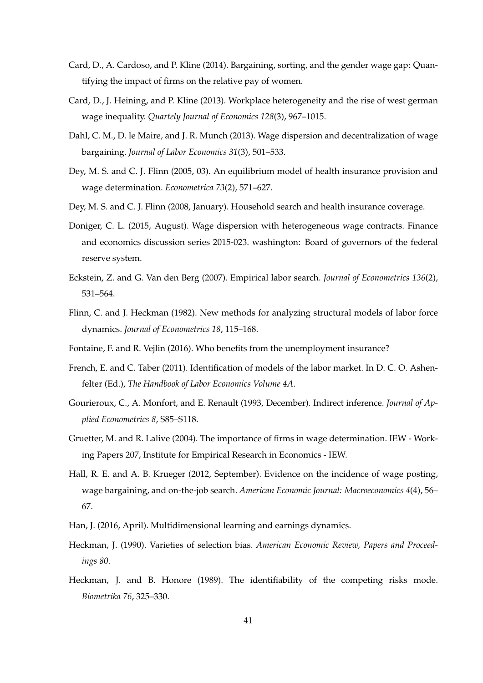- Card, D., A. Cardoso, and P. Kline (2014). Bargaining, sorting, and the gender wage gap: Quantifying the impact of firms on the relative pay of women.
- Card, D., J. Heining, and P. Kline (2013). Workplace heterogeneity and the rise of west german wage inequality. *Quartely Journal of Economics 128*(3), 967–1015.
- Dahl, C. M., D. le Maire, and J. R. Munch (2013). Wage dispersion and decentralization of wage bargaining. *Journal of Labor Economics 31*(3), 501–533.
- Dey, M. S. and C. J. Flinn (2005, 03). An equilibrium model of health insurance provision and wage determination. *Econometrica 73*(2), 571–627.
- Dey, M. S. and C. J. Flinn (2008, January). Household search and health insurance coverage.
- Doniger, C. L. (2015, August). Wage dispersion with heterogeneous wage contracts. Finance and economics discussion series 2015-023. washington: Board of governors of the federal reserve system.
- Eckstein, Z. and G. Van den Berg (2007). Empirical labor search. *Journal of Econometrics 136*(2), 531–564.
- Flinn, C. and J. Heckman (1982). New methods for analyzing structural models of labor force dynamics. *Journal of Econometrics 18*, 115–168.
- Fontaine, F. and R. Vejlin (2016). Who benefits from the unemployment insurance?
- French, E. and C. Taber (2011). Identification of models of the labor market. In D. C. O. Ashenfelter (Ed.), *The Handbook of Labor Economics Volume 4A*.
- Gourieroux, C., A. Monfort, and E. Renault (1993, December). Indirect inference. *Journal of Applied Econometrics 8*, S85–S118.
- Gruetter, M. and R. Lalive (2004). The importance of firms in wage determination. IEW Working Papers 207, Institute for Empirical Research in Economics - IEW.
- Hall, R. E. and A. B. Krueger (2012, September). Evidence on the incidence of wage posting, wage bargaining, and on-the-job search. *American Economic Journal: Macroeconomics 4*(4), 56– 67.
- Han, J. (2016, April). Multidimensional learning and earnings dynamics.
- Heckman, J. (1990). Varieties of selection bias. *American Economic Review, Papers and Proceedings 80*.
- Heckman, J. and B. Honore (1989). The identifiability of the competing risks mode. *Biometrika 76*, 325–330.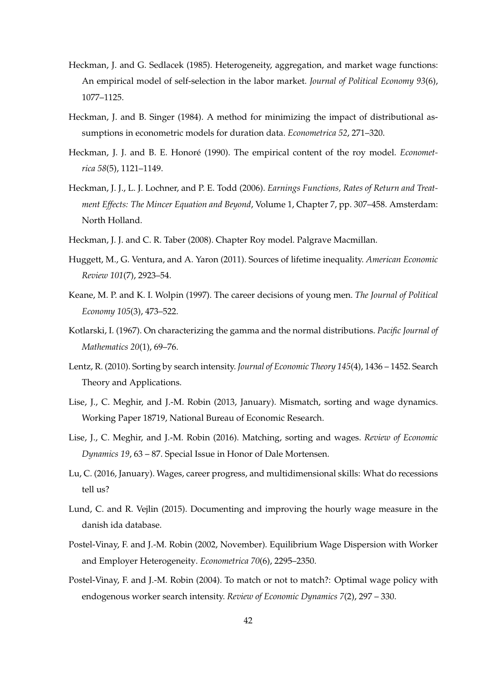- Heckman, J. and G. Sedlacek (1985). Heterogeneity, aggregation, and market wage functions: An empirical model of self-selection in the labor market. *Journal of Political Economy 93*(6), 1077–1125.
- Heckman, J. and B. Singer (1984). A method for minimizing the impact of distributional assumptions in econometric models for duration data. *Econometrica 52*, 271–320.
- Heckman, J. J. and B. E. Honoré (1990). The empirical content of the roy model. *Econometrica 58*(5), 1121–1149.
- Heckman, J. J., L. J. Lochner, and P. E. Todd (2006). *Earnings Functions, Rates of Return and Treatment Effects: The Mincer Equation and Beyond*, Volume 1, Chapter 7, pp. 307–458. Amsterdam: North Holland.
- Heckman, J. J. and C. R. Taber (2008). Chapter Roy model. Palgrave Macmillan.
- Huggett, M., G. Ventura, and A. Yaron (2011). Sources of lifetime inequality. *American Economic Review 101*(7), 2923–54.
- Keane, M. P. and K. I. Wolpin (1997). The career decisions of young men. *The Journal of Political Economy 105*(3), 473–522.
- Kotlarski, I. (1967). On characterizing the gamma and the normal distributions. *Pacific Journal of Mathematics 20*(1), 69–76.
- Lentz, R. (2010). Sorting by search intensity. *Journal of Economic Theory 145*(4), 1436 1452. Search Theory and Applications.
- Lise, J., C. Meghir, and J.-M. Robin (2013, January). Mismatch, sorting and wage dynamics. Working Paper 18719, National Bureau of Economic Research.
- Lise, J., C. Meghir, and J.-M. Robin (2016). Matching, sorting and wages. *Review of Economic Dynamics 19*, 63 – 87. Special Issue in Honor of Dale Mortensen.
- Lu, C. (2016, January). Wages, career progress, and multidimensional skills: What do recessions tell us?
- Lund, C. and R. Vejlin (2015). Documenting and improving the hourly wage measure in the danish ida database.
- Postel-Vinay, F. and J.-M. Robin (2002, November). Equilibrium Wage Dispersion with Worker and Employer Heterogeneity. *Econometrica 70*(6), 2295–2350.
- Postel-Vinay, F. and J.-M. Robin (2004). To match or not to match?: Optimal wage policy with endogenous worker search intensity. *Review of Economic Dynamics 7*(2), 297 – 330.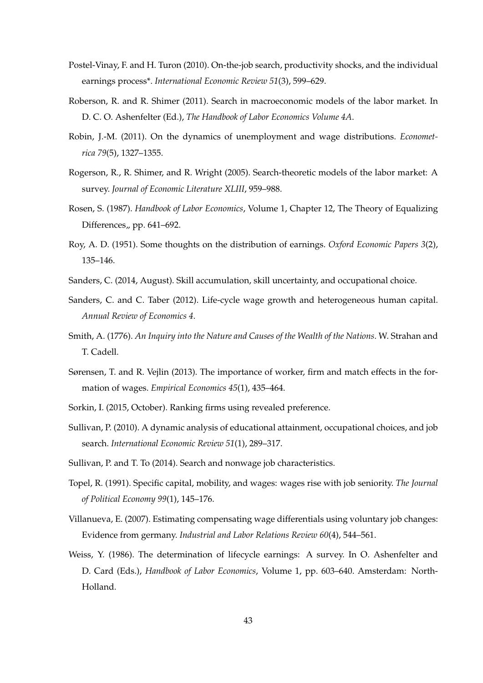- Postel-Vinay, F. and H. Turon (2010). On-the-job search, productivity shocks, and the individual earnings process\*. *International Economic Review 51*(3), 599–629.
- Roberson, R. and R. Shimer (2011). Search in macroeconomic models of the labor market. In D. C. O. Ashenfelter (Ed.), *The Handbook of Labor Economics Volume 4A*.
- Robin, J.-M. (2011). On the dynamics of unemployment and wage distributions. *Econometrica 79*(5), 1327–1355.
- Rogerson, R., R. Shimer, and R. Wright (2005). Search-theoretic models of the labor market: A survey. *Journal of Economic Literature XLIII*, 959–988.
- Rosen, S. (1987). *Handbook of Labor Economics*, Volume 1, Chapter 12, The Theory of Equalizing Differences, pp.  $641-692$ .
- Roy, A. D. (1951). Some thoughts on the distribution of earnings. *Oxford Economic Papers 3*(2), 135–146.
- Sanders, C. (2014, August). Skill accumulation, skill uncertainty, and occupational choice.
- Sanders, C. and C. Taber (2012). Life-cycle wage growth and heterogeneous human capital. *Annual Review of Economics 4*.
- Smith, A. (1776). *An Inquiry into the Nature and Causes of the Wealth of the Nations*. W. Strahan and T. Cadell.
- Sørensen, T. and R. Vejlin (2013). The importance of worker, firm and match effects in the formation of wages. *Empirical Economics 45*(1), 435–464.
- Sorkin, I. (2015, October). Ranking firms using revealed preference.
- Sullivan, P. (2010). A dynamic analysis of educational attainment, occupational choices, and job search. *International Economic Review 51*(1), 289–317.
- Sullivan, P. and T. To (2014). Search and nonwage job characteristics.
- Topel, R. (1991). Specific capital, mobility, and wages: wages rise with job seniority. *The Journal of Political Economy 99*(1), 145–176.
- Villanueva, E. (2007). Estimating compensating wage differentials using voluntary job changes: Evidence from germany. *Industrial and Labor Relations Review 60*(4), 544–561.
- Weiss, Y. (1986). The determination of lifecycle earnings: A survey. In O. Ashenfelter and D. Card (Eds.), *Handbook of Labor Economics*, Volume 1, pp. 603–640. Amsterdam: North-Holland.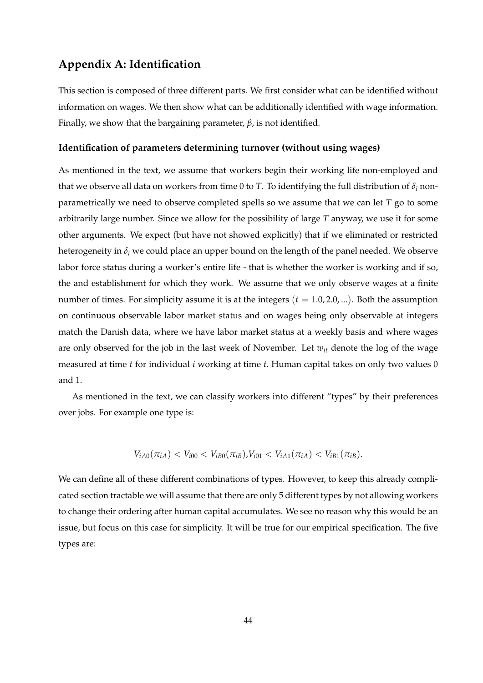# **Appendix A: Identification**

This section is composed of three different parts. We first consider what can be identified without information on wages. We then show what can be additionally identified with wage information. Finally, we show that the bargaining parameter, *β*, is not identified.

## **Identification of parameters determining turnover (without using wages)**

As mentioned in the text, we assume that workers begin their working life non-employed and that we observe all data on workers from time 0 to *T*. To identifying the full distribution of  $\delta_i$  nonparametrically we need to observe completed spells so we assume that we can let *T* go to some arbitrarily large number. Since we allow for the possibility of large *T* anyway, we use it for some other arguments. We expect (but have not showed explicitly) that if we eliminated or restricted heterogeneity in  $\delta_i$  we could place an upper bound on the length of the panel needed. We observe labor force status during a worker's entire life - that is whether the worker is working and if so, the and establishment for which they work. We assume that we only observe wages at a finite number of times. For simplicity assume it is at the integers  $(t = 1.0, 2.0, ...)$ . Both the assumption on continuous observable labor market status and on wages being only observable at integers match the Danish data, where we have labor market status at a weekly basis and where wages are only observed for the job in the last week of November. Let *wit* denote the log of the wage measured at time *t* for individual *i* working at time *t*. Human capital takes on only two values 0 and 1.

As mentioned in the text, we can classify workers into different "types" by their preferences over jobs. For example one type is:

$$
V_{iA0}(\pi_{iA}) < V_{i00} < V_{iB0}(\pi_{iB}) \quad V_{i01} < V_{iA1}(\pi_{iA}) < V_{iB1}(\pi_{iB}).
$$

We can define all of these different combinations of types. However, to keep this already complicated section tractable we will assume that there are only 5 different types by not allowing workers to change their ordering after human capital accumulates. We see no reason why this would be an issue, but focus on this case for simplicity. It will be true for our empirical specification. The five types are: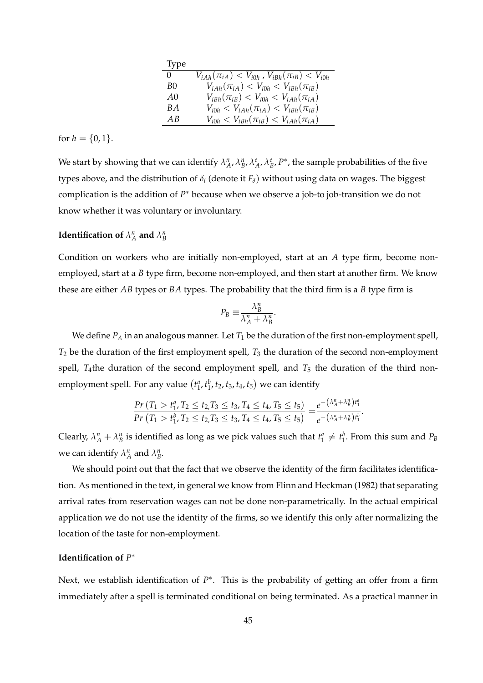| <b>Type</b>    |                                                               |
|----------------|---------------------------------------------------------------|
| $\Omega$       | $V_{iAh}(\pi_{iA}) < V_{i0h}$ , $V_{iBh}(\pi_{iB}) < V_{i0h}$ |
| B <sub>0</sub> | $V_{iAh}(\pi_{iA}) < V_{i0h} < V_{iBh}(\pi_{iB})$             |
| A0             | $V_{iBh}(\pi_{iB}) < V_{i0h} < V_{iAh}(\pi_{iA})$             |
| B A            | $V_{i0h} < V_{iAh}(\pi_{iA}) < V_{iBh}(\pi_{iB})$             |
| A R            | $V_{i0h} < V_{iBh}(\pi_{iB}) < V_{iAh}(\pi_{iA})$             |

for  $h = \{0, 1\}.$ 

We start by showing that we can identify  $\lambda_A^n$ ,  $\lambda_B^n$ ,  $\lambda_A^e$ ,  $\lambda_B^e$ ,  $P^*$ , the sample probabilities of the five types above, and the distribution of *δ<sup>i</sup>* (denote it *Fδ*) without using data on wages. The biggest complication is the addition of *P* <sup>∗</sup> because when we observe a job-to job-transition we do not know whether it was voluntary or involuntary.

# **Identification of**  $\lambda_A^n$  and  $\lambda_B^n$

Condition on workers who are initially non-employed, start at an *A* type firm, become nonemployed, start at a *B* type firm, become non-employed, and then start at another firm. We know these are either *AB* types or *BA* types. The probability that the third firm is a *B* type firm is

$$
P_B \equiv \frac{\lambda_B^n}{\lambda_A^n + \lambda_B^n}.
$$

We define  $P_A$  in an analogous manner. Let  $T_1$  be the duration of the first non-employment spell, *T*<sup>2</sup> be the duration of the first employment spell, *T*<sup>3</sup> the duration of the second non-employment spell,  $T_4$ the duration of the second employment spell, and  $T_5$  the duration of the third nonemployment spell. For any value  $(t_1^a, t_1^b, t_2, t_3, t_4, t_5)$  we can identify

$$
\frac{Pr(T_1 > t_1^a, T_2 \le t_2, T_3 \le t_3, T_4 \le t_4, T_5 \le t_5)}{Pr(T_1 > t_1^b, T_2 \le t_2, T_3 \le t_3, T_4 \le t_4, T_5 \le t_5)} = \frac{e^{-(\lambda_A^n + \lambda_B^n)t_1^a}}{e^{-(\lambda_A^n + \lambda_B^n)t_1^b}}.
$$

Clearly,  $\lambda_A^n + \lambda_B^n$  is identified as long as we pick values such that  $t_1^a \neq t_1^b$ . From this sum and  $P_B$ we can identify  $\lambda_A^n$  and  $\lambda_B^n$ .

We should point out that the fact that we observe the identity of the firm facilitates identification. As mentioned in the text, in general we know from Flinn and Heckman (1982) that separating arrival rates from reservation wages can not be done non-parametrically. In the actual empirical application we do not use the identity of the firms, so we identify this only after normalizing the location of the taste for non-employment.

## **Identification of** *P* ∗

Next, we establish identification of  $P^*$ . This is the probability of getting an offer from a firm immediately after a spell is terminated conditional on being terminated. As a practical manner in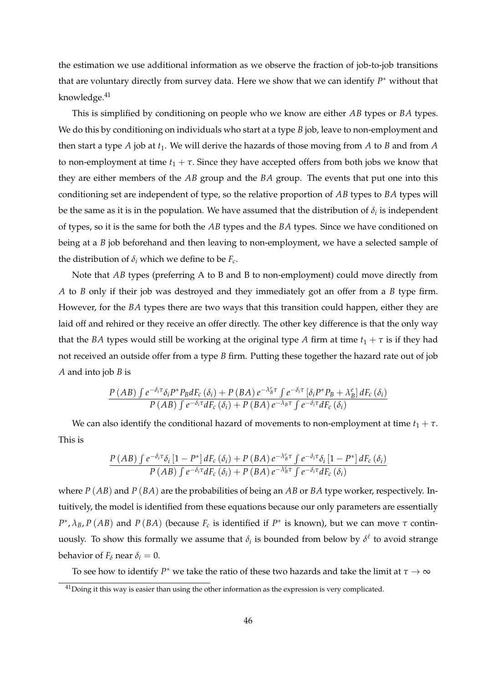the estimation we use additional information as we observe the fraction of job-to-job transitions that are voluntary directly from survey data. Here we show that we can identify *P*<sup>∗</sup> without that knowledge.<sup>41</sup>

This is simplified by conditioning on people who we know are either *AB* types or *BA* types. We do this by conditioning on individuals who start at a type *B* job, leave to non-employment and then start a type  $A$  job at  $t_1$ . We will derive the hazards of those moving from  $A$  to  $B$  and from  $A$ to non-employment at time  $t_1 + \tau$ . Since they have accepted offers from both jobs we know that they are either members of the *AB* group and the *BA* group. The events that put one into this conditioning set are independent of type, so the relative proportion of *AB* types to *BA* types will be the same as it is in the population. We have assumed that the distribution of  $\delta_i$  is independent of types, so it is the same for both the *AB* types and the *BA* types. Since we have conditioned on being at a *B* job beforehand and then leaving to non-employment, we have a selected sample of the distribution of  $\delta_i$  which we define to be  $F_c$ .

Note that *AB* types (preferring A to B and B to non-employment) could move directly from *A* to *B* only if their job was destroyed and they immediately got an offer from a *B* type firm. However, for the *BA* types there are two ways that this transition could happen, either they are laid off and rehired or they receive an offer directly. The other key difference is that the only way that the *BA* types would still be working at the original type *A* firm at time  $t_1 + \tau$  is if they had not received an outside offer from a type *B* firm. Putting these together the hazard rate out of job *A* and into job *B* is

$$
\frac{P\left(AB\right)\int e^{-\delta_i\tau}\delta_iP^*P_BdF_c\left(\delta_i\right)+P\left(BA\right)e^{-\lambda_B^e\tau}\int e^{-\delta_i\tau}\left[\delta_iP^*P_B+\lambda_B^e\right]dF_c\left(\delta_i\right)}{P\left(AB\right)\int e^{-\delta_i\tau}dF_c\left(\delta_i\right)+P\left(BA\right)e^{-\lambda_B\tau}\int e^{-\delta_i\tau}dF_c\left(\delta_i\right)}
$$

We can also identify the conditional hazard of movements to non-employment at time  $t_1 + \tau$ . This is

$$
\frac{P\left(AB\right)\int e^{-\delta_i\tau}\delta_i\left[1-P^*\right]dF_c\left(\delta_i\right)+P\left(BA\right)e^{-\lambda_B^c\tau}\int e^{-\delta_i\tau}\delta_i\left[1-P^*\right]dF_c\left(\delta_i\right)}{P\left(AB\right)\int e^{-\delta_i\tau}dF_c\left(\delta_i\right)+P\left(BA\right)e^{-\lambda_B^c\tau}\int e^{-\delta_i\tau}dF_c\left(\delta_i\right)}
$$

where *P* (*AB*) and *P* (*BA*) are the probabilities of being an *AB* or *BA* type worker, respectively. Intuitively, the model is identified from these equations because our only parameters are essentially  $P^*$ ,  $\lambda_B$ , *P* (*AB*) and *P* (*BA*) (because  $F_c$  is identified if  $P^*$  is known), but we can move  $\tau$  continuously. To show this formally we assume that  $\delta_i$  is bounded from below by  $\delta^{\ell}$  to avoid strange behavior of  $F_\delta$  near  $\delta_i = 0$ .

To see how to identify  $P^*$  we take the ratio of these two hazards and take the limit at  $\tau \to \infty$ 

<sup>&</sup>lt;sup>41</sup>Doing it this way is easier than using the other information as the expression is very complicated.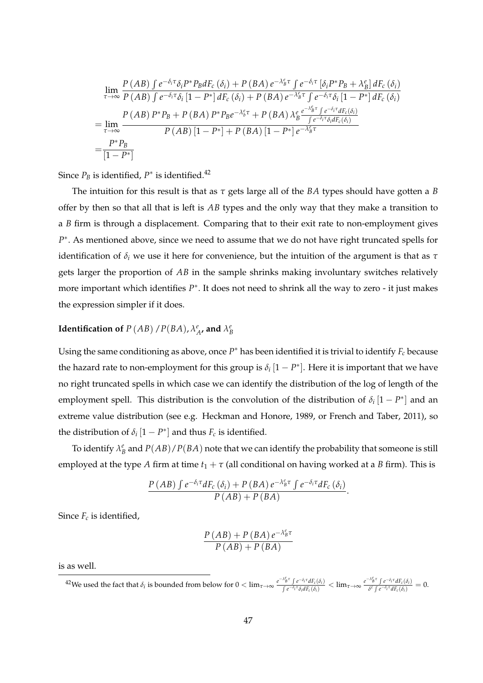$$
\lim_{\tau \to \infty} \frac{P\left(AB\right) \int e^{-\delta_i \tau} \delta_i P^* P_B dF_c \left(\delta_i\right) + P\left(BA\right) e^{-\lambda_B^c \tau} \int e^{-\delta_i \tau} \left[\delta_i P^* P_B + \lambda_B^e\right] dF_c \left(\delta_i\right)}{P\left(AB\right) \int e^{-\delta_i \tau} \delta_i \left[1 - P^*\right] dF_c \left(\delta_i\right) + P\left(BA\right) e^{-\lambda_B^c \tau} \int e^{-\delta_i \tau} \delta_i \left[1 - P^*\right] dF_c \left(\delta_i\right)}
$$
\n
$$
= \lim_{\tau \to \infty} \frac{P\left(AB\right) P^* P_B + P\left(BA\right) P^* P_B e^{-\lambda_b^c \tau} + P\left(BA\right) \lambda_B^e \frac{e^{-\lambda_B^c \tau} \int e^{-\delta_i \tau} dF_c \left(\delta_i\right)}{\int e^{-\delta_i \tau} \delta_i dF_c \left(\delta_i\right)}
$$
\n
$$
= \frac{P^* P_B}{\left[1 - P^*\right]}
$$

Since  $P_B$  is identified,  $P^*$  is identified.<sup>42</sup>

The intuition for this result is that as *τ* gets large all of the *BA* types should have gotten a *B* offer by then so that all that is left is *AB* types and the only way that they make a transition to a *B* firm is through a displacement. Comparing that to their exit rate to non-employment gives P<sup>\*</sup>. As mentioned above, since we need to assume that we do not have right truncated spells for identification of *δ<sup>i</sup>* we use it here for convenience, but the intuition of the argument is that as *τ* gets larger the proportion of *AB* in the sample shrinks making involuntary switches relatively more important which identifies  $P^*$ . It does not need to shrink all the way to zero - it just makes the expression simpler if it does.

# **Identification of**  $P(A B)$  /  $P(B A)$ ,  $\lambda_A^e$ , and  $\lambda_B^e$

Using the same conditioning as above, once  $P^*$  has been identified it is trivial to identify  $F_c$  because the hazard rate to non-employment for this group is  $\delta_i$   $[1 - P^*]$ . Here it is important that we have no right truncated spells in which case we can identify the distribution of the log of length of the employment spell. This distribution is the convolution of the distribution of  $\delta_i$  [1 –  $P^*$ ] and an extreme value distribution (see e.g. Heckman and Honore, 1989, or French and Taber, 2011), so the distribution of  $\delta_i$   $[1 - P^*]$  and thus  $F_c$  is identified.

To identify  $\lambda_B^e$  and  $P(AB)/P(BA)$  note that we can identify the probability that someone is still employed at the type *A* firm at time  $t_1 + \tau$  (all conditional on having worked at a *B* firm). This is

$$
\frac{P\left(AB\right)\int e^{-\delta_i\tau}dF_c\left(\delta_i\right)+P\left(BA\right)e^{-\lambda_B^e\tau}\int e^{-\delta_i\tau}dF_c\left(\delta_i\right)}{P\left(AB\right)+P\left(BA\right)}.
$$

Since  $F_c$  is identified,

$$
\frac{P\left(AB\right) + P\left(BA\right)e^{-\lambda_B^e \tau}}{P\left(AB\right) + P\left(BA\right)}
$$

is as well.

 $^{42}$ We used the fact that  $\delta_i$  is bounded from below for  $0 < \lim_{\tau \to \infty} \frac{e^{-\lambda_B^{\epsilon} \tau} \int e^{-\delta_i \tau} dE_c(\delta_i)}{\int e^{-\delta_i \tau} \delta_i dE_c(\delta_i)}$  $\frac{\lambda_B^e \tau \int e^{-\delta_{\hat l} \tau} dF_c(\delta_i)}{\int e^{-\delta_{\hat l} \tau} \delta_i dF_c(\delta_i)} < \lim_{\tau \to \infty} \frac{e^{-\lambda_B^e \tau} \int e^{-\delta_{\hat l} \tau} dF_c(\delta_i)}{\delta^\ell \int e^{-\delta_{\hat l} \tau} dF_c(\delta_i)}$  $\frac{\partial^{\beta} \int e^{-\delta_i \tau} dF_c(\delta_i)}{\delta^{\ell} \int e^{-\delta_i \tau} dF_c(\delta_i)} = 0.$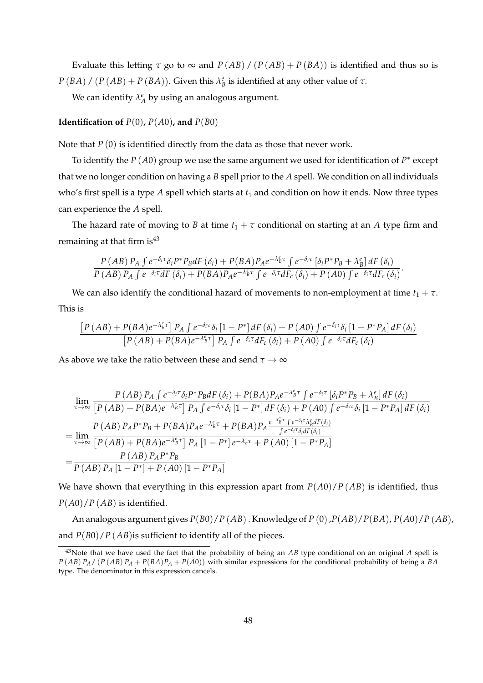Evaluate this letting *τ* go to  $\infty$  and *P*(*AB*) / (*P*(*AB*) + *P*(*BA*)) is identified and thus so is *P* (*BA*) / (*P* (*AB*) + *P* (*BA*)). Given this  $\lambda_B^e$  is identified at any other value of  $\tau$ .

We can identify  $\lambda_A^e$  by using an analogous argument.

**Identification of**  $P(0)$ ,  $P(A0)$ , and  $P(B0)$ 

Note that *P* (0) is identified directly from the data as those that never work.

To identify the *P* (*A*0) group we use the same argument we used for identification of *P* ∗ except that we no longer condition on having a *B* spell prior to the *A* spell. We condition on all individuals who's first spell is a type *A* spell which starts at *t*<sup>1</sup> and condition on how it ends. Now three types can experience the *A* spell.

The hazard rate of moving to *B* at time  $t_1 + \tau$  conditional on starting at an *A* type firm and remaining at that firm is  $43$ 

$$
\frac{P\left(AB\right)P_{A}\int e^{-\delta_{i}\tau}\delta_{i}P^{*}P_{B}dF\left(\delta_{i}\right)+P(BA)P_{A}e^{-\lambda_{B}^{\rho}\tau}\int e^{-\delta_{i}\tau}\left[\delta_{i}P^{*}P_{B}+\lambda_{B}^{\rho}\right]dF\left(\delta_{i}\right)}{P\left(AB\right)P_{A}\int e^{-\delta_{i}\tau}dF\left(\delta_{i}\right)+P(BA)P_{A}e^{-\lambda_{B}^{\rho}\tau}\int e^{-\delta_{i}\tau}dF_{c}\left(\delta_{i}\right)+P\left(AB\right)\int e^{-\delta_{i}\tau}dF_{c}\left(\delta_{i}\right)}.
$$

We can also identify the conditional hazard of movements to non-employment at time  $t_1 + \tau$ . This is

$$
\frac{\left[P\left(AB\right)+P(BA)e^{-\lambda_b^e\tau}\right]P_A\int e^{-\delta_i\tau}\delta_i\left[1-P^*\right]dF\left(\delta_i\right)+P\left(A0\right)\int e^{-\delta_i\tau}\delta_i\left[1-P^*P_A\right]dF\left(\delta_i\right)}{\left[P\left(AB\right)+P(BA)e^{-\lambda_b^e\tau}\right]P_A\int e^{-\delta_i\tau}dF_c\left(\delta_i\right)+P\left(A0\right)\int e^{-\delta_i\tau}dF_c\left(\delta_i\right)}
$$

As above we take the ratio between these and send  $\tau \to \infty$ 

$$
\lim_{\tau \to \infty} \frac{P(AB) P_A \int e^{-\delta_i \tau} \delta_i P^* P_B dF(\delta_i) + P(BA) P_A e^{-\lambda_B^e \tau} \int e^{-\delta_i \tau} \left[ \delta_i P^* P_B + \lambda_B^e \right] dF(\delta_i)}{[P(AB) + P(BA) e^{-\lambda_B^e \tau}] P_A \int e^{-\delta_i \tau} \delta_i [1 - P^*] dF(\delta_i) + P(AD) \int e^{-\delta_i \tau} \delta_i [1 - P^* P_A] dF(\delta_i)}
$$
\n
$$
= \lim_{\tau \to \infty} \frac{P(AB) P_A P^* P_B + P(BA) P_A e^{-\lambda_B^e \tau} + P(BA) P_A \frac{e^{-\lambda_B^e \tau} \int e^{-\delta_i \tau} \lambda_B^e dF(\delta_i)}{\int e^{-\delta_i \tau} \delta_i dF(\delta_i)}
$$
\n
$$
= \frac{P(AB) P_A P^* P_B}{[P(AB) + P(BA) e^{-\lambda_B^e \tau}] P_A [1 - P^*] e^{-\lambda_b \tau} + P(AD) [1 - P^* P_A]}
$$
\n
$$
= \frac{P(AB) P_A P^* P_B}{P(AB) P_A [1 - P^*] + P(AD) [1 - P^* P_A]}
$$

We have shown that everything in this expression apart from  $P(A0)/P(AB)$  is identified, thus *P*(*A*0)/*P* (*AB*) is identified.

An analogous argument gives *P*(*B*0)/*P* (*AB*). Knowledge of *P* (0),*P*(*AB*)/*P*(*BA*), *P*(*A*0)/*P* (*AB*), and  $P(B0)/P(AB)$  is sufficient to identify all of the pieces.

<sup>43</sup>Note that we have used the fact that the probability of being an *AB* type conditional on an original *A* spell is  $P(AB)$  *P<sub>A</sub>* / (*P*(*AB*)  $P_A$  + *P*(*BA*) $P_A$  + *P*(*A0*)) with similar expressions for the conditional probability of being a *BA* type. The denominator in this expression cancels.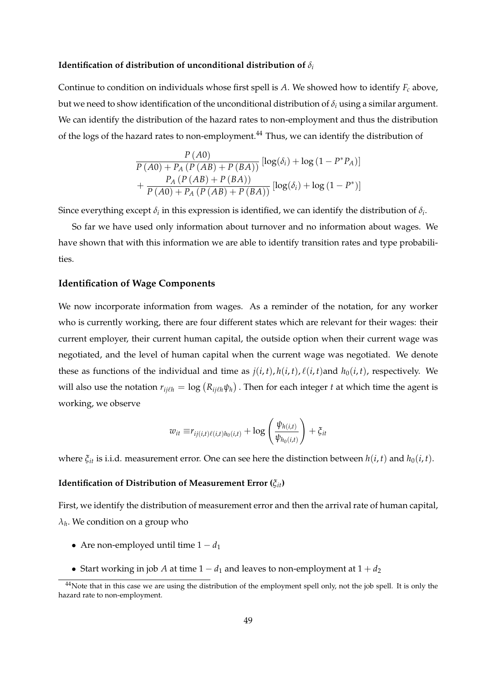#### **Identification of distribution of unconditional distribution of**  $\delta_i$

Continue to condition on individuals whose first spell is *A*. We showed how to identify *F<sup>c</sup>* above, but we need to show identification of the unconditional distribution of  $\delta_i$  using a similar argument. We can identify the distribution of the hazard rates to non-employment and thus the distribution of the logs of the hazard rates to non-employment.<sup>44</sup> Thus, we can identify the distribution of

$$
\frac{P(A0)}{P(A0) + P_A (P(AB) + P(BA))} [\log(\delta_i) + \log(1 - P^*P_A)]
$$
  
+ 
$$
\frac{P_A (P(AB) + P(BA))}{P(A0) + P_A (P(AB) + P(BA))} [\log(\delta_i) + \log(1 - P^*)]
$$

Since everything except  $\delta_i$  in this expression is identified, we can identify the distribution of  $\delta_i$ .

So far we have used only information about turnover and no information about wages. We have shown that with this information we are able to identify transition rates and type probabilities.

## **Identification of Wage Components**

We now incorporate information from wages. As a reminder of the notation, for any worker who is currently working, there are four different states which are relevant for their wages: their current employer, their current human capital, the outside option when their current wage was negotiated, and the level of human capital when the current wage was negotiated. We denote these as functions of the individual and time as  $j(i, t)$ ,  $h(i, t)$ ,  $\ell(i, t)$  and  $h_0(i, t)$ , respectively. We will also use the notation  $r_{ij\ell h} = \log (R_{ij\ell h} \psi_h)$  . Then for each integer *t* at which time the agent is working, we observe

$$
w_{it} \equiv r_{ij(i,t)\ell(i,t)h_0(i,t)} + \log \left(\frac{\psi_{h(i,t)}}{\psi_{h_0(i,t)}}\right) + \xi_{it}
$$

where  $\xi_{it}$  is i.i.d. measurement error. One can see here the distinction between  $h(i, t)$  and  $h_0(i, t)$ .

## **Identification of Distribution of Measurement Error (***ξit***)**

First, we identify the distribution of measurement error and then the arrival rate of human capital, *λh* . We condition on a group who

- Are non-employed until time  $1 d_1$
- Start working in job *A* at time  $1 d_1$  and leaves to non-employment at  $1 + d_2$

<sup>&</sup>lt;sup>44</sup>Note that in this case we are using the distribution of the employment spell only, not the job spell. It is only the hazard rate to non-employment.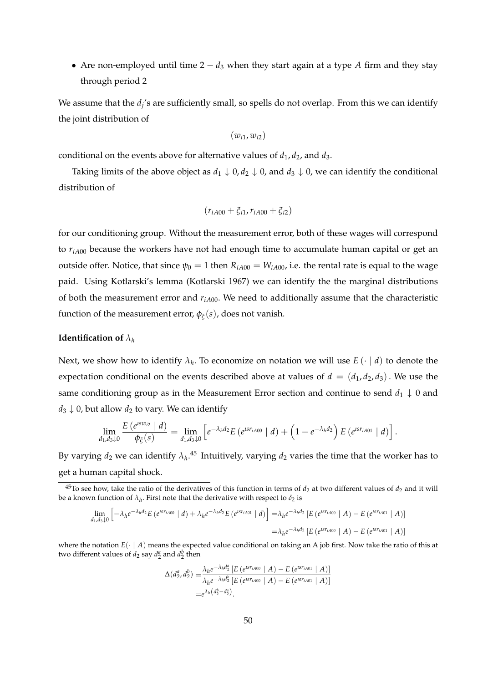• Are non-employed until time 2 − *d*<sup>3</sup> when they start again at a type *A* firm and they stay through period 2

We assume that the  $d_j$ 's are sufficiently small, so spells do not overlap. From this we can identify the joint distribution of

 $(w_{i1}, w_{i2})$ 

conditional on the events above for alternative values of  $d_1, d_2$ , and  $d_3$ .

Taking limits of the above object as  $d_1 \downarrow 0$ ,  $d_2 \downarrow 0$ , and  $d_3 \downarrow 0$ , we can identify the conditional distribution of

$$
(r_{iA00} + \xi_{i1}, r_{iA00} + \xi_{i2})
$$

for our conditioning group. Without the measurement error, both of these wages will correspond to  $r_{iA00}$  because the workers have not had enough time to accumulate human capital or get an outside offer. Notice, that since  $\psi_0 = 1$  then  $R_{iA00} = W_{iA00}$ , i.e. the rental rate is equal to the wage paid. Using Kotlarski's lemma (Kotlarski 1967) we can identify the the marginal distributions of both the measurement error and  $r_{iA00}$ . We need to additionally assume that the characteristic function of the measurement error,  $\phi_{\zeta}(s)$ , does not vanish.

### **Identification of** *λ<sup>h</sup>*

Next, we show how to identify *λ<sup>h</sup>* . To economize on notation we will use *E* (· | *d*) to denote the expectation conditional on the events described above at values of  $d = (d_1, d_2, d_3)$ . We use the same conditioning group as in the Measurement Error section and continue to send  $d_1 \downarrow 0$  and  $d_3 \downarrow 0$ , but allow  $d_2$  to vary. We can identify

$$
\lim_{d_1,d_3\downarrow 0} \frac{E(e^{isw_{i2}} \mid d)}{\phi_{\xi}(s)} = \lim_{d_1,d_3\downarrow 0} \left[ e^{-\lambda_h d_2} E(e^{isr_{iA00}} \mid d) + \left( 1 - e^{-\lambda_h d_2} \right) E(e^{isr_{iA01}} \mid d) \right].
$$

By varying  $d_2$  we can identify  $\lambda_h$ .<sup>45</sup> Intuitively, varying  $d_2$  varies the time that the worker has to get a human capital shock.

$$
\lim_{d_1, d_3 \downarrow 0} \left[ -\lambda_h e^{-\lambda_h d_2} E\left( e^{i s r_{iA00}} \mid d \right) + \lambda_h e^{-\lambda_h d_2} E\left( e^{i s r_{iA01}} \mid d \right) \right] = \lambda_h e^{-\lambda_h d_2} \left[ E\left( e^{i s r_{iA00}} \mid A \right) - E\left( e^{i s r_{iA01}} \mid A \right) \right]
$$
\n
$$
= \lambda_h e^{-\lambda_h d_2} \left[ E\left( e^{i s r_{iA00}} \mid A \right) - E\left( e^{i s r_{iA01}} \mid A \right) \right]
$$

where the notation  $E(\cdot | A)$  means the expected value conditional on taking an A job first. Now take the ratio of this at two different values of  $d_2$  say  $d_2^a$  and  $d_2^b$  then

$$
\Delta(d_2^a, d_2^b) \equiv \frac{\lambda_h e^{-\lambda_h d_2^a} [E (e^{i S r_{iA00}} \mid A) - E (e^{i S r_{iA01}} \mid A)]}{\lambda_h e^{-\lambda_h d_2^b} [E (e^{i S r_{iA00}} \mid A) - E (e^{i S r_{iA01}} \mid A)]}
$$
  
=  $e^{\lambda_h (d_2^b - d_2^a)}$ .

 $^{45}$ To see how, take the ratio of the derivatives of this function in terms of  $d_2$  at two different values of  $d_2$  and it will be a known function of  $\lambda_h$ . First note that the derivative with respect to  $\delta_2$  is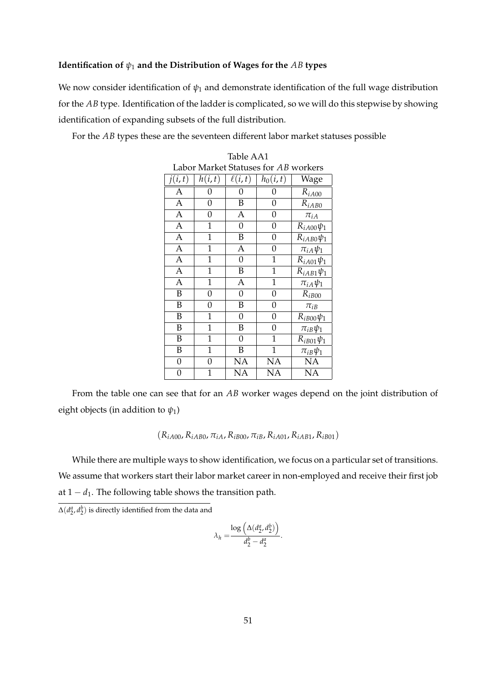## **Identification of** *ψ*<sup>1</sup> **and the Distribution of Wages for the** *AB* **types**

We now consider identification of *ψ*<sup>1</sup> and demonstrate identification of the full wage distribution for the *AB* type. Identification of the ladder is complicated, so we will do this stepwise by showing identification of expanding subsets of the full distribution.

For the *AB* types these are the seventeen different labor market statuses possible

| Table AAT                            |                |             |                |                  |  |
|--------------------------------------|----------------|-------------|----------------|------------------|--|
| Labor Market Statuses for AB workers |                |             |                |                  |  |
| j(i,t)                               | h(i,t)         | $\ell(i,t)$ | $h_0(i,t)$     | Wage             |  |
| A                                    | 0              | 0           | 0              | $R_{iA00}$       |  |
| A                                    | 0              | B           | 0              | $R_{iAB0}$       |  |
| $\overline{A}$                       | 0              | A           | 0              | $\pi_{iA}$       |  |
| $\overline{A}$                       | $\mathbf{1}$   | 0           | 0              | $R_{iA00}\psi_1$ |  |
| A                                    | 1              | B           | 0              | $R_{iAB0}\psi_1$ |  |
| $\overline{A}$                       | 1              | A           | $\overline{0}$ | $\pi_{iA}\psi_1$ |  |
| $\overline{\mathbf{A}}$              | $\mathbf{1}$   | 0           | $\mathbf{1}$   | $R_{iA01}\psi_1$ |  |
| $\overline{A}$                       | $\overline{1}$ | B           | $\overline{1}$ | $R_{iAB1}\psi_1$ |  |
| $\overline{A}$                       | $\mathbf 1$    | A           | $\mathbf{1}$   | $\pi_{iA}\psi_1$ |  |
| B                                    | 0              | 0           | 0              | $R_{iB00}$       |  |
| B                                    | 0              | B           | 0              | $\pi_{iB}$       |  |
| B                                    | $\mathbf 1$    | 0           | 0              | $R_{iB00}\psi_1$ |  |
| B                                    | 1              | B           | 0              | $\pi_{iB}\psi_1$ |  |
| B                                    | 1              | 0           | 1              | $R_{iB01}\psi_1$ |  |
| B                                    | 1              | B           | 1              | $\pi_{iB}\psi_1$ |  |
| $\overline{0}$                       | 0              | <b>NA</b>   | <b>NA</b>      | NA               |  |
| 0                                    | $\overline{1}$ | NA          | <b>NA</b>      | NA               |  |

Table AA1

From the table one can see that for an *AB* worker wages depend on the joint distribution of eight objects (in addition to  $\psi_1$ )

 $(R_{iA00}, R_{iAB0}, \pi_{iA}, R_{iB00}, \pi_{iB}, R_{iA01}, R_{iAB1}, R_{iB01})$ 

While there are multiple ways to show identification, we focus on a particular set of transitions. We assume that workers start their labor market career in non-employed and receive their first job at  $1 - d_1$ . The following table shows the transition path.

 $\Delta(d_2^a, d_2^b)$  is directly identified from the data and

$$
\lambda_h = \frac{\log\left(\Delta(d_2^a, d_2^b)\right)}{d_2^b - d_2^a}
$$

.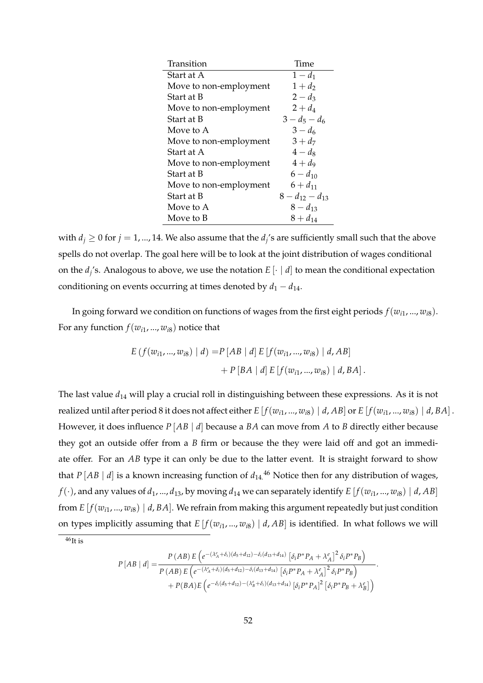| Transition             | Time                  |
|------------------------|-----------------------|
| Start at A             | $1 - d_1$             |
| Move to non-employment | $1+d_2$               |
| Start at B             | $2 - d_3$             |
| Move to non-employment | $2 + d_4$             |
| Start at B             | $3-d_5-d_6$           |
| Move to A              | $3 - d_6$             |
| Move to non-employment | $3 + d_7$             |
| Start at A             | $4-d_8$               |
| Move to non-employment | $4+d_9$               |
| Start at B             | $6 - d_{10}$          |
| Move to non-employment | $6 + d_{11}$          |
| Start at B             | $8 - d_{12} - d_{13}$ |
| Move to A              | $8 - d_{13}$          |
| Move to B              | $8 + d_{14}$          |

with  $d_j \geq 0$  for  $j = 1, ..., 14$ . We also assume that the  $d_j$ 's are sufficiently small such that the above spells do not overlap. The goal here will be to look at the joint distribution of wages conditional on the  $d_j$ 's. Analogous to above, we use the notation  $E[\cdot | d]$  to mean the conditional expectation conditioning on events occurring at times denoted by  $d_1 - d_{14}$ .

In going forward we condition on functions of wages from the first eight periods  $f(w_{i1}, ..., w_{i8})$ . For any function  $f(w_{i1}, ..., w_{i8})$  notice that

$$
E(f(w_{i1},...,w_{i8}) | d) = P[AB | d] E[f(w_{i1},...,w_{i8}) | d, AB]
$$
  
+  $P[BA | d] E[f(w_{i1},...,w_{i8}) | d, BA].$ 

The last value *d*<sup>14</sup> will play a crucial roll in distinguishing between these expressions. As it is not realized until after period 8 it does not affect either  $E[f(w_{i1},...,w_{i8}) | d, AB]$  or  $E[f(w_{i1},...,w_{i8}) | d, BA]$ . However, it does influence *P* [*AB* | *d*] because a *BA* can move from *A* to *B* directly either because they got an outside offer from a *B* firm or because the they were laid off and got an immediate offer. For an *AB* type it can only be due to the latter event. It is straight forward to show that  $P[A|B|A]$  is a known increasing function of  $d_{14}$ .<sup>46</sup> Notice then for any distribution of wages,  $f(\cdot)$ , and any values of  $d_1$ , ...,  $d_{13}$ , by moving  $d_{14}$  we can separately identify  $E[f(w_{i1}, ..., w_{i8}) | d, AB]$ from  $E[f(w_{i1},...,w_{i8}) | d, BA]$ . We refrain from making this argument repeatedly but just condition on types implicitly assuming that  $E[f(w_{i1},...,w_{i8}) | d, AB]$  is identified. In what follows we will

 $46$ It is

$$
P\left[AB \mid d\right] = \frac{P\left(AB\right)E\left(e^{-(\lambda_{A}^{c} + \delta_{i})(d_{5} + d_{12}) - \delta_{i}(d_{13} + d_{14})}\left[\delta_{i}P^{*}P_{A} + \lambda_{A}^{e}\right]^{2}\delta_{i}P^{*}P_{B}\right)}{P\left(AB\right)E\left(e^{-(\lambda_{A}^{c} + \delta_{i})(d_{5} + d_{12}) - \delta_{i}(d_{13} + d_{14})}\left[\delta_{i}P^{*}P_{A} + \lambda_{A}^{e}\right]^{2}\delta_{i}P^{*}P_{B}\right)} + P(BA)E\left(e^{-\delta_{i}(d_{5} + d_{12}) - (\lambda_{B}^{c} + \delta_{i})(d_{13} + d_{14})}\left[\delta_{i}P^{*}P_{A}\right]^{2}\left[\delta_{i}P^{*}P_{B} + \lambda_{B}^{e}\right]\right)
$$

.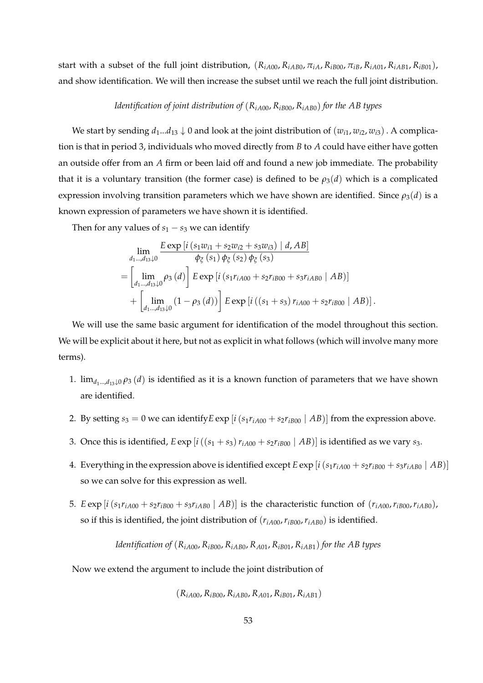start with a subset of the full joint distribution,  $(R_{iA00}, R_{iAB0}, \pi_{iA}, R_{iB00}, \pi_{iB}, R_{iA01}, R_{iAB1}, R_{iB01})$ , and show identification. We will then increase the subset until we reach the full joint distribution.

## *Identification of joint distribution of*  $(R<sub>iA00</sub>, R<sub>iB00</sub>, R<sub>iAB0</sub>)$  *for the AB types*

We start by sending  $d_1...d_{13} \downarrow 0$  and look at the joint distribution of  $(w_{i1}, w_{i2}, w_{i3})$ . A complication is that in period 3, individuals who moved directly from *B* to *A* could have either have gotten an outside offer from an *A* firm or been laid off and found a new job immediate. The probability that it is a voluntary transition (the former case) is defined to be  $\rho_3(d)$  which is a complicated expression involving transition parameters which we have shown are identified. Since  $\rho_3(d)$  is a known expression of parameters we have shown it is identified.

Then for any values of  $s_1 - s_3$  we can identify

$$
\lim_{d_1 \dots, d_{13}\downarrow 0} \frac{E \exp[i(s_1 w_{i1} + s_2 w_{i2} + s_3 w_{i3}) | d, AB]}{\phi_{\xi}(s_1) \phi_{\xi}(s_2) \phi_{\xi}(s_3)}
$$
\n
$$
= \left[ \lim_{d_1 \dots, d_{13}\downarrow 0} \rho_3(d) \right] E \exp[i(s_1 r_{iA00} + s_2 r_{iB00} + s_3 r_{iA00} | AB)]
$$
\n
$$
+ \left[ \lim_{d_1 \dots, d_{13}\downarrow 0} (1 - \rho_3(d)) \right] E \exp[i((s_1 + s_3) r_{iA00} + s_2 r_{iB00} | AB)].
$$

We will use the same basic argument for identification of the model throughout this section. We will be explicit about it here, but not as explicit in what follows (which will involve many more terms).

- 1.  $\lim_{d_1 \dots d_1 \ge 0} \rho_3(d)$  is identified as it is a known function of parameters that we have shown are identified.
- 2. By setting  $s_3 = 0$  we can identify  $E \exp[i(s_1 r_{iA00} + s_2 r_{iB00} | AB)]$  from the expression above.
- 3. Once this is identified,  $E \exp[i((s_1 + s_3) r_{iA00} + s_2 r_{iB00} | AB)]$  is identified as we vary  $s_3$ .
- 4. Everything in the expression above is identified except  $E \exp[i(s_1 r_{iA00} + s_2 r_{iB00} + s_3 r_{iAB0} | AB)]$ so we can solve for this expression as well.
- 5.  $E \exp[i(s_1 r_{iA00} + s_2 r_{iB00} + s_3 r_{iAB0} | AB)]$  is the characteristic function of  $(r_{iA00}, r_{iB00}, r_{iAB0})$ , so if this is identified, the joint distribution of  $(r_{iA00}, r_{iB00}, r_{iAB0})$  is identified.

*Identification of*  $(R_{iA00}, R_{iB00}, R_{iAB0}, R_{A01}, R_{iB01}, R_{iAB1})$  *for the AB types* 

Now we extend the argument to include the joint distribution of

 $(R_{iA00}, R_{iB00}, R_{iAB0}, R_{A01}, R_{iB01}, R_{iAB1})$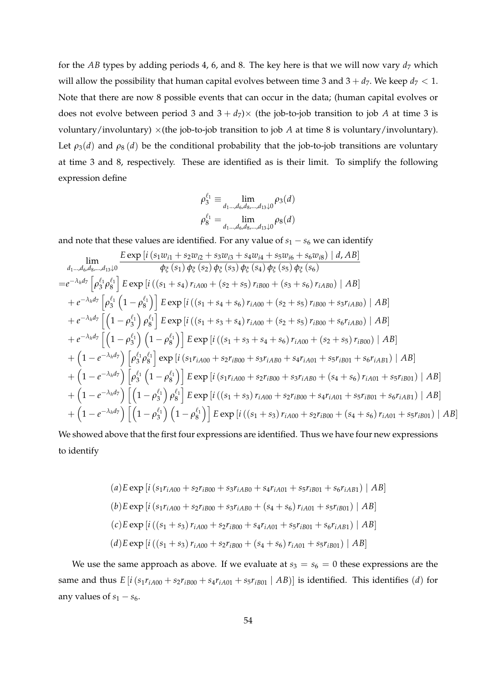for the  $AB$  types by adding periods 4, 6, and 8. The key here is that we will now vary  $d_7$  which will allow the possibility that human capital evolves between time 3 and  $3 + d_7$ . We keep  $d_7 < 1$ . Note that there are now 8 possible events that can occur in the data; (human capital evolves or does not evolve between period 3 and  $3 + d_7$ ) $\times$  (the job-to-job transition to job *A* at time 3 is voluntary/involuntary)  $\times$ (the job-to-job transition to job *A* at time 8 is voluntary/involuntary). Let  $\rho_3(d)$  and  $\rho_8(d)$  be the conditional probability that the job-to-job transitions are voluntary at time 3 and 8, respectively. These are identified as is their limit. To simplify the following expression define

$$
\rho_3^{\ell_1} \equiv \lim_{d_1 \dots, d_6, d_8, \dots, d_{13}\downarrow 0} \rho_3(d)
$$
  

$$
\rho_8^{\ell_1} = \lim_{d_1 \dots, d_6, d_8, \dots, d_{13}\downarrow 0} \rho_8(d)
$$

and note that these values are identified. For any value of  $s_1 - s_6$  we can identify

$$
\lim_{d_1,\ldots,d_6,d_8,\ldots,d_{13}\downarrow 0} \frac{E \exp[i(s_1w_{i1} + s_2w_{i2} + s_3w_{i3} + s_4w_{i4} + s_5w_{i6} + s_6w_{i8}) | d, AB]}{\varphi_{\xi}(s_1)\varphi_{\xi}(s_2)\varphi_{\xi}(s_3)\varphi_{\xi}(s_4)\varphi_{\xi}(s_5)\varphi_{\xi}(s_6)}
$$
\n
$$
= e^{-\lambda_h d_7} \left[ \rho_3^{\ell_1} \rho_8^{\ell_1} \right] E \exp[i((s_1 + s_4) r_{iA00} + (s_2 + s_5) r_{iB00} + (s_3 + s_6) r_{iA00} + (s_2 + s_5) r_{iB00} + s_3r_{iA00}) | AB]
$$
\n
$$
+ e^{-\lambda_h d_7} \left[ \left(1 - \rho_3^{\ell_1}\right) \rho_8^{\ell_1} \right] E \exp[i((s_1 + s_4 + s_6) r_{iA00} + (s_2 + s_5) r_{iB00} + s_3r_{iA00}) | AB]
$$
\n
$$
+ e^{-\lambda_h d_7} \left[ \left(1 - \rho_3^{\ell_1}\right) \left(1 - \rho_8^{\ell_1}\right) \right] E \exp[i((s_1 + s_3 + s_4) r_{iA00} + (s_2 + s_5) r_{iB00} + s_6r_{iA00}) | AB]
$$
\n
$$
+ \left(1 - e^{-\lambda_h d_7}\right) \left[ \rho_3^{\ell_1} \rho_8^{\ell_1} \right] \exp[i(s_1 r_{iA00} + s_2 r_{iB00} + s_3 r_{iA00} + s_4 r_{iA01} + s_5 r_{iB01} + s_6 r_{iA01}) | AB]
$$
\n
$$
+ \left(1 - e^{-\lambda_h d_7}\right) \left[ \rho_3^{\ell_1} \rho_8^{\ell_1} \right] \exp[i(s_1 r_{iA00} + s_2 r_{iB00} + s_3 r_{iA00} + (s_4 + s_6) r_{iA01} + s_5 r_{iB01}) | AB]
$$
\n
$$
+ \left(1
$$

We showed above that the first four expressions are identified. Thus we have four new expressions to identify

$$
(a) E \exp\left[i\left(s_1r_{iA00} + s_2r_{iB00} + s_3r_{iAB0} + s_4r_{iA01} + s_5r_{iB01} + s_6r_{iAB1}\right) | AB\right]
$$
\n
$$
(b) E \exp\left[i\left(s_1r_{iA00} + s_2r_{iB00} + s_3r_{iAB0} + (s_4 + s_6) r_{iA01} + s_5r_{iB01}\right) | AB\right]
$$
\n
$$
(c) E \exp\left[i\left((s_1 + s_3) r_{iA00} + s_2r_{iB00} + s_4r_{iA01} + s_5r_{iB01} + s_6r_{iAB1}\right) | AB\right]
$$
\n
$$
(d) E \exp\left[i\left((s_1 + s_3) r_{iA00} + s_2r_{iB00} + (s_4 + s_6) r_{iA01} + s_5r_{iB01}\right) | AB\right]
$$

We use the same approach as above. If we evaluate at  $s_3 = s_6 = 0$  these expressions are the same and thus  $E[i(s_1r_{iA00} + s_2r_{iB00} + s_4r_{iA01} + s_5r_{iB01} | AB)]$  is identified. This identifies (*d*) for any values of  $s_1 - s_6$ .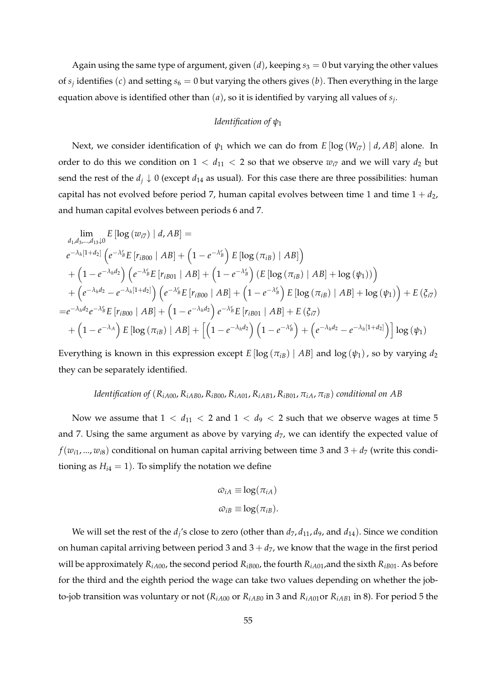Again using the same type of argument, given  $(d)$ , keeping  $s_3 = 0$  but varying the other values of  $s_j$  identifies (*c*) and setting  $s_6 = 0$  but varying the others gives (*b*). Then everything in the large equation above is identified other than (*a*), so it is identified by varying all values of *s<sup>j</sup>* .

## *Identification of ψ*<sup>1</sup>

Next, we consider identification of  $\psi_1$  which we can do from  $E[\log(W_{i7}) | d, AB]$  alone. In order to do this we condition on  $1 < d_{11} < 2$  so that we observe  $w_{i7}$  and we will vary  $d_2$  but send the rest of the  $d_j \downarrow 0$  (except  $d_{14}$  as usual). For this case there are three possibilities: human capital has not evolved before period 7, human capital evolves between time 1 and time  $1 + d_2$ , and human capital evolves between periods 6 and 7.

$$
\lim_{d_1, d_3, \dots, d_{13}\downarrow 0} E\left[\log\left(w_{i7}\right) \mid d, AB\right] =
$$
\n
$$
e^{-\lambda_h \left[1+d_2\right]} \left(e^{-\lambda_B^e} E\left[r_{iB00} \mid AB\right] + \left(1-e^{-\lambda_B^e}\right) E\left[\log\left(\pi_{iB}\right) \mid AB\right]\right)
$$
\n
$$
+ \left(1-e^{-\lambda_h d_2}\right) \left(e^{-\lambda_B^e} E\left[r_{iB01} \mid AB\right] + \left(1-e^{-\lambda_B^e}\right) \left(E\left[\log\left(\pi_{iB}\right) \mid AB\right] + \log\left(\psi_1\right)\right)\right)
$$
\n
$$
+ \left(e^{-\lambda_h d_2} - e^{-\lambda_h \left[1+d_2\right]}\right) \left(e^{-\lambda_B^e} E\left[r_{iB00} \mid AB\right] + \left(1-e^{-\lambda_B^e}\right) E\left[\log\left(\pi_{iB}\right) \mid AB\right] + \log\left(\psi_1\right)\right) + E\left(\xi_{i7}\right)
$$
\n
$$
= e^{-\lambda_h d_2} e^{-\lambda_B^e} E\left[r_{iB00} \mid AB\right] + \left(1-e^{-\lambda_h d_2}\right) e^{-\lambda_B^e} E\left[r_{iB01} \mid AB\right] + E\left(\xi_{i7}\right)
$$
\n
$$
+ \left(1-e^{-\lambda_A}\right) E\left[\log\left(\pi_{iB}\right) \mid AB\right] + \left[\left(1-e^{-\lambda_h d_2}\right) \left(1-e^{-\lambda_B^e}\right) + \left(e^{-\lambda_h d_2} - e^{-\lambda_h \left[1+d_2\right]}\right)\right] \log\left(\psi_1\right)
$$

Everything is known in this expression except *E* [log ( $\pi_{iB}$ ) | *AB*] and log ( $\psi_1$ ), so by varying  $d_2$ they can be separately identified.

## *Identification of*  $(R_{iA00}, R_{iA00}, R_{iB00}, R_{iA01}, R_{iA01}, R_{iB01}, \pi_{iA}, \pi_{iB})$  *conditional on AB*

Now we assume that  $1 < d_{11} < 2$  and  $1 < d_9 < 2$  such that we observe wages at time 5 and 7. Using the same argument as above by varying  $d_7$ , we can identify the expected value of  $f(w_{i1},...,w_{i8})$  conditional on human capital arriving between time 3 and  $3 + d_7$  (write this conditioning as  $H_{i4} = 1$ ). To simplify the notation we define

$$
\omega_{iA} \equiv \log(\pi_{iA})
$$
  

$$
\omega_{iB} \equiv \log(\pi_{iB}).
$$

We will set the rest of the  $d_j$ 's close to zero (other than  $d_7$ ,  $d_{11}$ ,  $d_9$ , and  $d_{14}$ ). Since we condition on human capital arriving between period 3 and  $3 + d_7$ , we know that the wage in the first period will be approximately  $R_{iA00}$ , the second period  $R_{iB00}$ , the fourth  $R_{iA01}$ , and the sixth  $R_{iB01}$ . As before for the third and the eighth period the wage can take two values depending on whether the jobto-job transition was voluntary or not ( $R_{iA00}$  or  $R_{iAB0}$  in 3 and  $R_{iA01}$ or  $R_{iAB1}$  in 8). For period 5 the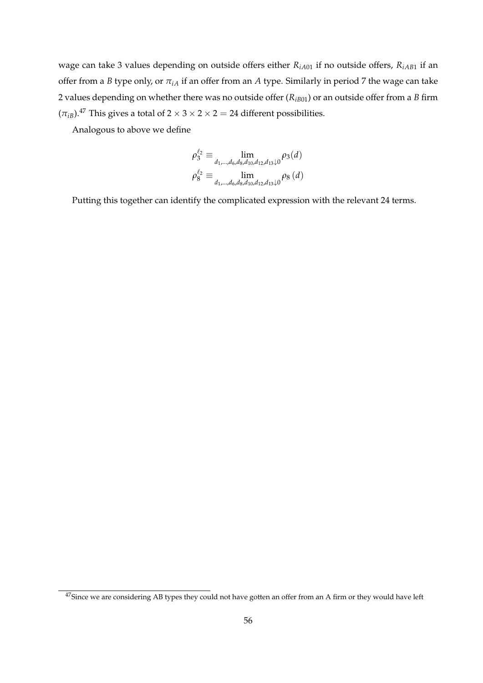wage can take 3 values depending on outside offers either *RiA*<sup>01</sup> if no outside offers, *RiAB*<sup>1</sup> if an offer from a *B* type only, or  $\pi_{iA}$  if an offer from an *A* type. Similarly in period 7 the wage can take 2 values depending on whether there was no outside offer (*RiB*01) or an outside offer from a *B* firm  $(\pi_{iB})$ .<sup>47</sup> This gives a total of  $2 \times 3 \times 2 \times 2 = 24$  different possibilities.

Analogous to above we define

$$
\rho_3^{\ell_2} \equiv \lim_{d_1, \dots, d_6, d_8, d_{10}, d_{12}, d_{13}\downarrow 0} \rho_3(d)
$$
  

$$
\rho_8^{\ell_2} \equiv \lim_{d_1, \dots, d_6, d_8, d_{10}, d_{12}, d_{13}\downarrow 0} \rho_8(d)
$$

Putting this together can identify the complicated expression with the relevant 24 terms.

<sup>&</sup>lt;sup>47</sup>Since we are considering AB types they could not have gotten an offer from an A firm or they would have left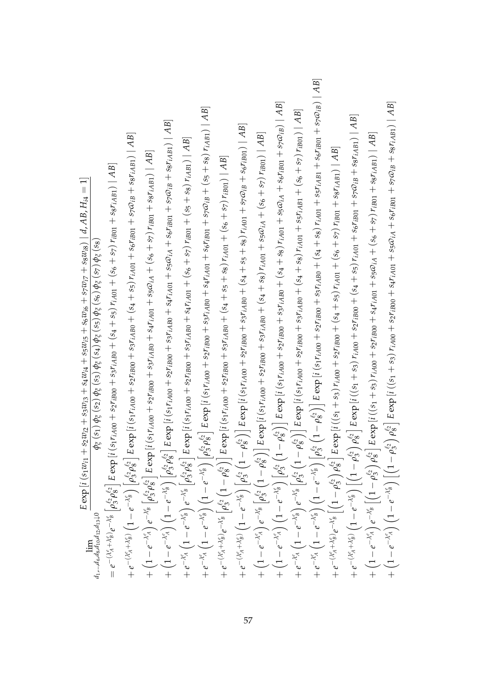| $+e^{-\lambda^s_A}\left(1-e^{-\lambda^s_B}\right)\left(1-e^{-\lambda^s_B}\right)\left[\rho^{e_2}_3\rho^{e_2}_8\right]E\exp\left[i\left(s_1r_{iA00}+s_2r_{iB00}+s_3r_{iAB0}+s_4r_{iA01}+s_6r_{iB01}+s_7\varpi_{iB}+s_8\right)r_{iA B1}\right]\left[AB\right]$<br>$+\left(1-e^{-\lambda_{A}^{e}}\right)\left(1-e^{-\lambda_{B}^{e}}\right)\left[\rho_{3}^{e_{2}}\rho_{8}^{e_{2}}\right]E\exp\left[i\left(s_{1}r_{iA00}+s_{2}r_{iB00}+s_{3}r_{iA00}+s_{4}r_{iA01}+s_{5}\varpi_{iA}+s_{6}r_{iB01}+s_{7}\varpi_{iB}+s_{8}r_{iA}{\rm\bf g}_{1}\right)\right]AB]$<br>$+e^{-(\lambda_ A^e+\lambda_B^e)}\left(1-e^{-\lambda_B^e}\right)\left[\rho_3^{\ell_2}\left(1-\rho_8^{\ell_2}\right)\right]E\exp\left[i\left(s_1r_{iA00}+s_2r_{iB00}+s_3r_{iAB0}+(s_4+s_5+s_8)\;r_{iA01}+s_7\omega_{iB}+s_6r_{iB01}\right)\mid AB\right]$<br>$+e^{-(\lambda_ A^e+\lambda_ B^e)}\left(1-e^{-\lambda_ B^e}\right)\left[\rho_3^{e_2}\rho_8^{e_2}\right]E\exp{[i\left(s_1r_{iA00}+s_2r_{iB00}+s_3r_{iAB0}+(s_4+s_5)\,r_{iA01}+s_6r_{iB01}+s_7\omega_{iB}+s_8r_{iAB1})\mid AB\right]$<br>$+e^{-\lambda \ell _{A}^{\ell }}\left( 1-e^{-\lambda \ell _{B}^{\ell }}\right) e^{-\lambda \ell _{B}^{\ell }}\left[ \rho _{3}^{\ell _{2}}\rho _{8}^{\ell _{2}}\right] E\exp \left[ i\left( s_{1}\textit{r}_{iA00}+s_{2}\textit{r}_{iB00}+s_{3}\textit{r}_{iA00}+s_{4}\textit{r}_{iA01}+\left( s_{6}+s_{7}\right) \textit{r}_{iB01}+\left( s_{5}+s_{8}\right) \textit{r}_{iAB1}\right) \right] AB\right]$<br>$+\left(1-e^{-\lambda_{A}^{s}}\right)e^{-\lambda_{B}^{s}}\left[\rho_{3}^{\ell_{2}}\rho_{8}^{\ell_{2}}\right]E\exp\left[i\left(s_{1}r_{iA00}+s_{2}r_{iB00}+s_{3}r_{iA00}+s_{4}r_{iA01}+s_{5}\omega_{iA}+(s_{6}+s_{7})\,r_{iB01}+s_{8}r_{iAB1}\right)\mid AB\right]$<br>$+e^{-(\lambda_ A^e+\lambda_ B^e)}e^{-\lambda_ B^e}\left[\rho_3^{ \ell_2}\left(1-\rho_8^{ \ell_2}\right)\right]E\exp\left[i\left(s_1r_{iA00}+s_2r_{iB00}+s_3r_{iA B0}+(s_4+s_5+s_8)\,r_{iA01}+(s_6+s_7)\,r_{iB01}\right)\right]AB\Big]$<br>$\hat{e}^{-(\lambda_ A^\prime + \lambda_ B^\prime)} e^{-\lambda_ B^\prime} \left[ \rho_3^\ell \rho_8^{\ell_2} \right] E \exp\left[i\left(s_1 r_{iA00} + s_2 r_{iB00} + s_3 r_{iAB0} + (s_4+s_5) r_{iA01} + (s_6+s_7) r_{iB01} + s_8 r_{iAB1}\right)\right]AB\Big]$<br>$E \exp\left[i\left(s_{1}w_{i1}+s_{2}w_{i2}+s_{3}w_{i3}+s_{4}w_{i4}+s_{5}w_{i5}+s_{6}w_{i6}+s_{7}w_{i7}+s_{8}w_{i8}\right)\mid d, AB, H_{i4}=1\right]$<br>$\phi_{\tilde{\zeta}}\left(s_{1}\right)\phi_{\tilde{\zeta}}\left(s_{2}\right)\phi_{\tilde{\zeta}}\left(s_{3}\right)\phi_{\tilde{\zeta}}\left(s_{4}\right)\phi_{\tilde{\zeta}}\left(s_{5}\right)\phi_{\tilde{\zeta}}\left(s_{6}\right)\phi_{\tilde{\zeta}}\left(s_{7}\right)\phi_{\tilde{\zeta}}\left(s_{8}\right)$<br>$\lim_{d_1,\ldots,d_6,d_8,d_{10},d_{12},d_{13}\downarrow 0}$ | $+e^{-\lambda_A^\ell}\Big(1-e^{-\lambda_B^\ell}\Big)\left(1-e^{-\lambda_B^\ell}\right)\Big[\rho_3^{\ell_2}\left(1-\rho_8^{\ell_2}\right)\Big]E\exp\big[i\left(s_1r_{iA00}+s_2r_{iB00}+s_3r_{iAB0}+(s_4+s_8)\;r_{iA01}+s_5r_{iAB1}+s_6r_{iB01}+s_7\omega_{iB}\right)\big]\,AB\big]$<br>$+\left(1-e^{-\lambda_A^e}\right) \left(1-e^{-\lambda_B^e}\right) \left[\rho_3^{e_2}\left(1-\rho_8^{e_2}\right)\right] E \exp\left[i\left(s_1r_{iA00}+s_2r_{iB00}+s_3r_{iAB0}+(s_4+s_8)\right)r_{iA01}+s_5\omega_{iA}+s_6r_{iB01}+s_7\omega_{iB}\right] \vert\, AB]$<br>$\rho_8^{ \ell_2} \Big _{}^{} E \exp\left[i \left( (s_1 + s_3) \, r_{iA00} + s_2 r_{iB00} + s_4 r_{iA01} + s_5 \omega_{iA} + s_6 r_{iB01} + s_7 \omega_{iB} + s_8 r_{iAB1} \right) \mid AB \right]$<br>$+e^{-\lambda \ell_A'}\Big(1-e^{-\lambda \ell_B'}\Big)e^{-\lambda \ell_B'}\Big[\rho_3^{\ell_2}\Big(1-\rho_8^{\ell_2}\Big)\Big] \,E\exp\big[i\left(s_1r_{iA00}+s_2r_{iB00}+s_3r_{iAB0}+(s_4+s_8)\,r_{iA01}+s_5r_{iAB1}+(s_6+s_7)\,r_{iB01}\right)\big]\,AB\big]$<br>$+e^{-(\lambda_A^e+\lambda_B^e)}\left(1-e^{-\lambda_B^e}\right)\left[\left(1-\rho_3^{e_2}\right)\rho_8^{e_2}\right]E\exp\left[i\left((s_1+s_3)\,r_{iA00}+s_2r_{iB00}+(s_4+s_5)\,r_{iA01}+s_6r_{iB01}+s_7\omega_{iB}+s_8r_{iAB1}\right)\mid AB\right]$<br>$+\left(1-e^{-\lambda_A^e}\right)e^{-\lambda_B^e}\left[\rho_3^{e_2}\left(1-\rho_8^{e_2}\right)\right]E\exp\left[i\left(s_1r_{iA00}+s_2r_{iB00}+s_3r_{iAB0}+(s_4+s_8)\,r_{iA01}+s_5\varpi_{iA}+(s_6+s_7)\,r_{iB01}\right)\right]AB\Big]$<br>$+\left(1-e^{-\lambda_{A}^{e}}\right)e^{-\lambda_{B}^{e}}\left[\left(1-\rho_{3}^{e_{2}}\right)\rho_{8}^{e_{2}}\right]E\exp\left[i\left(\left(s_{1}+s_{3}\right)r_{iA00}+s_{2}r_{iB00}+s_{4}r_{iA01}+s_{5}\omega_{iA}+\left(s_{6}+s_{7}\right)r_{iB01}+s_{8}r_{iAB1}\right)\mid AB\right]$<br>$+e^{-(\lambda_A^e+\lambda_B^e)}e^{-\lambda_B^e}\left[\left(1-\rho_3^{e_2}\right)\rho_8^{e_2}\right]E\exp\left[i\left(\left(s_1+s_3\right)r_{iA00}+s_2r_{iB00}+\left(s_4+s_5\right)r_{iA01}+\left(s_6+s_7\right)r_{iB01}+s_8r_{iAB1}\right)\mid AB\right]$<br>$+\left(1-e^{-\lambda_{A}^{\ell}}\right)\left(1-e^{-\lambda_{B}^{\ell}}\right)\left[\left(1-\rho_{3}^{\ell_{2}}\right)\right]$ |
|------------------------------------------------------------------------------------------------------------------------------------------------------------------------------------------------------------------------------------------------------------------------------------------------------------------------------------------------------------------------------------------------------------------------------------------------------------------------------------------------------------------------------------------------------------------------------------------------------------------------------------------------------------------------------------------------------------------------------------------------------------------------------------------------------------------------------------------------------------------------------------------------------------------------------------------------------------------------------------------------------------------------------------------------------------------------------------------------------------------------------------------------------------------------------------------------------------------------------------------------------------------------------------------------------------------------------------------------------------------------------------------------------------------------------------------------------------------------------------------------------------------------------------------------------------------------------------------------------------------------------------------------------------------------------------------------------------------------------------------------------------------------------------------------------------------------------------------------------------------------------------------------------------------------------------------------------------------------------------------------------------------------------------------------------------------------------------------------------------------------------------------------------------------------------------------------------------------------------------------------------------------------------------------------------------------------------------------------------------------------------------------------------------------------------------------------------------------------------------------------------------------------------------------------------------------------------------------------------------------------------------------------------------------------------------------------------------------------------------------------------------------------------------------------------------------|---------------------------------------------------------------------------------------------------------------------------------------------------------------------------------------------------------------------------------------------------------------------------------------------------------------------------------------------------------------------------------------------------------------------------------------------------------------------------------------------------------------------------------------------------------------------------------------------------------------------------------------------------------------------------------------------------------------------------------------------------------------------------------------------------------------------------------------------------------------------------------------------------------------------------------------------------------------------------------------------------------------------------------------------------------------------------------------------------------------------------------------------------------------------------------------------------------------------------------------------------------------------------------------------------------------------------------------------------------------------------------------------------------------------------------------------------------------------------------------------------------------------------------------------------------------------------------------------------------------------------------------------------------------------------------------------------------------------------------------------------------------------------------------------------------------------------------------------------------------------------------------------------------------------------------------------------------------------------------------------------------------------------------------------------------------------------------------------------------------------------------------------------------------------------------------------------------------------------------------|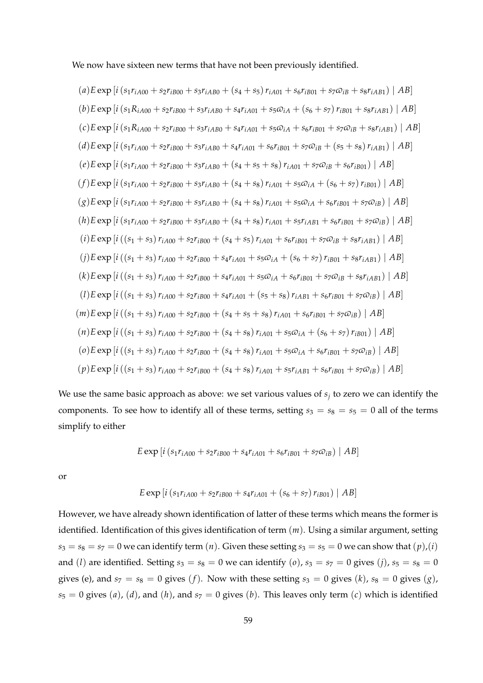We now have sixteen new terms that have not been previously identified.

(a) 
$$
E \exp[i(s_1r_{iA00} + s_2r_{iB00} + s_3r_{iAB0} + (s_4 + s_5) r_{iA01} + s_6r_{iB01} + s_7\omega_{iB} + s_8r_{iAB1}) | AB]
$$
  
\n(b)  $E \exp[i(s_1R_{iA00} + s_2r_{iB00} + s_3r_{iAB0} + s_4r_{iA01} + s_5\omega_{iA} + (s_6 + s_7) r_{iB01} + s_8r_{iAB1}) | AB]$   
\n(c)  $E \exp[i(s_1R_{iA00} + s_2r_{iB00} + s_3r_{iAB0} + s_4r_{iA01} + s_5\omega_{iA} + s_6r_{iB01} + s_7\omega_{iB} + s_8r_{iAB1}) | AB]$   
\n(d)  $E \exp[i(s_1r_{iA00} + s_2r_{iB00} + s_3r_{iAB0} + s_4r_{iA01} + s_6r_{iB01} + s_7\omega_{iB} + (s_5 + s_8) r_{iAB1}) | AB]$   
\n(e)  $E \exp[i(s_1r_{iA00} + s_2r_{iB00} + s_3r_{iAB0} + (s_4 + s_5 + s_8) r_{iA01} + s_7\omega_{iB} + s_6r_{iB01}) | AB]$   
\n(f)  $E \exp[i(s_1r_{iA00} + s_2r_{iB00} + s_3r_{iAB0} + (s_4 + s_8) r_{iA01} + s_5\omega_{iA} + (s_6 + s_7) r_{iB01}) | AB]$   
\n(g)  $E \exp[i(s_1r_{iA00} + s_2r_{iB00} + s_3r_{iAB0} + (s_4 + s_8) r_{iA01} + s_5\omega_{iA} + s_6r_{iB01} + s_7\omega_{iB}) | AB]$   
\n(g)  $E \exp[i(s_1r_{iA00} + s_2r_{iB00} + s_3r_{iAB0} + (s_4 + s_8) r_{iA01} + s_5\omega_{iA} + s_6r_{iB01} + s_7\omega_{iB}) | AB]$   
\n(h)  $E \exp[i((s_$ 

We use the same basic approach as above: we set various values of *s<sup>j</sup>* to zero we can identify the components. To see how to identify all of these terms, setting  $s_3 = s_8 = s_5 = 0$  all of the terms simplify to either

$$
E \exp \left[ i \left( s_1 r_{iA00} + s_2 r_{iB00} + s_4 r_{iA01} + s_6 r_{iB01} + s_7 \omega_{iB} \right) \mid AB \right]
$$

or

$$
E \exp[i(s_1r_{iA00} + s_2r_{iB00} + s_4r_{iA01} + (s_6 + s_7)r_{iB01}) | AB]
$$

However, we have already shown identification of latter of these terms which means the former is identified. Identification of this gives identification of term (*m*). Using a similar argument, setting  $s_3 = s_8 = s_7 = 0$  we can identify term  $(n)$ . Given these setting  $s_3 = s_5 = 0$  we can show that  $(p)$ ,  $(i)$ and (*l*) are identified. Setting  $s_3 = s_8 = 0$  we can identify (*o*),  $s_3 = s_7 = 0$  gives (*j*),  $s_5 = s_8 = 0$ gives (e), and  $s_7 = s_8 = 0$  gives (*f*). Now with these setting  $s_3 = 0$  gives (*k*),  $s_8 = 0$  gives (*g*),  $s_5 = 0$  gives (*a*), (*d*), and (*h*), and  $s_7 = 0$  gives (*b*). This leaves only term (*c*) which is identified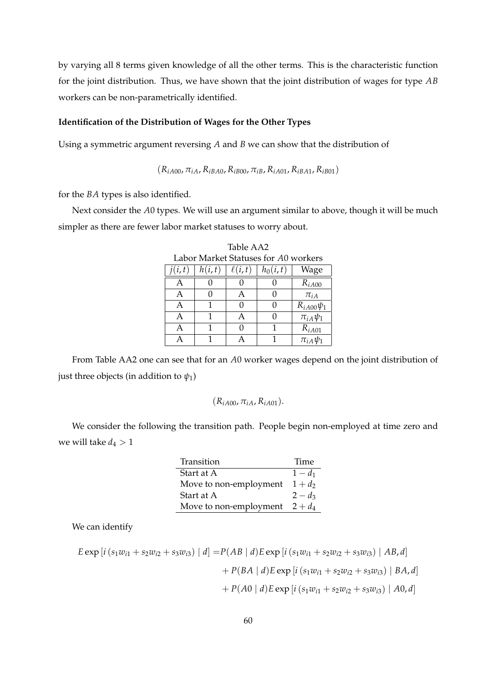by varying all 8 terms given knowledge of all the other terms. This is the characteristic function for the joint distribution. Thus, we have shown that the joint distribution of wages for type *AB* workers can be non-parametrically identified.

## **Identification of the Distribution of Wages for the Other Types**

Using a symmetric argument reversing *A* and *B* we can show that the distribution of

 $(R_{iA00}, \pi_{iA}, R_{iBA0}, R_{iB00}, \pi_{iB}, R_{iA01}, R_{iBA1}, R_{iB01})$ 

for the *BA* types is also identified.

Next consider the *A*0 types. We will use an argument similar to above, though it will be much simpler as there are fewer labor market statuses to worry about.

| Labor Market Statuses for A0 workers |        |             |            |                  |
|--------------------------------------|--------|-------------|------------|------------------|
| j(i,t)                               | h(i,t) | $\ell(i,t)$ | $h_0(i,t)$ | Wage             |
| А                                    |        |             |            | $R_{iA00}$       |
| А                                    |        | A           |            | $\pi_{iA}$       |
| А                                    | 1      | 0           |            | $R_{iA00}\psi_1$ |
| A                                    | 1      | Α           |            | $\pi_{iA}\psi_1$ |
| А                                    | 1      | 0           |            | $R_{iA01}$       |
|                                      |        |             |            | $\pi_{iA}\psi_1$ |

Table AA2 Labor Market Statuses for *A*0 workers

From Table AA2 one can see that for an *A*0 worker wages depend on the joint distribution of just three objects (in addition to  $\psi_1$ )

$$
(R_{iA00}, \pi_{iA}, R_{iA01}).
$$

We consider the following the transition path. People begin non-employed at time zero and we will take  $d_4 > 1$ 

| Transition             | Time      |
|------------------------|-----------|
| Start at A             | $1 - d_1$ |
| Move to non-employment | $1+d_2$   |
| Start at A             | $2 - d_3$ |
| Move to non-employment | $2 + d_4$ |

We can identify

$$
E \exp\left[i\left(s_1w_{i1} + s_2w_{i2} + s_3w_{i3}\right) \mid d\right] = P(AB \mid d)E \exp\left[i\left(s_1w_{i1} + s_2w_{i2} + s_3w_{i3}\right) \mid AB, d\right] \\
+ P(BA \mid d)E \exp\left[i\left(s_1w_{i1} + s_2w_{i2} + s_3w_{i3}\right) \mid BA, d\right] \\
+ P(A0 \mid d)E \exp\left[i\left(s_1w_{i1} + s_2w_{i2} + s_3w_{i3}\right) \mid A0, d\right]
$$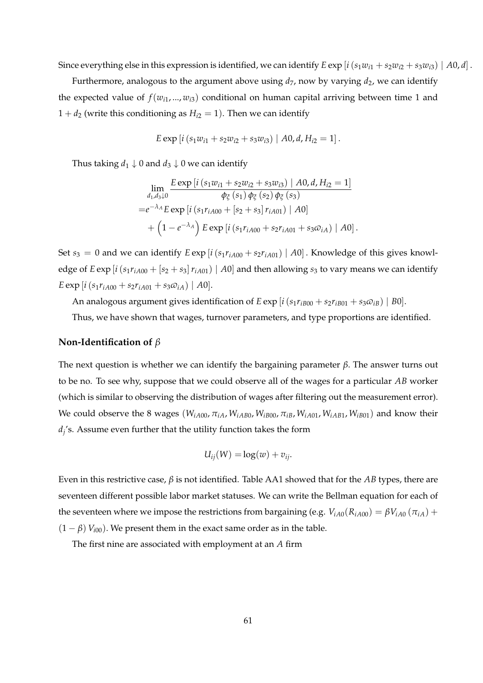Since everything else in this expression is identified, we can identify  $E \exp[i(s_1w_{i1} + s_2w_{i2} + s_3w_{i3}) | A0, d]$ .

Furthermore, analogous to the argument above using  $d_7$ , now by varying  $d_2$ , we can identify the expected value of  $f(w_{i1},..., w_{i3})$  conditional on human capital arriving between time 1 and  $1 + d_2$  (write this conditioning as  $H_{i2} = 1$ ). Then we can identify

$$
E \exp[i(s_1w_{i1} + s_2w_{i2} + s_3w_{i3}) | A0, d, H_{i2} = 1].
$$

Thus taking  $d_1 \downarrow 0$  and  $d_3 \downarrow 0$  we can identify

$$
\lim_{d_1, d_3 \downarrow 0} \frac{E \exp[i(s_1 w_{i1} + s_2 w_{i2} + s_3 w_{i3}) \mid A0, d, H_{i2} = 1]}{\phi_{\xi}(s_1) \phi_{\xi}(s_2) \phi_{\xi}(s_3)}
$$
\n
$$
= e^{-\lambda_A} E \exp[i(s_1 r_{iA00} + [s_2 + s_3] r_{iA01}) \mid A0]
$$
\n
$$
+ (1 - e^{-\lambda_A}) E \exp[i(s_1 r_{iA00} + s_2 r_{iA01} + s_3 \omega_{iA}) \mid A0].
$$

Set  $s_3 = 0$  and we can identify  $E \exp[i(s_1 r_{iA00} + s_2 r_{iA01}) | A0]$ . Knowledge of this gives knowledge of  $E \exp[i(s_1 r_{iA00} + [s_2 + s_3] r_{iA01}) | A0]$  and then allowing  $s_3$  to vary means we can identify  $E \exp[i(s_1 r_{iA00} + s_2 r_{iA01} + s_3 \omega_{iA}) | A0].$ 

An analogous argument gives identification of  $E \exp[i(s_1 r_{iB00} + s_2 r_{iB01} + s_3 \omega_{iB}) | B0]$ .

Thus, we have shown that wages, turnover parameters, and type proportions are identified.

## **Non-Identification of** *β*

The next question is whether we can identify the bargaining parameter *β*. The answer turns out to be no. To see why, suppose that we could observe all of the wages for a particular *AB* worker (which is similar to observing the distribution of wages after filtering out the measurement error). We could observe the 8 wages ( $W_{iA00}$ ,  $\pi_{iA}$ ,  $W_{iAB0}$ ,  $W_{iB00}$ ,  $\pi_{iB}$ ,  $W_{iA01}$ ,  $W_{iAB1}$ ,  $W_{iB01}$ ) and know their *dj* 's. Assume even further that the utility function takes the form

$$
U_{ij}(W) = \log(w) + v_{ij}.
$$

Even in this restrictive case, *β* is not identified. Table AA1 showed that for the *AB* types, there are seventeen different possible labor market statuses. We can write the Bellman equation for each of the seventeen where we impose the restrictions from bargaining (e.g.  $V_{iA0}(R_{iA00}) = \beta V_{iA0}(\pi_{iA}) +$  $(1 - \beta) V_{i00}$ ). We present them in the exact same order as in the table.

The first nine are associated with employment at an *A* firm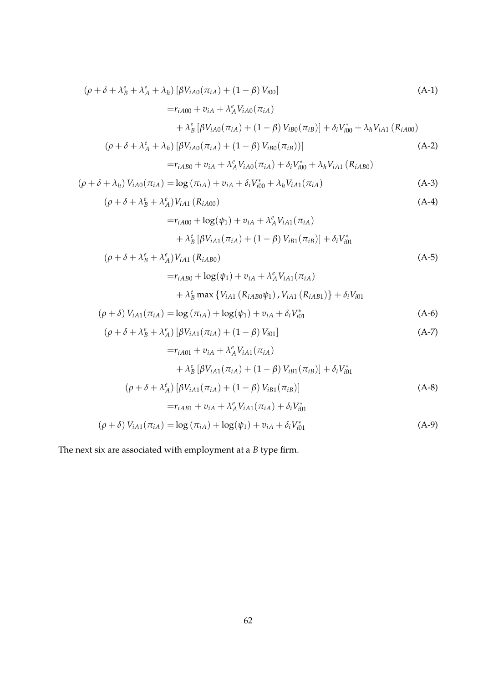$$
(\rho + \delta + \lambda_B^e + \lambda_A^e + \lambda_h) [\beta V_{iA0}(\pi_{iA}) + (1 - \beta) V_{i00}]
$$
\n
$$
= r_{iA00} + v_{iA} + \lambda_A^e V_{iA0}(\pi_{iA})
$$
\n
$$
+ \lambda_B^e [\beta V_{iA0}(\pi_{iA}) + (1 - \beta) V_{iB0}(\pi_{iB})] + \delta_i V_{i00}^* + \lambda_h V_{iA1} (R_{iA00})
$$
\n
$$
(\rho + \delta + \lambda_A^e + \lambda_h) [\beta V_{iA0}(\pi_{iA}) + (1 - \beta) V_{iB0}(\pi_{iB})]]
$$
\n(A-2)

$$
= r_{iAB0} + v_{iA} + \lambda_A^e V_{iA0}(\pi_{iA}) + \delta_i V_{i00}^* + \lambda_h V_{iA1} (R_{iAB0})
$$

$$
(\rho + \delta + \lambda_h) V_{iA0}(\pi_{iA}) = \log (\pi_{iA}) + v_{iA} + \delta_i V_{i00}^* + \lambda_h V_{iA1}(\pi_{iA})
$$
 (A-3)

$$
(\rho + \delta + \lambda_B^e + \lambda_A^e)V_{iA1} (R_{iA00})
$$
 (A-4)

$$
=r_{iA00} + \log(\psi_1) + v_{iA} + \lambda_A^e V_{iA1}(\pi_{iA})
$$

$$
+ \lambda_B^e [\beta V_{iA1}(\pi_{iA}) + (1 - \beta) V_{iB1}(\pi_{iB})] + \delta_i V_{i01}^*
$$

$$
(\rho + \delta + \lambda_B^e + \lambda_A^e) V_{iA1} (R_{iAB0})
$$
  
=  $r_{iAB0} + \log(\psi_1) + v_{iA} + \lambda_A^e V_{iA1}(\pi_{iA})$  (A-5)

$$
+ \lambda_B^e \max \{ V_{iA1} (R_{iAB0} \psi_1), V_{iA1} (R_{iAB1}) \} + \delta_i V_{i01}
$$
  

$$
(\rho + \delta) V_{iA1} (\pi_{iA}) = \log (\pi_{iA}) + \log(\psi_1) + v_{iA} + \delta_i V_{i01}^*
$$
 (A-6)

$$
\left(\rho + \delta + \lambda_B^e + \lambda_A^e\right) \left[\beta V_{iA1}(\pi_{iA}) + (1 - \beta) V_{i01}\right]
$$
\n(A-7)

$$
=r_{iA01} + v_{iA} + \lambda_A^e V_{iA1}(\pi_{iA})
$$
  
+  $\lambda_B^e [\beta V_{iA1}(\pi_{iA}) + (1 - \beta) V_{iB1}(\pi_{iB})] + \delta_i V_{i01}^*$   

$$
(\rho + \delta + \lambda_A^e) [\beta V_{iA1}(\pi_{iA}) + (1 - \beta) V_{iB1}(\pi_{iB})]
$$
  

$$
=r_{iAB1} + v_{iA} + \lambda_A^e V_{iA1}(\pi_{iA}) + \delta_i V_{i01}^*
$$
 (A-8)

$$
(\rho + \delta) V_{iA1}(\pi_{iA}) = \log (\pi_{iA}) + \log(\psi_1) + v_{iA} + \delta_i V_{i01}^*
$$
\n(A-9)

The next six are associated with employment at a *B* type firm.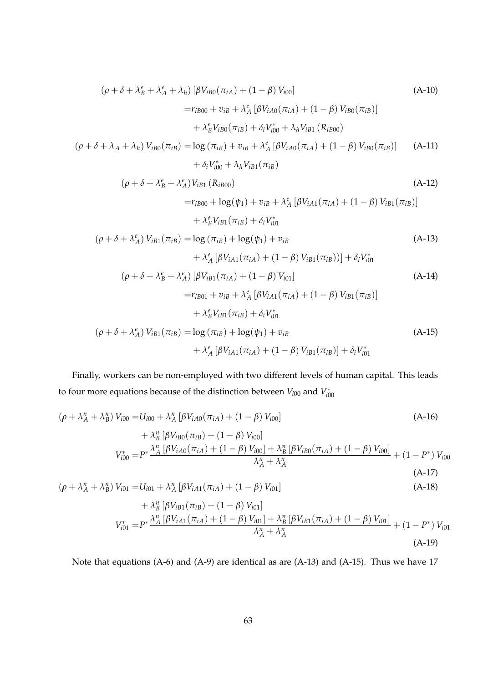$$
(\rho + \delta + \lambda_B^e + \lambda_A^e + \lambda_h) [\beta V_{iB0}(\pi_{iA}) + (1 - \beta) V_{i00}]
$$
\n
$$
= r_{iB00} + v_{iB} + \lambda_A^e [\beta V_{iA0}(\pi_{iA}) + (1 - \beta) V_{iB0}(\pi_{iB})]
$$
\n
$$
+ \lambda_B^e V_{iB0}(\pi_{iB}) + \delta_i V_{i00}^* + \lambda_h V_{iB1} (R_{iB00})
$$
\n
$$
(\rho + \delta + \lambda_A + \lambda_h) V_{iB0}(\pi_{iB}) = \log (\pi_{iB}) + v_{iB} + \lambda_A^e [\beta V_{iA0}(\pi_{iA}) + (1 - \beta) V_{iB0}(\pi_{iB})]
$$
\n
$$
+ \delta_i V_{i00}^* + \lambda_h V_{iB1}(\pi_{iB})
$$
\n(A-11)

$$
(\rho + \delta + \lambda_B^e + \lambda_A^e) V_{iB1} (R_{iB00})
$$
\n
$$
= r_{iB00} + \log(\psi_1) + v_{iB} + \lambda_A^e [\beta V_{iA1} (\pi_{iA}) + (1 - \beta) V_{iB1} (\pi_{iB})]
$$
\n
$$
+ \lambda_B^e V_{iB1} (\pi_{iB}) + \delta_i V_{i01}^*
$$
\n
$$
(\rho + \delta + \lambda_A^e) V_{iB1} (\pi_{iB}) = \log (\pi_{iB}) + \log(\psi_1) + v_{iB}
$$
\n
$$
+ \lambda_A^e [\beta V_{iA1} (\pi_{iA}) + (1 - \beta) V_{iB1} (\pi_{iB}))] + \delta_i V_{i01}^*
$$
\n
$$
(\rho + \delta + \lambda_B^e + \lambda_A^e) [\beta V_{iB1} (\pi_{iA}) + (1 - \beta) V_{i01}]
$$
\n(A-14)

$$
=r_{iB01} + v_{iB} + \lambda_A^e [\beta V_{iA1}(\pi_{iA}) + (1 - \beta) V_{iB1}(\pi_{iB})]
$$
  

$$
+ \lambda_B^e V_{iB1}(\pi_{iB}) + \delta_i V_{i01}^*
$$
  

$$
(\rho + \delta + \lambda_A^e) V_{iB1}(\pi_{iB}) = \log (\pi_{iB}) + \log(\psi_1) + v_{iB}
$$
  

$$
+ \lambda_A^e [\beta V_{iA1}(\pi_{iA}) + (1 - \beta) V_{iB1}(\pi_{iB})] + \delta_i V_{i01}^*
$$
 (A-15)

Finally, workers can be non-employed with two different levels of human capital. This leads to four more equations because of the distinction between  $V_{i00}$  and  $V_{i00}^*$ 

$$
(\rho + \lambda_A^n + \lambda_B^n) V_{i00} = U_{i00} + \lambda_A^n [\beta V_{iA0}(\pi_{iA}) + (1 - \beta) V_{i00}]
$$
\n
$$
+ \lambda_B^n [\beta V_{iB0}(\pi_{iB}) + (1 - \beta) V_{i00}]
$$
\n
$$
V_{i00}^* = P^* \frac{\lambda_A^n [\beta V_{iA0}(\pi_{iA}) + (1 - \beta) V_{i00}] + \lambda_B^n [\beta V_{iB0}(\pi_{iA}) + (1 - \beta) V_{i00}]}{\lambda_A^n + \lambda_A^n} + (1 - P^*) V_{i00}
$$
\n
$$
(\rho + \lambda_A^n + \lambda_B^n) V_{i01} = U_{i01} + \lambda_A^n [\beta V_{iA1}(\pi_{iA}) + (1 - \beta) V_{i01}]
$$
\n(A-18)

+ 
$$
\lambda_{B}^{n} [\beta V_{iB1}(\pi_{iB}) + (1 - \beta) V_{i01}]
$$
  
\n
$$
V_{i01}^{*} = P^{*} \frac{\lambda_{A}^{n} [\beta V_{iA1}(\pi_{iA}) + (1 - \beta) V_{i01}] + \lambda_{B}^{n} [\beta V_{iB1}(\pi_{iA}) + (1 - \beta) V_{i01}]}{\lambda_{A}^{n} + \lambda_{A}^{n}}
$$
\n(A-19)

Note that equations (A-6) and (A-9) are identical as are (A-13) and (A-15). Thus we have 17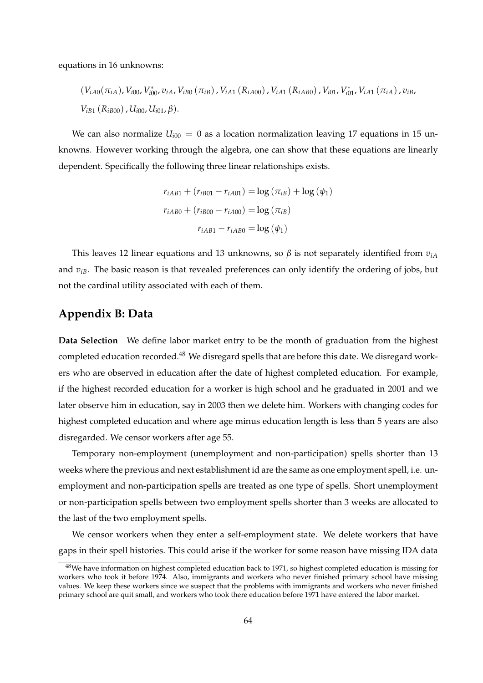equations in 16 unknowns:

$$
(V_{iA0}(\pi_{iA}), V_{i00}, V_{i00}^*, v_{iA}, V_{iB0}(\pi_{iB}), V_{iA1} (R_{iA00}), V_{iA1} (R_{iAB0}), V_{i01}, V_{i01}^*, V_{iA1} (\pi_{iA}), v_{iB}, V_{iB1} (R_{iB00}), U_{i00}, U_{i01}, \beta).
$$

We can also normalize  $U_{i00} = 0$  as a location normalization leaving 17 equations in 15 unknowns. However working through the algebra, one can show that these equations are linearly dependent. Specifically the following three linear relationships exists.

$$
r_{iAB1} + (r_{iB01} - r_{iA01}) = \log (\pi_{iB}) + \log (\psi_1)
$$

$$
r_{iAB0} + (r_{iB00} - r_{iA00}) = \log (\pi_{iB})
$$

$$
r_{iAB1} - r_{iAB0} = \log (\psi_1)
$$

This leaves 12 linear equations and 13 unknowns, so *β* is not separately identified from *viA* and  $v_{iB}$ . The basic reason is that revealed preferences can only identify the ordering of jobs, but not the cardinal utility associated with each of them.

## **Appendix B: Data**

**Data Selection** We define labor market entry to be the month of graduation from the highest completed education recorded.<sup>48</sup> We disregard spells that are before this date. We disregard workers who are observed in education after the date of highest completed education. For example, if the highest recorded education for a worker is high school and he graduated in 2001 and we later observe him in education, say in 2003 then we delete him. Workers with changing codes for highest completed education and where age minus education length is less than 5 years are also disregarded. We censor workers after age 55.

Temporary non-employment (unemployment and non-participation) spells shorter than 13 weeks where the previous and next establishment id are the same as one employment spell, i.e. unemployment and non-participation spells are treated as one type of spells. Short unemployment or non-participation spells between two employment spells shorter than 3 weeks are allocated to the last of the two employment spells.

We censor workers when they enter a self-employment state. We delete workers that have gaps in their spell histories. This could arise if the worker for some reason have missing IDA data

<sup>&</sup>lt;sup>48</sup>We have information on highest completed education back to 1971, so highest completed education is missing for workers who took it before 1974. Also, immigrants and workers who never finished primary school have missing values. We keep these workers since we suspect that the problems with immigrants and workers who never finished primary school are quit small, and workers who took there education before 1971 have entered the labor market.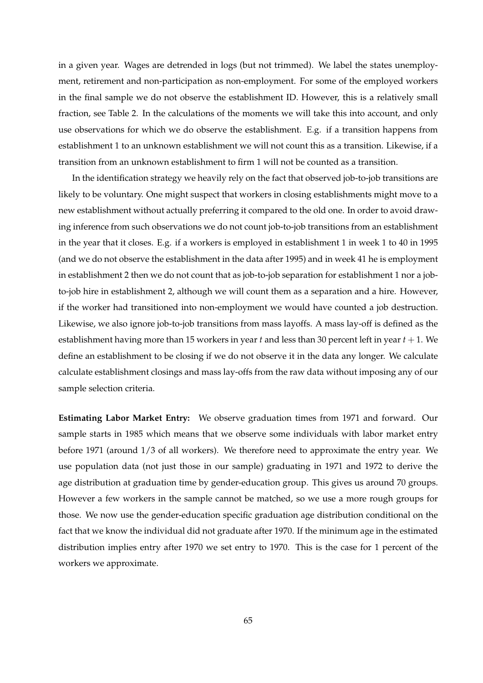in a given year. Wages are detrended in logs (but not trimmed). We label the states unemployment, retirement and non-participation as non-employment. For some of the employed workers in the final sample we do not observe the establishment ID. However, this is a relatively small fraction, see Table 2. In the calculations of the moments we will take this into account, and only use observations for which we do observe the establishment. E.g. if a transition happens from establishment 1 to an unknown establishment we will not count this as a transition. Likewise, if a transition from an unknown establishment to firm 1 will not be counted as a transition.

In the identification strategy we heavily rely on the fact that observed job-to-job transitions are likely to be voluntary. One might suspect that workers in closing establishments might move to a new establishment without actually preferring it compared to the old one. In order to avoid drawing inference from such observations we do not count job-to-job transitions from an establishment in the year that it closes. E.g. if a workers is employed in establishment 1 in week 1 to 40 in 1995 (and we do not observe the establishment in the data after 1995) and in week 41 he is employment in establishment 2 then we do not count that as job-to-job separation for establishment 1 nor a jobto-job hire in establishment 2, although we will count them as a separation and a hire. However, if the worker had transitioned into non-employment we would have counted a job destruction. Likewise, we also ignore job-to-job transitions from mass layoffs. A mass lay-off is defined as the establishment having more than 15 workers in year *t* and less than 30 percent left in year *t* + 1. We define an establishment to be closing if we do not observe it in the data any longer. We calculate calculate establishment closings and mass lay-offs from the raw data without imposing any of our sample selection criteria.

**Estimating Labor Market Entry:** We observe graduation times from 1971 and forward. Our sample starts in 1985 which means that we observe some individuals with labor market entry before 1971 (around 1/3 of all workers). We therefore need to approximate the entry year. We use population data (not just those in our sample) graduating in 1971 and 1972 to derive the age distribution at graduation time by gender-education group. This gives us around 70 groups. However a few workers in the sample cannot be matched, so we use a more rough groups for those. We now use the gender-education specific graduation age distribution conditional on the fact that we know the individual did not graduate after 1970. If the minimum age in the estimated distribution implies entry after 1970 we set entry to 1970. This is the case for 1 percent of the workers we approximate.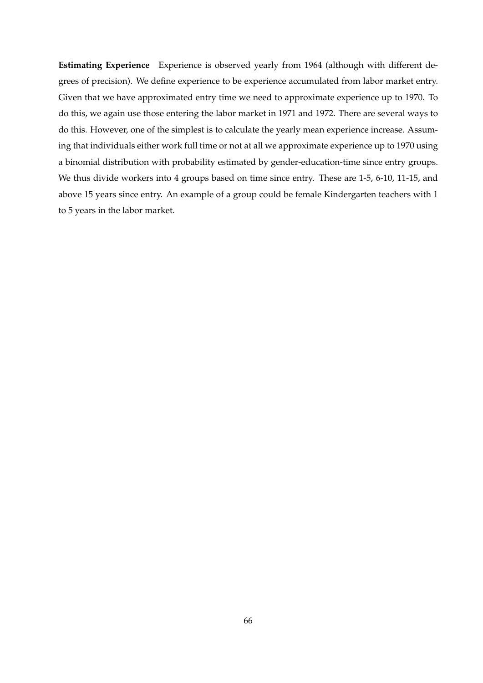**Estimating Experience** Experience is observed yearly from 1964 (although with different degrees of precision). We define experience to be experience accumulated from labor market entry. Given that we have approximated entry time we need to approximate experience up to 1970. To do this, we again use those entering the labor market in 1971 and 1972. There are several ways to do this. However, one of the simplest is to calculate the yearly mean experience increase. Assuming that individuals either work full time or not at all we approximate experience up to 1970 using a binomial distribution with probability estimated by gender-education-time since entry groups. We thus divide workers into 4 groups based on time since entry. These are 1-5, 6-10, 11-15, and above 15 years since entry. An example of a group could be female Kindergarten teachers with 1 to 5 years in the labor market.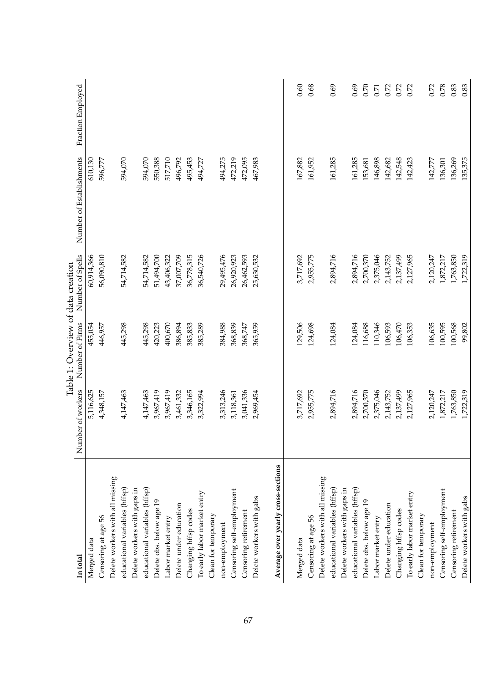|                                    |                   | Table 1: Overview of data creation |                  |                          |                   |
|------------------------------------|-------------------|------------------------------------|------------------|--------------------------|-------------------|
| In total                           | Number of workers | Number of Firms                    | Number of Spells | Number of Establishments | Fraction Employed |
| Merged data                        | 5,116,625         | 455,054                            | 60,914,366       | 610,130                  |                   |
| Censoring at age 56                | 4,348,157         | 446,957                            | 56,090,810       | 596,777                  |                   |
| Delete workers with all missing    |                   |                                    |                  |                          |                   |
| educational variables (hffsp)      | 4,147,463         | 445,298                            | 54,714,582       | 594,070                  |                   |
| Delete workers with gaps in        |                   |                                    |                  |                          |                   |
| educational variables (hffsp)      | 4,147,463         | 445,298                            | 54,714,582       | 594,070                  |                   |
| Delete obs. below age 19           | 3,967,419         | 420,223                            | 51,494,700       | 550,388                  |                   |
| Labor market entry                 | 3,967,419         | 400,670                            | 43,406,322       | 517,710                  |                   |
| Delete under education             | 3,461,332         | 386,894                            | 37,007,709       | 496,792                  |                   |
| Changing htfsp codes               | 3,346,165         | 385,833                            | 36,778,315       | 495,453                  |                   |
| To early labor market entry        | 3,322,994         | 385,289                            | 36,540,726       | 494,727                  |                   |
| Clean for temporary                |                   |                                    |                  |                          |                   |
| non-employment                     | 3,313,246         | 384,988                            | 29,495,476       | 494,275                  |                   |
| Censoring self-employment          | 3,118,361         | 368,839                            | 26,920,923       | 472,219                  |                   |
| Censoring retirement               | 3,041,336         | 368,747                            | 26,462,593       | 472,095                  |                   |
| Delete workers with gabs           | 2,969,454         | 365,959                            | 25,630,532       | 467,983                  |                   |
| Average over yearly cross-sections |                   |                                    |                  |                          |                   |
| Merged data                        | 3,717,692         | 129,506                            | 3,717,692        | 167,882                  | 0.60              |
| Censoring at age 56                | 2,955,775         | 124,698                            | 2,955,775        | 161,952                  | 0.68              |
| Delete workers with all missing    |                   |                                    |                  |                          |                   |
| educational variables (hffsp)      | 2,894,716         | 124,084                            | 2,894,716        | 161,285                  | 0.69              |
| Delete workers with gaps in        |                   |                                    |                  |                          |                   |
| educational variables (hffsp)      | 2,894,716         | 124,084                            | 2,894,716        | 161,285                  | 0.69              |
| Delete obs. below age 19           | 2,700,370         | 116,688                            | 2,700,370        | 153,681                  | 0.70              |
| Labor market entry                 | 2,375,046         | 110,346                            | 2,375,046        | 146,898                  | 0.71              |
| Delete under education             | 2,143,752         | 106,593                            | 2,143,752        | 142,682                  | 0.72              |
| Changing hffsp codes               | 2,137,499         | 106,470                            | 2,137,499        | 142,548                  | 0.72              |
| To early labor market entry        | 2,127,965         | 106,353                            | 2,127,965        | 142,423                  | 0.72              |
| Clean for temporary                |                   |                                    |                  |                          |                   |
| non-employment                     | 2,120,247         | 106,635                            | 2,120,247        | 142,777                  | 0.72              |
| Censoring self-employment          | 1,872,217         | 100,595                            | 1,872,217        | 136,301                  | 0.78              |
| Censoring retirement               | 1,763,850         | 100,568                            | 1,763,850        | 136,269                  | 0.83              |
| Delete workers with gabs           | 1,722,319         | 99,802                             | 1,722,319        | 135,375                  | 0.83              |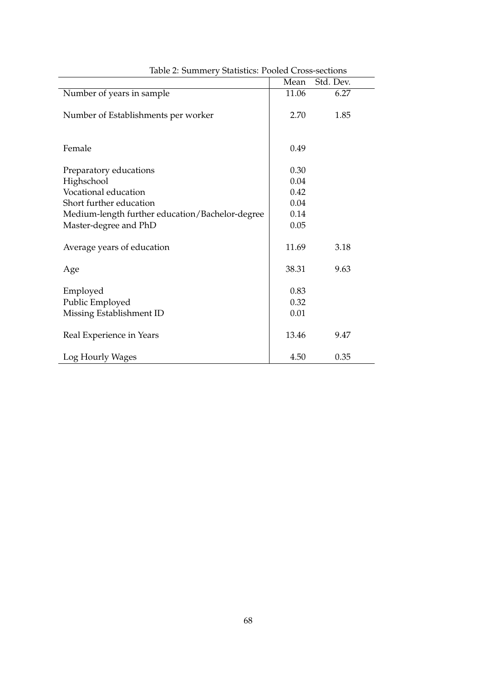|                                                 | Mean  | Std. Dev. |  |
|-------------------------------------------------|-------|-----------|--|
| Number of years in sample                       | 11.06 | 6.27      |  |
|                                                 |       |           |  |
| Number of Establishments per worker             | 2.70  | 1.85      |  |
|                                                 |       |           |  |
| Female                                          | 0.49  |           |  |
|                                                 |       |           |  |
| Preparatory educations                          | 0.30  |           |  |
| Highschool                                      | 0.04  |           |  |
| Vocational education                            | 0.42  |           |  |
| Short further education                         | 0.04  |           |  |
| Medium-length further education/Bachelor-degree | 0.14  |           |  |
| Master-degree and PhD                           | 0.05  |           |  |
|                                                 |       |           |  |
| Average years of education                      | 11.69 | 3.18      |  |
| Age                                             | 38.31 | 9.63      |  |
|                                                 |       |           |  |
| Employed                                        | 0.83  |           |  |
| Public Employed                                 | 0.32  |           |  |
| Missing Establishment ID                        | 0.01  |           |  |
|                                                 |       |           |  |
| Real Experience in Years                        | 13.46 | 9.47      |  |
| Log Hourly Wages                                | 4.50  | 0.35      |  |
|                                                 |       |           |  |

Table 2: Summery Statistics: Pooled Cross-sections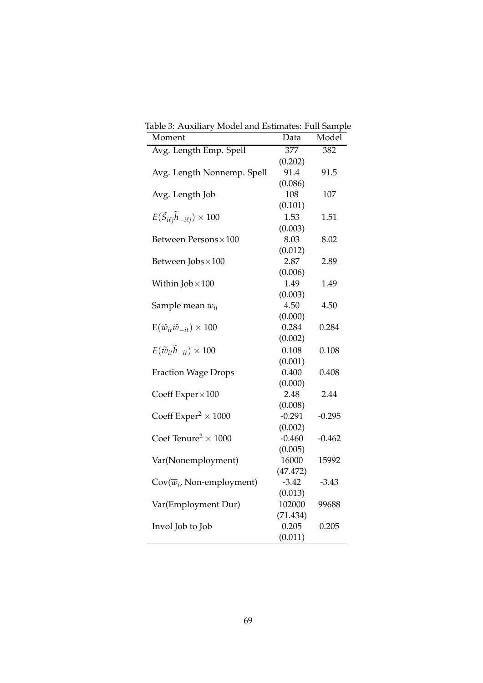| radie 9. Auxiliai y iviouei and Estimates. Fun Jampit<br>Moment  | Data             | Model    |
|------------------------------------------------------------------|------------------|----------|
| Avg. Length Emp. Spell                                           | $\overline{377}$ | 382      |
|                                                                  | (0.202)          |          |
| Avg. Length Nonnemp. Spell                                       | 91.4             | 91.5     |
|                                                                  | (0.086)          |          |
| Avg. Length Job                                                  | 108              | 107      |
|                                                                  | (0.101)          |          |
| $E(\widetilde{S}_{i\ell j} \widetilde{h}_{-i\ell j}) \times 100$ | 1.53             | 1.51     |
|                                                                  | (0.003)          |          |
| Between Persons × 100                                            | 8.03             | 8.02     |
|                                                                  | (0.012)          |          |
| Between Jobs × 100                                               | 2.87             | 2.89     |
|                                                                  | (0.006)          |          |
| Within $Job \times 100$                                          | 1.49             | 1.49     |
|                                                                  | (0.003)          |          |
| Sample mean $w_{it}$                                             | 4.50             | 4.50     |
|                                                                  | (0.000)          |          |
| $E(\widetilde{w}_{it}\widetilde{w}_{-it})\times 100$             | 0.284            | 0.284    |
|                                                                  | (0.002)          |          |
| $E(\widetilde{w}_{it} \widetilde{h}_{-it}) \times 100$           | 0.108            | 0.108    |
|                                                                  | (0.001)          |          |
| <b>Fraction Wage Drops</b>                                       | 0.400            | 0.408    |
|                                                                  | (0.000)          |          |
| Coeff Exper×100                                                  | 2.48             | 2.44     |
|                                                                  | (0.008)          |          |
| Coeff Exper <sup>2</sup> $\times$ 1000                           | $-0.291$         | $-0.295$ |
|                                                                  | (0.002)          |          |
| Coef Tenure <sup>2</sup> $\times$ 1000                           | $-0.460$         | $-0.462$ |
|                                                                  | (0.005)          |          |
| Var(Nonemployment)                                               | 16000            | 15992    |
|                                                                  | (47.472)         |          |
| $\text{Cov}(\overline{w}_i, \text{Non-emptyment})$               | $-3.42$          | $-3.43$  |
|                                                                  | (0.013)          |          |
| Var(Employment Dur)                                              | 102000           | 99688    |
|                                                                  | (71.434)         |          |
| Invol Job to Job                                                 | 0.205            | 0.205    |
|                                                                  | (0.011)          |          |

Table 3: Auxiliary Model and Estimates: Full Sample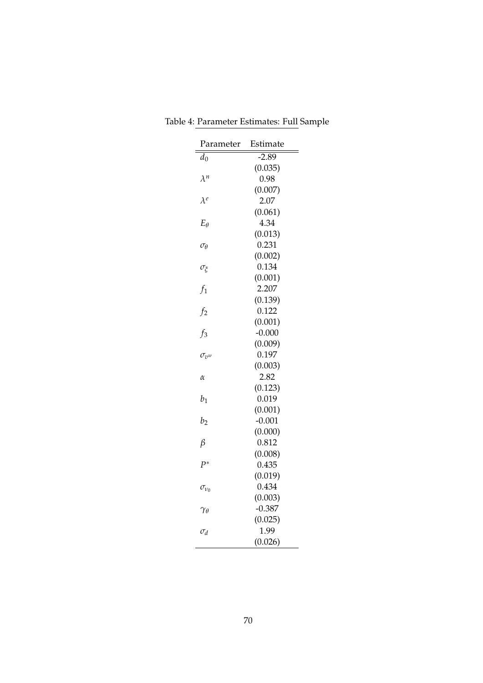| Parameter         | Estimate            |
|-------------------|---------------------|
| $d_0$             | $-2.89$             |
|                   | (0.035)             |
| $\lambda^n$       | 0.98                |
|                   | (0.007)             |
| $\lambda^e$       | 2.07                |
|                   | (0.061)             |
| $E_{\theta}$      | 4.34                |
|                   | (0.013)             |
| $\sigma_{\theta}$ | 0.231               |
|                   | (0.002)             |
| $\sigma_{\xi}$    | 0.134               |
|                   | (0.001)             |
| $f_1$             | 2.207               |
|                   | (0.139)             |
| f <sub>2</sub>    | 0.122               |
|                   | (0.001)             |
| $f_3$             | $-0.000$            |
|                   | (0.009)             |
| $\sigma_{v}$      | 0.197               |
|                   | (0.003)             |
| $\alpha$          | 2.82                |
|                   | (0.123)             |
| $b_1$             | 0.019               |
|                   | (0.001)             |
| $b_2$             | $-0.001$            |
|                   | (0.000)             |
| $\beta$           | 0.812               |
|                   | (0.008)             |
| $P^*$             | 0.435               |
|                   | (0.019)             |
| $\sigma_{\nu_0}$  | 0.434               |
|                   | (0.003)<br>$-0.387$ |
| $\gamma_\theta$   | (0.025)             |
|                   | 1.99                |
| $\sigma_d$        | (0.026)             |
|                   |                     |

Table 4: Parameter Estimates: Full Sample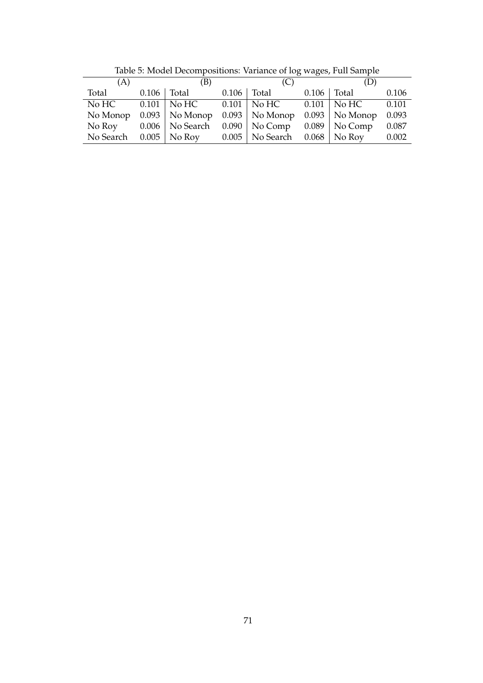| (B)<br>(A)<br>(C)<br>(D)<br>Total<br>$0.106$   Total<br>$0.106$ Total<br>0.106<br>Total | Table 5. Model Decompositions. Variance of log wages, Full Sample |  |  |  |  |  |  |       |
|-----------------------------------------------------------------------------------------|-------------------------------------------------------------------|--|--|--|--|--|--|-------|
|                                                                                         |                                                                   |  |  |  |  |  |  |       |
|                                                                                         |                                                                   |  |  |  |  |  |  | 0.106 |
| $0.101$   No HC $0.101$   No HC $0.101$   No HC                                         | No HC                                                             |  |  |  |  |  |  | 0.101 |
| No Monop $0.093$   No Monop $0.093$   No Monop $0.093$   No Monop<br>0.093              |                                                                   |  |  |  |  |  |  |       |
| No Roy $0.006 \mid$ No Search $0.090 \mid$ No Comp $0.089 \mid$ No Comp<br>0.087        |                                                                   |  |  |  |  |  |  |       |
| No Search $0.005 \mid$ No Roy $0.005 \mid$ No Search $0.068 \mid$ No Roy                |                                                                   |  |  |  |  |  |  | 0.002 |

Table 5: Model Decompositions: Variance of log wages, Full Sample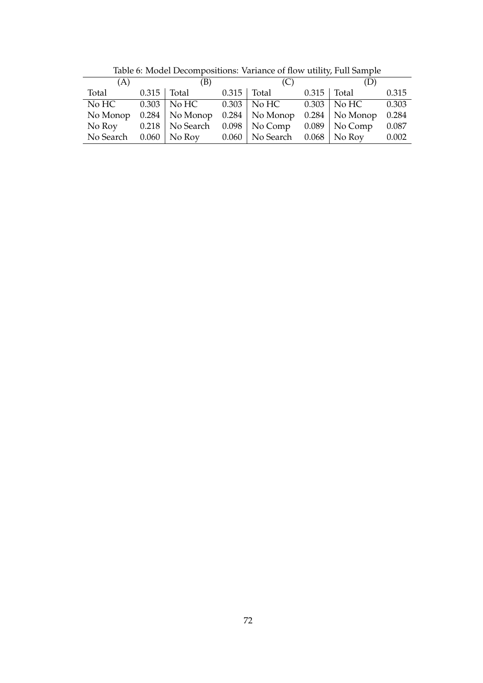| (D)                                                              |  |
|------------------------------------------------------------------|--|
| 0.315                                                            |  |
| $0.303 \mid$ No HC $0.303 \mid$ No HC $0.303 \mid$ No HC $0.303$ |  |
| 0.284                                                            |  |
| 0.087                                                            |  |
| 0.002                                                            |  |
|                                                                  |  |

Table 6: Model Decompositions: Variance of flow utility, Full Sample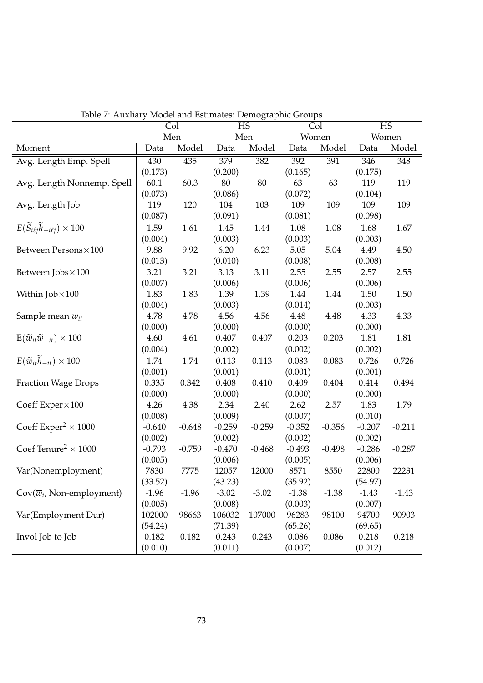|                                                                  | Col      |          |          | radic 7. Traxilary inouer and Louillates. Demographic Groups<br><b>HS</b> |          | <b>HS</b><br>Col |          |          |
|------------------------------------------------------------------|----------|----------|----------|---------------------------------------------------------------------------|----------|------------------|----------|----------|
|                                                                  | Men      |          | Men      |                                                                           | Women    |                  | Women    |          |
| Moment                                                           | Data     | Model    | Data     | Model                                                                     | Data     | Model            | Data     | Model    |
| Avg. Length Emp. Spell                                           | 430      | 435      | 379      | 382                                                                       | 392      | 391              | 346      | 348      |
|                                                                  | (0.173)  |          | (0.200)  |                                                                           | (0.165)  |                  | (0.175)  |          |
| Avg. Length Nonnemp. Spell                                       | 60.1     | 60.3     | 80       | 80                                                                        | 63       | 63               | 119      | 119      |
|                                                                  | (0.073)  |          | (0.086)  |                                                                           | (0.072)  |                  | (0.104)  |          |
| Avg. Length Job                                                  | 119      | 120      | 104      | 103                                                                       | 109      | 109              | 109      | 109      |
|                                                                  | (0.087)  |          | (0.091)  |                                                                           | (0.081)  |                  | (0.098)  |          |
| $E(\widetilde{S}_{i\ell j} \widetilde{h}_{-i\ell j}) \times 100$ | 1.59     | 1.61     | 1.45     | 1.44                                                                      | 1.08     | 1.08             | 1.68     | 1.67     |
|                                                                  | (0.004)  |          | (0.003)  |                                                                           | (0.003)  |                  | (0.003)  |          |
| Between Persons×100                                              | 9.88     | 9.92     | 6.20     | 6.23                                                                      | 5.05     | 5.04             | 4.49     | 4.50     |
|                                                                  | (0.013)  |          | (0.010)  |                                                                           | (0.008)  |                  | (0.008)  |          |
| Between Jobs × 100                                               | 3.21     | 3.21     | 3.13     | 3.11                                                                      | 2.55     | 2.55             | 2.57     | 2.55     |
|                                                                  | (0.007)  |          | (0.006)  |                                                                           | (0.006)  |                  | (0.006)  |          |
| Within $Job \times 100$                                          | 1.83     | 1.83     | 1.39     | 1.39                                                                      | 1.44     | 1.44             | 1.50     | 1.50     |
|                                                                  | (0.004)  |          | (0.003)  |                                                                           | (0.014)  |                  | (0.003)  |          |
| Sample mean $w_{it}$                                             | 4.78     | 4.78     | 4.56     | 4.56                                                                      | 4.48     | 4.48             | 4.33     | 4.33     |
|                                                                  | (0.000)  |          | (0.000)  |                                                                           | (0.000)  |                  | (0.000)  |          |
| $E(\widetilde{w}_{it}\widetilde{w}_{-it})\times 100$             | 4.60     | 4.61     | 0.407    | 0.407                                                                     | 0.203    | 0.203            | 1.81     | 1.81     |
|                                                                  | (0.004)  |          | (0.002)  |                                                                           | (0.002)  |                  | (0.002)  |          |
| $E(\widetilde{w}_{it} \widetilde{h}_{-it}) \times 100$           | 1.74     | 1.74     | 0.113    | 0.113                                                                     | 0.083    | 0.083            | 0.726    | 0.726    |
|                                                                  | (0.001)  |          | (0.001)  |                                                                           | (0.001)  |                  | (0.001)  |          |
| <b>Fraction Wage Drops</b>                                       | 0.335    | 0.342    | 0.408    | 0.410                                                                     | 0.409    | 0.404            | 0.414    | 0.494    |
|                                                                  | (0.000)  |          | (0.000)  |                                                                           | (0.000)  |                  | (0.000)  |          |
| Coeff Exper $\times 100$                                         | 4.26     | 4.38     | 2.34     | 2.40                                                                      | 2.62     | 2.57             | 1.83     | 1.79     |
|                                                                  | (0.008)  |          | (0.009)  |                                                                           | (0.007)  |                  | (0.010)  |          |
| Coeff $Expert \times 1000$                                       | $-0.640$ | $-0.648$ | $-0.259$ | $-0.259$                                                                  | $-0.352$ | $-0.356$         | $-0.207$ | $-0.211$ |
|                                                                  | (0.002)  |          | (0.002)  |                                                                           | (0.002)  |                  | (0.002)  |          |
| Coef Tenure <sup>2</sup> $\times$ 1000                           | $-0.793$ | $-0.759$ | $-0.470$ | $-0.468$                                                                  | $-0.493$ | $-0.498$         | $-0.286$ | $-0.287$ |
|                                                                  | (0.005)  |          | (0.006)  |                                                                           | (0.005)  |                  | (0.006)  |          |
| Var(Nonemployment)                                               | 7830     | 7775     | 12057    | 12000                                                                     | 8571     | 8550             | 22800    | 22231    |
|                                                                  | (33.52)  |          | (43.23)  |                                                                           | (35.92)  |                  | (54.97)  |          |
| $\text{Cov}(\overline{w}_i, \text{Non-emptyment})$               | $-1.96$  | $-1.96$  | $-3.02$  | $-3.02$                                                                   | $-1.38$  | $-1.38$          | $-1.43$  | $-1.43$  |
|                                                                  | (0.005)  |          | (0.008)  |                                                                           | (0.003)  |                  | (0.007)  |          |
| Var(Employment Dur)                                              | 102000   | 98663    | 106032   | 107000                                                                    | 96283    | 98100            | 94700    | 90903    |
|                                                                  | (54.24)  |          | (71.39)  |                                                                           | (65.26)  |                  | (69.65)  |          |
| Invol Job to Job                                                 | 0.182    | 0.182    | 0.243    | 0.243                                                                     | 0.086    | 0.086            | 0.218    | 0.218    |
|                                                                  | (0.010)  |          | (0.011)  |                                                                           | (0.007)  |                  | (0.012)  |          |
|                                                                  |          |          |          |                                                                           |          |                  |          |          |

Table 7: Auxliary Model and Estimates: Demographic Groups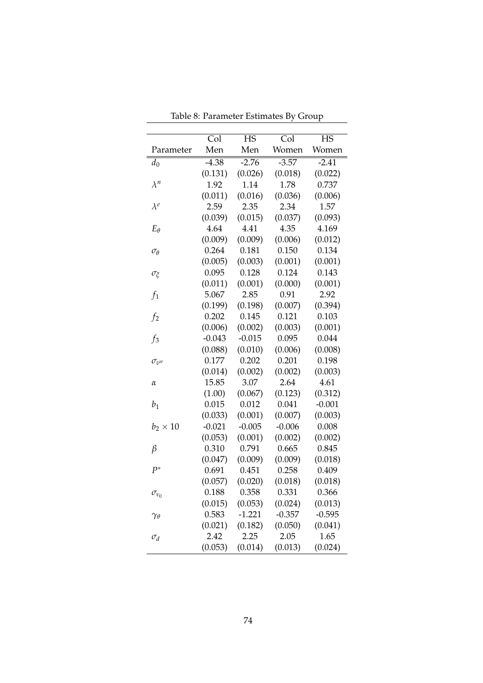|                   | $\overline{\text{Col}}$ | <b>HS</b> | $\overline{\text{Col}}$ | <b>HS</b> |
|-------------------|-------------------------|-----------|-------------------------|-----------|
| Parameter         | Men                     | Men       | Women                   | Women     |
| $d_0$             | $-4.38$                 | $-2.76$   | $-3.57$                 | $-2.41$   |
|                   | (0.131)                 | (0.026)   | (0.018)                 | (0.022)   |
| $\lambda^n$       | 1.92                    | 1.14      | 1.78                    | 0.737     |
|                   | (0.011)                 | (0.016)   | (0.036)                 | (0.006)   |
| $\lambda^e$       | 2.59                    | 2.35      | 2.34                    | 1.57      |
|                   | (0.039)                 | (0.015)   | (0.037)                 | (0.093)   |
| $E_{\theta}$      | 4.64                    | 4.41      | 4.35                    | 4.169     |
|                   | (0.009)                 | (0.009)   | (0.006)                 | (0.012)   |
| $\sigma_{\theta}$ | 0.264                   | 0.181     | 0.150                   | 0.134     |
|                   | (0.005)                 | (0.003)   | (0.001)                 | (0.001)   |
| $\sigma_{\xi}$    | 0.095                   | 0.128     | 0.124                   | 0.143     |
|                   | (0.011)                 | (0.001)   | (0.000)                 | (0.001)   |
| $f_1$             | 5.067                   | 2.85      | 0.91                    | 2.92      |
|                   | (0.199)                 | (0.198)   | (0.007)                 | (0.394)   |
| f <sub>2</sub>    | 0.202                   | 0.145     | 0.121                   | 0.103     |
|                   | (0.006)                 | (0.002)   | (0.003)                 | (0.001)   |
| $f_3$             | $-0.043$                | $-0.015$  | 0.095                   | 0.044     |
|                   | (0.088)                 | (0.010)   | (0.006)                 | (0.008)   |
| $\sigma_{v^w}$    | 0.177                   | 0.202     | 0.201                   | 0.198     |
|                   | (0.014)                 | (0.002)   | (0.002)                 | (0.003)   |
| $\alpha$          | 15.85                   | 3.07      | 2.64                    | 4.61      |
|                   | (1.00)                  | (0.067)   | (0.123)                 | (0.312)   |
| $b_1$             | 0.015                   | 0.012     | 0.041                   | $-0.001$  |
|                   | (0.033)                 | (0.001)   | (0.007)                 | (0.003)   |
| $b_2 \times 10$   | $-0.021$                | $-0.005$  | $-0.006$                | 0.008     |
|                   | (0.053)                 | (0.001)   | (0.002)                 | (0.002)   |
| $\beta$           | 0.310                   | 0.791     | 0.665                   | 0.845     |
|                   | (0.047)                 | (0.009)   | (0.009)                 | (0.018)   |
| $P^*$             | 0.691                   | 0.451     | 0.258                   | 0.409     |
|                   | (0.057)                 | (0.020)   | (0.018)                 | (0.018)   |
| $\sigma_{v_0}$    | 0.188                   | 0.358     | 0.331                   | 0.366     |
|                   | (0.015)                 | (0.053)   | (0.024)                 | (0.013)   |
| $\gamma_\theta$   | 0.583                   | $-1.221$  | $-0.357$                | $-0.595$  |
|                   | (0.021)                 | (0.182)   | (0.050)                 | (0.041)   |
| $\sigma_d$        | 2.42                    | 2.25      | 2.05                    | 1.65      |
|                   | (0.053)                 | (0.014)   | (0.013)                 | (0.024)   |

Table 8: Parameter Estimates By Group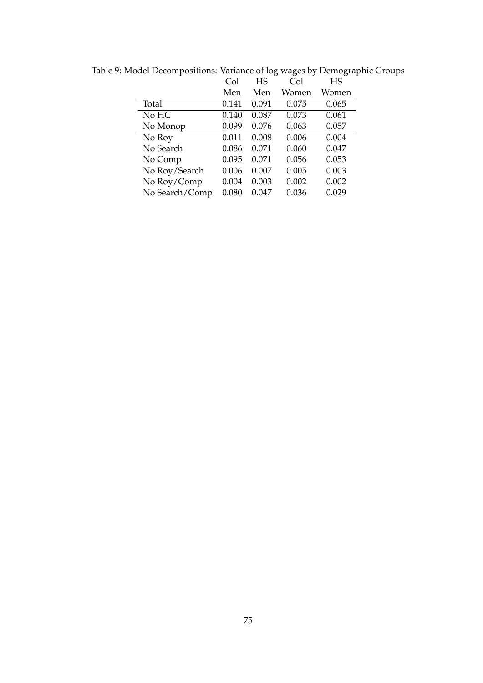|                | Col   | HS    | Col   | HS    |
|----------------|-------|-------|-------|-------|
|                | Men   | Men   | Women | Women |
| Total          | 0.141 | 0.091 | 0.075 | 0.065 |
| No HC          | 0.140 | 0.087 | 0.073 | 0.061 |
| No Monop       | 0.099 | 0.076 | 0.063 | 0.057 |
| No Roy         | 0.011 | 0.008 | 0.006 | 0.004 |
| No Search      | 0.086 | 0.071 | 0.060 | 0.047 |
| No Comp        | 0.095 | 0.071 | 0.056 | 0.053 |
| No Roy/Search  | 0.006 | 0.007 | 0.005 | 0.003 |
| No Roy/Comp    | 0.004 | 0.003 | 0.002 | 0.002 |
| No Search/Comp | 0.080 | 0.047 | 0.036 | 0.029 |

Table 9: Model Decompositions: Variance of log wages by Demographic Groups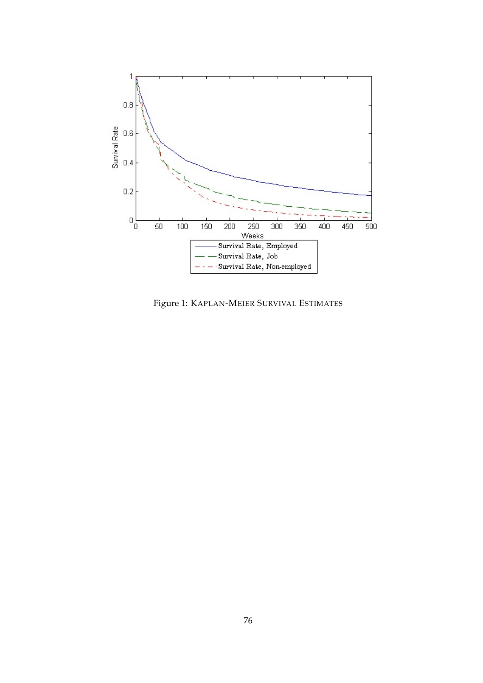

Figure 1: KAPLAN-MEIER SURVIVAL ESTIMATES